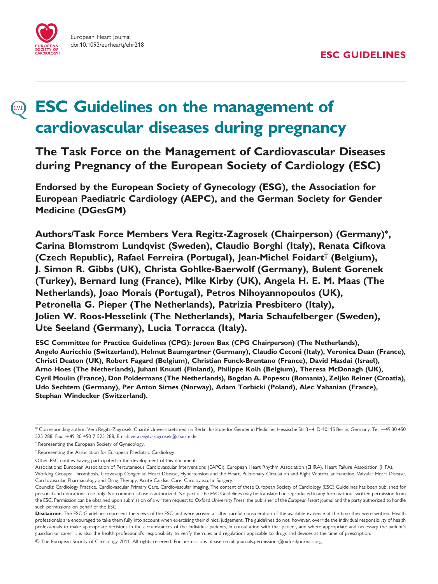

# **ESC Guidelines on the management of** cardiovascular diseases during pregnancy

## The Task Force on the Management of Cardiovascular Diseases during Pregnancy of the European Society of Cardiology (ESC)

Endorsed by the European Society of Gynecology (ESG), the Association for European Paediatric Cardiology (AEPC), and the German Society for Gender Medicine (DGesGM)

Authors/Task Force Members Vera Regitz-Zagrosek (Chairperson) (Germany)\*, Carina Blomstrom Lundqvist (Sweden), Claudio Borghi (Italy), Renata Cifkova (Czech Republic), Rafael Ferreira (Portugal), Jean-Michel Foidart† (Belgium), J. Simon R. Gibbs (UK), Christa Gohlke-Baerwolf (Germany), Bulent Gorenek (Turkey), Bernard Iung (France), Mike Kirby (UK), Angela H. E. M. Maas (The Netherlands), Joao Morais (Portugal), Petros Nihoyannopoulos (UK), Petronella G. Pieper (The Netherlands), Patrizia Presbitero (Italy), Jolien W. Roos-Hesselink (The Netherlands), Maria Schaufelberger (Sweden), Ute Seeland (Germany), Lucia Torracca (Italy).

ESC Committee for Practice Guidelines (CPG): Jeroen Bax (CPG Chairperson) (The Netherlands), Angelo Auricchio (Switzerland), Helmut Baumgartner (Germany), Claudio Ceconi (Italy), Veronica Dean (France), Christi Deaton (UK), Robert Fagard (Belgium), Christian Funck-Brentano (France), David Hasdai (Israel), Arno Hoes (The Netherlands), Juhani Knuuti (Finland), Philippe Kolh (Belgium), Theresa McDonagh (UK), Cyril Moulin (France), Don Poldermans (The Netherlands), Bogdan A. Popescu (Romania), Zeljko Reiner (Croatia), Udo Sechtem (Germany), Per Anton Sirnes (Norway), Adam Torbicki (Poland), Alec Vahanian (France), Stephan Windecker (Switzerland).

Other ESC entities having participated in the development of this document:

& The European Society of Cardiology 2011. All rights reserved. For permissions please email: journals.permissions@oxfordjournals.org.

<sup>\*</sup> Corresponding author. Vera Regitz-Zagrosek, Charite´ Universitaetsmedizin Berlin, Institute for Gender in Medicine, Hessische Str 3–4, D-10115 Berlin, Germany. Tel: +49 30 450 525 288, Fax: +49 30 450 7 525 288, Email: [vera.regitz-zagrosek@charite.de](mailto:vera.regitz-zagrosek@charite.de)

<sup>†</sup> Representing the European Society of Gynecology.

<sup>‡</sup> Representing the Association for European Paediatric Cardiology.

Associations: European Association of Percutaneous Cardiovascular Interventions (EAPCI), European Heart Rhythm Association (EHRA), Heart Failure Association (HFA). Working Groups: Thrombosis, Grown-up Congenital Heart Disease, Hypertension and the Heart, Pulmonary Circulation and Right Ventricular Function, Valvular Heart Disease,

Cardiovascular Pharmacology and Drug Therapy, Acute Cardiac Care, Cardiovascular Surgery. Councils: Cardiology Practice, Cardiovascular Primary Care, Cardiovascular Imaging. The content of these European Society of Cardiology (ESC) Guidelines has been published for personal and educational use only. No commercial use is authorized. No part of the ESC Guidelines may be translated or reproduced in any form without written permission from the ESC. Permission can be obtained upon submission of a written request to Oxford University Press, the publisher of the European Heart Journal and the party authorized to handle such permissions on behalf of the ESC.

Disclaimer. The ESC Guidelines represent the views of the ESC and were arrived at after careful consideration of the available evidence at the time they were written. Health professionals are encouraged to take them fully into account when exercising their clinical judgement. The guidelines do not, however, override the individual responsibility of health professionals to make appropriate decisions in the circumstances of the individual patients, in consultation with that patient, and where appropriate and necessary the patient's guardian or carer. It is also the health professional's responsibility to verify the rules and regulations applicable to drugs and devices at the time of prescription.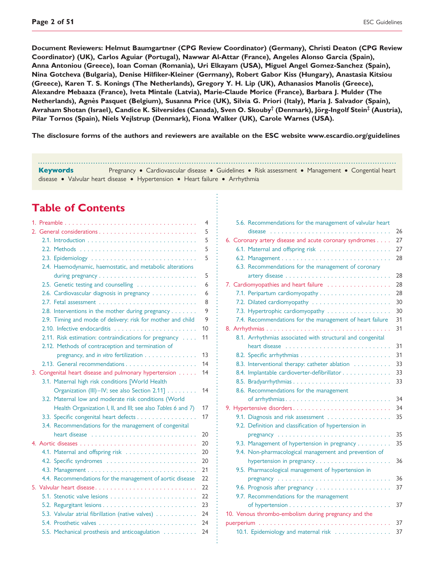Document Reviewers: Helmut Baumgartner (CPG Review Coordinator) (Germany), Christi Deaton (CPG Review Coordinator) (UK), Carlos Aguiar (Portugal), Nawwar Al-Attar (France), Angeles Alonso Garcia (Spain), Anna Antoniou (Greece), Ioan Coman (Romania), Uri Elkayam (USA), Miguel Angel Gomez-Sanchez (Spain), Nina Gotcheva (Bulgaria), Denise Hilfiker-Kleiner (Germany), Robert Gabor Kiss (Hungary), Anastasia Kitsiou (Greece), Karen T. S. Konings (The Netherlands), Gregory Y. H. Lip (UK), Athanasios Manolis (Greece), Alexandre Mebaaza (France), Iveta Mintale (Latvia), Marie-Claude Morice (France), Barbara J. Mulder (The Netherlands), Agnès Pasquet (Belgium), Susanna Price (UK), Silvia G. Priori (Italy), Maria J. Salvador (Spain), Avraham Shotan (Israel), Candice K. Silversides (Canada), Sven O. Skouby<sup>†</sup> (Denmark), Jörg-Ingolf Stein<sup>‡</sup> (Austria), Pilar Tornos (Spain), Niels Vejlstrup (Denmark), Fiona Walker (UK), Carole Warnes (USA).

The disclosure forms of the authors and reviewers are available on the ESC website www.escardio.org/guidelines

- - - - - - - - - - - - - - - - - - - - - - - - - - - - - - - - - - - - - - - - - - - - - - - - - - - - - - - - - - - - - - - - - - - - - - - - - - -- - - - - - - - - - - - - - - - - - - - - - - - - - - - - - - - - - - - - - - - - - - - - - - - - - - - ----------------------- Keywords Pregnancy • Cardiovascular disease • Guidelines • Risk assessment • Management • Congential heart disease • Valvular heart disease • Hypertension • Heart failure • Arrhythmia

### Table of Contents

|                                                              | 4  |
|--------------------------------------------------------------|----|
|                                                              | 5  |
|                                                              | 5  |
|                                                              | 5  |
|                                                              | 5  |
| 2.4. Haemodynamic, haemostatic, and metabolic alterations    |    |
|                                                              | 5  |
| 2.5. Genetic testing and counselling                         | 6  |
| 2.6. Cardiovascular diagnosis in pregnancy                   | 6  |
|                                                              | 8  |
| 2.8. Interventions in the mother during pregnancy            | 9  |
| 2.9. Timing and mode of delivery: risk for mother and child  | 9  |
|                                                              | 10 |
| 2.11. Risk estimation: contraindications for pregnancy       | 11 |
| 2.12. Methods of contraception and termination of            |    |
| pregnancy, and in vitro fertilization                        | 13 |
|                                                              | 14 |
| 3. Congenital heart disease and pulmonary hypertension       | 14 |
| 3.1. Maternal high risk conditions [World Health             |    |
| Organization (III)-IV; see also Section 2.11]                | 14 |
| 3.2. Maternal low and moderate risk conditions (World        |    |
| Health Organization I, II, and III; see also Tables 6 and 7) | 17 |
| 3.3. Specific congenital heart defects                       | 17 |
| 3.4. Recommendations for the management of congenital        |    |
|                                                              | 20 |
|                                                              | 20 |
|                                                              | 20 |
|                                                              | 20 |
|                                                              | 21 |
| 4.4. Recommendations for the management of aortic disease    | 22 |
| 5. Valvular heart disease                                    | 22 |
|                                                              | 22 |
|                                                              | 23 |
| 5.3. Valvular atrial fibrillation (native valves)            | 24 |
|                                                              | 24 |
| 5.5. Mechanical prosthesis and anticoagulation               | 24 |

|  | 5.6. Recommendations for the management of valvular heart                  |    |
|--|----------------------------------------------------------------------------|----|
|  | disease                                                                    | 26 |
|  | 6. Coronary artery disease and acute coronary syndromes                    | 27 |
|  | 6.1. Maternal and offspring risk                                           | 27 |
|  |                                                                            | 28 |
|  | 6.3. Recommendations for the management of coronary                        |    |
|  |                                                                            | 28 |
|  | 7. Cardiomyopathies and heart failure                                      | 28 |
|  |                                                                            | 28 |
|  | 7.2. Dilated cardiomyopathy                                                | 30 |
|  | 7.3. Hypertrophic cardiomyopathy                                           | 30 |
|  | 7.4. Recommendations for the management of heart failure                   | 31 |
|  |                                                                            | 31 |
|  | 8.1. Arrhythmias associated with structural and congenital                 |    |
|  |                                                                            | 31 |
|  |                                                                            | 31 |
|  | 8.3. Interventional therapy: catheter ablation                             | 33 |
|  | 8.4. Implantable cardioverter-defibrillator                                | 33 |
|  |                                                                            | 33 |
|  | 8.6. Recommendations for the management                                    |    |
|  |                                                                            | 34 |
|  | 9. Hypertensive disorders                                                  | 34 |
|  | 9.1. Diagnosis and risk assessment                                         | 35 |
|  | 9.2. Definition and classification of hypertension in                      |    |
|  |                                                                            | 35 |
|  | 9.3. Management of hypertension in pregnancy                               | 35 |
|  | 9.4. Non-pharmacological management and prevention of                      |    |
|  | hypertension in pregnancy                                                  | 36 |
|  | 9.5. Pharmacological management of hypertension in                         |    |
|  | pregnancy $\ldots \ldots \ldots \ldots \ldots \ldots \ldots \ldots \ldots$ | 36 |
|  |                                                                            | 37 |
|  | 9.7. Recommendations for the management                                    |    |
|  |                                                                            | 37 |
|  | 10. Venous thrombo-embolism during pregnancy and the                       |    |
|  |                                                                            | 37 |
|  | 10.1. Epidemiology and maternal risk                                       | 37 |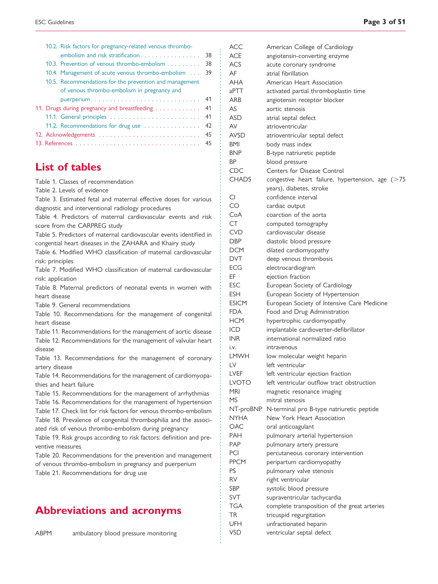| 10.2. Risk factors for pregnancy-related venous thrombo- |      |
|----------------------------------------------------------|------|
|                                                          |      |
| 10.3. Prevention of venous thrombo-embolism              | 38   |
| 10.4. Management of acute venous thrombo-embolism        | -39  |
| 10.5. Recommendations for the prevention and management  |      |
| of venous thrombo-embolism in pregnancy and              |      |
| puerperium 41                                            |      |
| 11. Drugs during pregnancy and breastfeeding 41          |      |
|                                                          |      |
| 11.2. Recommendations for drug use                       | - 42 |
|                                                          |      |
|                                                          |      |

### List of tables

Table 1. Classes of recommendation

Table 2. Levels of evidence

Table 3. Estimated fetal and maternal effective doses for various diagnostic and interventional radiology procedures

Table 4. Predictors of maternal cardiovascular events and risk score from the CARPREG study

Table 5. Predictors of maternal cardiovascular events identified in congential heart diseases in the ZAHARA and Khairy study

Table 6. Modified WHO classification of maternal cardiovascular risk: principles

Table 7. Modified WHO classification of maternal cardiovascular risk: application

Table 8. Maternal predictors of neonatal events in women with heart disease

Table 9. General recommendations

Table 10. Recommendations for the management of congenital heart disease

Table 11. Recommendations for the management of aortic disease Table 12. Recommendations for the management of valvular heart disease

Table 13. Recommendations for the management of coronary artery disease

Table 14. Recommendations for the management of cardiomyopathies and heart failure

Table 15. Recommendations for the management of arrhythmias

Table 16. Recommendations for the management of hypertension

Table 17. Check list for risk factors for venous thrombo-embolism Table 18. Prevalence of congenital thrombophilia and the associated risk of venous thrombo-embolism during pregnancy

Table 19. Risk groups according to risk factors: definition and preventive measures

Table 20. Recommendations for the prevention and management of venous thrombo-embolism in pregnancy and puerperium Table 21. Recommendations for drug use

### Abbreviations and acronyms

ABPM ambulatory blood pressure monitoring

| ハしし          | Arrierican College or Cardiology                    |
|--------------|-----------------------------------------------------|
| <b>ACE</b>   | angiotensin-converting enzyme                       |
| <b>ACS</b>   | acute coronary syndrome                             |
| AF           | atrial fibrillation                                 |
| AHA          | American Heart Association                          |
| aPTT         | activated partial thromboplastin time               |
| ARB          | angiotensin receptor blocker                        |
| AS           | aortic stenosis                                     |
| ASD          | atrial septal defect                                |
| AV           | atrioventricular                                    |
| <b>AVSD</b>  | atrioventricular septal defect                      |
| <b>BMI</b>   | body mass index                                     |
| <b>BNP</b>   | B-type natriuretic peptide                          |
| ΒP           | blood pressure                                      |
| CDC          | Centers for Disease Control                         |
| <b>CHADS</b> | congestive heart failure, hypertension, age (>75    |
|              | years), diabetes, stroke                            |
| CI           | confidence interval                                 |
| CO           | cardiac output                                      |
| CoA          | coarction of the aorta                              |
| <b>CT</b>    | computed tomography                                 |
| <b>CVD</b>   | cardiovascular disease                              |
| DBP          | diastolic blood pressure                            |
| <b>DCM</b>   | dilated cardiomyopathy                              |
| <b>DVT</b>   | deep venous thrombosis                              |
| <b>ECG</b>   | electrocardiogram                                   |
| EF           | ejection fraction                                   |
| ESC          | European Society of Cardiology                      |
| <b>ESH</b>   | European Society of Hypertension                    |
| <b>ESICM</b> | European Society of Intensive Care Medicine         |
| <b>FDA</b>   | Food and Drug Administration                        |
| <b>HCM</b>   | hypertrophic cardiomyopathy                         |
| ICD          | implantable cardioverter-defibrillator              |
| <b>INR</b>   | international normalized ratio                      |
| i.v.         | intravenous                                         |
| <b>LMWH</b>  | low molecular weight heparin                        |
| LV           | left ventricular                                    |
| LVEF         | left ventricular ejection fraction                  |
| <b>LVOTO</b> | left ventricular outflow tract obstruction          |
| <b>MRI</b>   | magnetic resonance imaging                          |
| MS           | mitral stenosis                                     |
|              | NT-proBNP N-terminal pro B-type natriuretic peptide |
| <b>NYHA</b>  | New York Heart Association                          |
| <b>OAC</b>   | oral anticoagulant                                  |
| PAH          | pulmonary arterial hypertension                     |
| <b>PAP</b>   | pulmonary artery pressure                           |
| PCI          | percutaneous coronary intervention                  |
| <b>PPCM</b>  | peripartum cardiomyopathy                           |
| PS           | pulmonary valve stenosis                            |
| <b>RV</b>    | right ventricular                                   |
| SBP          | systolic blood pressure                             |
| SVT          | supraventricular tachycardia                        |
| <b>TGA</b>   | complete transposition of the great arteries        |
| TR           | tricuspid regurgitation                             |
| UFH          | unfractionated heparin                              |
| <b>VSD</b>   | ventricular septal defect                           |
|              |                                                     |

ACC American College of Cardiology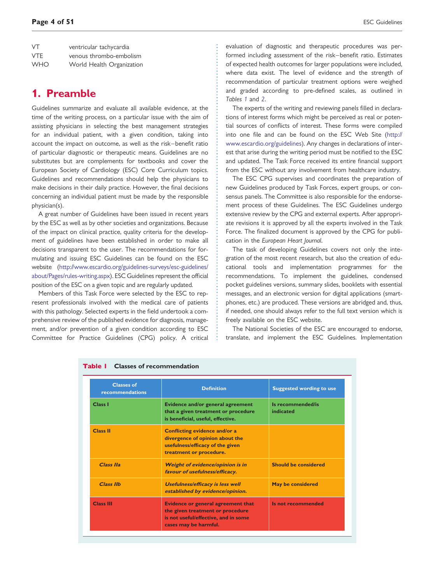| VT   | ventricular tachycardia   |
|------|---------------------------|
| VTF. | venous thrombo-embolism   |
| WHO  | World Health Organization |

### 1. Preamble

Guidelines summarize and evaluate all available evidence, at the time of the writing process, on a particular issue with the aim of assisting physicians in selecting the best management strategies for an individual patient, with a given condition, taking into account the impact on outcome, as well as the risk–benefit ratio of particular diagnostic or therapeutic means. Guidelines are no substitutes but are complements for textbooks and cover the European Society of Cardiology (ESC) Core Curriculum topics. Guidelines and recommendations should help the physicians to make decisions in their daily practice. However, the final decisions concerning an individual patient must be made by the responsible physician(s).

A great number of Guidelines have been issued in recent years by the ESC as well as by other societies and organizations. Because of the impact on clinical practice, quality criteria for the development of guidelines have been established in order to make all decisions transparent to the user. The recommendations for formulating and issuing ESC Guidelines can be found on the ESC website ([http://www.escardio.org/guidelines-surveys/esc-guidelines/](http://www.escardio.org/guidelines-surveys/esc-guidelines/about/Pages/rules-writing.aspx) [about/Pages/rules-writing.aspx\)](http://www.escardio.org/guidelines-surveys/esc-guidelines/about/Pages/rules-writing.aspx). ESC Guidelines represent the official position of the ESC on a given topic and are regularly updated.

Members of this Task Force were selected by the ESC to represent professionals involved with the medical care of patients with this pathology. Selected experts in the field undertook a comprehensive review of the published evidence for diagnosis, management, and/or prevention of a given condition according to ESC Committee for Practice Guidelines (CPG) policy. A critical

evaluation of diagnostic and therapeutic procedures was performed including assessment of the risk–benefit ratio. Estimates of expected health outcomes for larger populations were included, where data exist. The level of evidence and the strength of recommendation of particular treatment options were weighed and graded according to pre-defined scales, as outlined in Tables 1 and 2.

The experts of the writing and reviewing panels filled in declarations of interest forms which might be perceived as real or potential sources of conflicts of interest. These forms were compiled into one file and can be found on the ESC Web Site [\(http://](http://www.escardio.org/guidelines) [www.escardio.org/guidelines](http://www.escardio.org/guidelines)). Any changes in declarations of interest that arise during the writing period must be notified to the ESC and updated. The Task Force received its entire financial support from the ESC without any involvement from healthcare industry.

The ESC CPG supervises and coordinates the preparation of new Guidelines produced by Task Forces, expert groups, or consensus panels. The Committee is also responsible for the endorsement process of these Guidelines. The ESC Guidelines undergo extensive review by the CPG and external experts. After appropriate revisions it is approved by all the experts involved in the Task Force. The finalized document is approved by the CPG for publication in the European Heart Journal.

The task of developing Guidelines covers not only the integration of the most recent research, but also the creation of educational tools and implementation programmes for the recommendations. To implement the guidelines, condensed pocket guidelines versions, summary slides, booklets with essential messages, and an electronic version for digital applications (smartphones, etc.) are produced. These versions are abridged and, thus, if needed, one should always refer to the full text version which is freely available on the ESC website.

The National Societies of the ESC are encouraged to endorse, translate, and implement the ESC Guidelines. Implementation

| <b>Classes of</b><br>recommendations | <b>Definition</b>                                                                                                                       | <b>Suggested wording to use</b> |
|--------------------------------------|-----------------------------------------------------------------------------------------------------------------------------------------|---------------------------------|
| Class I                              | Evidence and/or general agreement<br>that a given treatment or procedure<br>is beneficial, useful, effective.                           | Is recommended/is<br>indicated  |
| <b>Class II</b>                      | <b>Conflicting evidence and/or a</b><br>divergence of opinion about the<br>usefulness/efficacy of the given<br>treatment or procedure.  |                                 |
| Class IIa                            | <b>Weight of evidence/opinion is in</b><br>favour of usefulness/efficacy.                                                               | <b>Should be considered</b>     |
| <b>Class IIb</b>                     | <b>Usefulness/efficacy is less well</b><br>established by evidence/opinion.                                                             | May be considered               |
| <b>Class III</b>                     | Evidence or general agreement that<br>the given treatment or procedure<br>is not useful/effective, and in some<br>cases may be harmful. | Is not recommended              |

#### Table I Classes of recommendation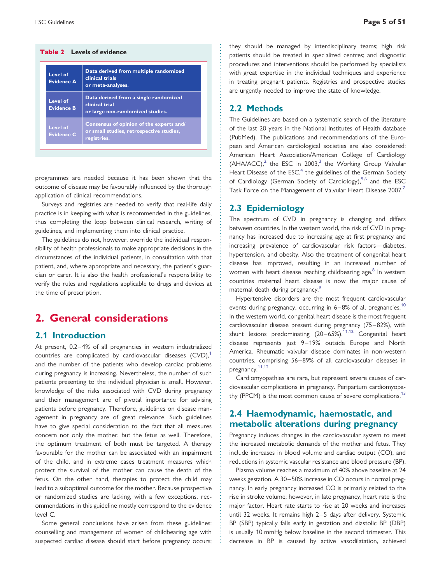### Table 2 Levels of evidence

| Level of<br><b>Evidence A</b>        | Data derived from multiple randomized<br>clinical trials<br>or meta-analyses.                       |
|--------------------------------------|-----------------------------------------------------------------------------------------------------|
| <b>Level of</b><br><b>Evidence B</b> | Data derived from a single randomized<br>clinical trial<br>or large non-randomized studies.         |
| <b>Level of</b><br><b>Evidence C</b> | Consensus of opinion of the experts and/<br>or small studies, retrospective studies,<br>registries. |

programmes are needed because it has been shown that the outcome of disease may be favourably influenced by the thorough application of clinical recommendations.

Surveys and registries are needed to verify that real-life daily practice is in keeping with what is recommended in the guidelines, thus completing the loop between clinical research, writing of guidelines, and implementing them into clinical practice.

The guidelines do not, however, override the individual responsibility of health professionals to make appropriate decisions in the circumstances of the individual patients, in consultation with that patient, and, where appropriate and necessary, the patient's guardian or carer. It is also the health professional's responsibility to verify the rules and regulations applicable to drugs and devices at the time of prescription.

### 2. General considerations

### 2.1 Introduction

At present, 0.2–4% of all pregnancies in western industrialized countries are complicated by cardiovascular diseases  $(CVD)$ ,<sup>1</sup> and the number of the patients who develop cardiac problems during pregnancy is increasing. Nevertheless, the number of such patients presenting to the individual physician is small. However, knowledge of the risks associated with CVD during pregnancy and their management are of pivotal importance for advising patients before pregnancy. Therefore, guidelines on disease management in pregnancy are of great relevance. Such guidelines have to give special consideration to the fact that all measures concern not only the mother, but the fetus as well. Therefore, the optimum treatment of both must be targeted. A therapy favourable for the mother can be associated with an impairment of the child, and in extreme cases treatment measures which protect the survival of the mother can cause the death of the fetus. On the other hand, therapies to protect the child may lead to a suboptimal outcome for the mother. Because prospective or randomized studies are lacking, with a few exceptions, recommendations in this guideline mostly correspond to the evidence level C.

Some general conclusions have arisen from these guidelines: counselling and management of women of childbearing age with suspected cardiac disease should start before pregnancy occurs; they should be managed by interdisciplinary teams; high risk patients should be treated in specialized centres; and diagnostic procedures and interventions should be performed by specialists with great expertise in the individual techniques and experience in treating pregnant patients. Registries and prospective studies are urgently needed to improve the state of knowledge.

### 2.2 Methods

The Guidelines are based on a systematic search of the literature of the last 20 years in the National Institutes of Health database (PubMed). The publications and recommendations of the European and American cardiological societies are also considered: American Heart Association/American College of Cardiology  $(AH A/ACC),<sup>2</sup>$  the ESC in 2003,<sup>3</sup> the Working Group Valvular Heart Disease of the ESC, $4$  the guidelines of the German Society of Cardiology (German Society of Cardiology),<sup>5,6</sup> and the ESC Task Force on the Management of Valvular Heart Disease 2007.<sup>7</sup>

### 2.3 Epidemiology

The spectrum of CVD in pregnancy is changing and differs between countries. In the western world, the risk of CVD in pregnancy has increased due to increasing age at first pregnancy and increasing prevalence of cardiovascular risk factors—diabetes, hypertension, and obesity. Also the treatment of congenital heart disease has improved, resulting in an increased number of women with heart disease reaching childbearing age.<sup>8</sup> In western countries maternal heart disease is now the major cause of maternal death during pregnancy.<sup>9</sup>

Hypertensive disorders are the most frequent cardiovascular events during pregnancy, occurring in  $6-8\%$  of all pregnancies.<sup>10</sup> In the western world, congenital heart disease is the most frequent cardiovascular disease present during pregnancy (75–82%), with shunt lesions predominating  $(20-65\%)$ .<sup>11,12</sup> Congenital heart disease represents just 9–19% outside Europe and North America. Rheumatic valvular disease dominates in non-western countries, comprising 56–89% of all cardiovascular diseases in pregnancy.11,12

Cardiomyopathies are rare, but represent severe causes of cardiovascular complications in pregnancy. Peripartum cardiomyopathy (PPCM) is the most common cause of severe complications.<sup>13</sup>

### 2.4 Haemodynamic, haemostatic, and metabolic alterations during pregnancy

Pregnancy induces changes in the cardiovascular system to meet the increased metabolic demands of the mother and fetus. They include increases in blood volume and cardiac output (CO), and reductions in systemic vascular resistance and blood pressure (BP).

Plasma volume reaches a maximum of 40% above baseline at 24 weeks gestation. A 30–50% increase in CO occurs in normal pregnancy. In early pregnancy increased CO is primarily related to the rise in stroke volume; however, in late pregnancy, heart rate is the major factor. Heart rate starts to rise at 20 weeks and increases until 32 weeks. It remains high 2–5 days after delivery. Systemic BP (SBP) typically falls early in gestation and diastolic BP (DBP) is usually 10 mmHg below baseline in the second trimester. This decrease in BP is caused by active vasodilatation, achieved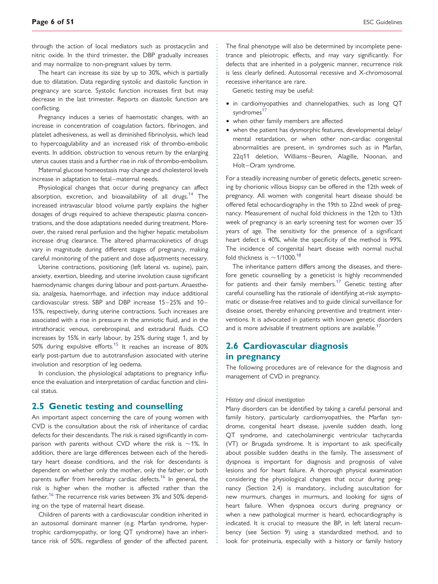through the action of local mediators such as prostacyclin and nitric oxide. In the third trimester, the DBP gradually increases and may normalize to non-pregnant values by term.

The heart can increase its size by up to 30%, which is partially due to dilatation. Data regarding systolic and diastolic function in pregnancy are scarce. Systolic function increases first but may decrease in the last trimester. Reports on diastolic function are conflicting.

Pregnancy induces a series of haemostatic changes, with an increase in concentration of coagulation factors, fibrinogen, and platelet adhesiveness, as well as diminished fibrinolysis, which lead to hypercoagulability and an increased risk of thrombo-embolic events. In addition, obstruction to venous return by the enlarging uterus causes stasis and a further rise in risk of thrombo-embolism.

Maternal glucose homeostasis may change and cholesterol levels increase in adaptation to fetal–maternal needs.

Physiological changes that occur during pregnancy can affect absorption, excretion, and bioavailability of all drugs.<sup>14</sup> The increased intravascular blood volume partly explains the higher dosages of drugs required to achieve therapeutic plasma concentrations, and the dose adaptations needed during treatment. Moreover, the raised renal perfusion and the higher hepatic metabolism increase drug clearance. The altered pharmacokinetics of drugs vary in magnitude during different stages of pregnancy, making careful monitoring of the patient and dose adjustments necessary.

Uterine contractions, positioning (left lateral vs. supine), pain, anxiety, exertion, bleeding, and uterine involution cause significant haemodynamic changes during labour and post-partum. Anaesthesia, analgesia, haemorrhage, and infection may induce additional cardiovascular stress. SBP and DBP increase 15–25% and 10– 15%, respectively, during uterine contractions. Such increases are associated with a rise in pressure in the amniotic fluid, and in the intrathoracic venous, cerebrospinal, and extradural fluids. CO increases by 15% in early labour, by 25% during stage 1, and by 50% during expulsive efforts.<sup>15</sup> It reaches an increase of 80% early post-partum due to autotransfusion associated with uterine involution and resorption of leg oedema.

In conclusion, the physiological adaptations to pregnancy influence the evaluation and interpretation of cardiac function and clinical status.

### 2.5 Genetic testing and counselling

An important aspect concerning the care of young women with CVD is the consultation about the risk of inheritance of cardiac defects for their descendants. The risk is raised significantly in comparison with parents without CVD where the risk is  $\sim$ 1%. In addition, there are large differences between each of the hereditary heart disease conditions, and the risk for descendants is dependent on whether only the mother, only the father, or both parents suffer from hereditary cardiac defects.<sup>16</sup> In general, the risk is higher when the mother is affected rather than the father.<sup>16</sup> The recurrence risk varies between 3% and 50% depending on the type of maternal heart disease.

Children of parents with a cardiovascular condition inherited in an autosomal dominant manner (e.g. Marfan syndrome, hypertrophic cardiomyopathy, or long QT syndrome) have an inheritance risk of 50%, regardless of gender of the affected parent. The final phenotype will also be determined by incomplete penetrance and pleiotropic effects, and may vary significantly. For defects that are inherited in a polygenic manner, recurrence risk is less clearly defined. Autosomal recessive and X-chromosomal recessive inheritance are rare.

Genetic testing may be useful:

- in cardiomyopathies and channelopathies, such as long QT syndromes<sup>17</sup>
- when other family members are affected
- when the patient has dysmorphic features, developmental delay/ mental retardation, or when other non-cardiac congenital abnormalities are present, in syndromes such as in Marfan, 22q11 deletion, Williams–Beuren, Alagille, Noonan, and Holt–Oram syndrome.

For a steadily increasing number of genetic defects, genetic screening by chorionic villous biopsy can be offered in the 12th week of pregnancy. All women with congenital heart disease should be offered fetal echocardiography in the 19th to 22nd week of pregnancy. Measurement of nuchal fold thickness in the 12th to 13th week of pregnancy is an early screening test for women over 35 years of age. The sensitivity for the presence of a significant heart defect is 40%, while the specificity of the method is 99%. The incidence of congenital heart disease with normal nuchal fold thickness is  $\sim$  1/1000.<sup>18</sup>

The inheritance pattern differs among the diseases, and therefore genetic counselling by a geneticist is highly recommended for patients and their family members.<sup>17</sup> Genetic testing after careful counselling has the rationale of identifying at-risk asymptomatic or disease-free relatives and to guide clinical surveillance for disease onset, thereby enhancing preventive and treatment interventions. It is advocated in patients with known genetic disorders and is more advisable if treatment options are available.<sup>17</sup>

### 2.6 Cardiovascular diagnosis in pregnancy

The following procedures are of relevance for the diagnosis and management of CVD in pregnancy.

#### History and clinical investigation

Many disorders can be identified by taking a careful personal and family history, particularly cardiomyopathies, the Marfan syndrome, congenital heart disease, juvenile sudden death, long QT syndrome, and catecholaminergic ventricular tachycardia (VT) or Brugada syndrome. It is important to ask specifically about possible sudden deaths in the family. The assessment of dyspnoea is important for diagnosis and prognosis of valve lesions and for heart failure. A thorough physical examination considering the physiological changes that occur during pregnancy (Section 2.4) is mandatory, including auscultation for new murmurs, changes in murmurs, and looking for signs of heart failure. When dyspnoea occurs during pregnancy or when a new pathological murmer is heard, echocardiography is indicated. It is crucial to measure the BP, in left lateral recumbency (see Section 9) using a standardized method, and to look for proteinuria, especially with a history or family history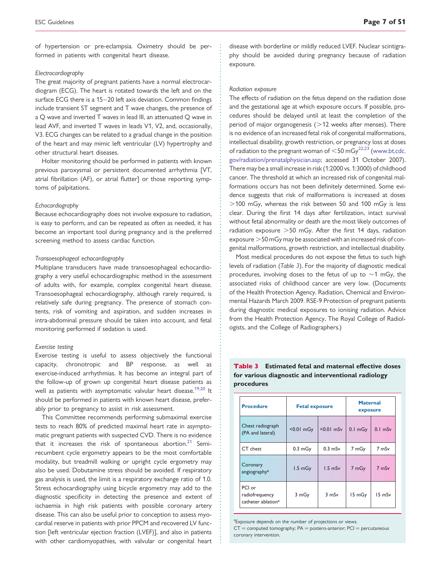of hypertension or pre-eclampsia. Oximetry should be performed in patients with congenital heart disease.

### Electrocardiography

The great majority of pregnant patients have a normal electrocardiogram (ECG). The heart is rotated towards the left and on the surface ECG there is a 15–20 left axis deviation. Common findings include transient ST segment and T wave changes, the presence of a Q wave and inverted T waves in lead III, an attenuated Q wave in lead AVF, and inverted T waves in leads V1, V2, and, occasionally, V3. ECG changes can be related to a gradual change in the position of the heart and may mimic left ventricular (LV) hypertrophy and other structural heart diseases.

Holter monitoring should be performed in patients with known previous paroxysmal or persistent documented arrhythmia [VT, atrial fibrillation (AF), or atrial flutter] or those reporting symptoms of palpitations.

### Echocardiography

Because echocardiography does not involve exposure to radiation, is easy to perform, and can be repeated as often as needed, it has become an important tool during pregnancy and is the preferred screening method to assess cardiac function.

### Transoesophageal echocardiography

Multiplane transducers have made transoesophageal echocardiography a very useful echocardiographic method in the assessment of adults with, for example, complex congenital heart disease. Transoesophageal echocardiography, although rarely required, is relatively safe during pregnancy. The presence of stomach contents, risk of vomiting and aspiration, and sudden increases in intra-abdominal pressure should be taken into account, and fetal monitoring performed if sedation is used.

#### Exercise testing

Exercise testing is useful to assess objectively the functional capacity, chronotropic and BP response, as well as exercise-induced arrhythmias. It has become an integral part of the follow-up of grown up congenital heart disease patients as well as patients with asymptomatic valvular heart disease.<sup>19,20</sup> lt should be performed in patients with known heart disease, preferably prior to pregnancy to assist in risk assessment.

This Committee recommends performing submaximal exercise tests to reach 80% of predicted maximal heart rate in asymptomatic pregnant patients with suspected CVD. There is no evidence that it increases the risk of spontaneous abortion.<sup>21</sup> Semirecumbent cycle ergometry appears to be the most comfortable modality, but treadmill walking or upright cycle ergometry may also be used. Dobutamine stress should be avoided. If respiratory gas analysis is used, the limit is a respiratory exchange ratio of 1.0. Stress echocardiography using bicycle ergometry may add to the diagnostic specificity in detecting the presence and extent of ischaemia in high risk patients with possible coronary artery disease. This can also be useful prior to conception to assess myocardial reserve in patients with prior PPCM and recovered LV function [left ventricular ejection fraction (LVEF)], and also in patients with other cardiomyopathies, with valvular or congenital heart disease with borderline or mildly reduced LVEF. Nuclear scintigraphy should be avoided during pregnancy because of radiation exposure.

### Radiation exposure

The effects of radiation on the fetus depend on the radiation dose and the gestational age at which exposure occurs. If possible, procedures should be delayed until at least the completion of the period of major organogenesis  $(>12$  weeks after menses). There is no evidence of an increased fetal risk of congenital malformations, intellectual disability, growth restriction, or pregnancy loss at doses of radiation to the pregnant woman of  $\leq$  50 mGy<sup>22,23</sup> [\(www.bt.cdc.](www.bt.cdc.gov/radiation/prenatalphysician.asp) [gov/radiation/prenatalphysician.asp](www.bt.cdc.gov/radiation/prenatalphysician.asp); accessed 31 October 2007). There may be a small increase in risk (1:2000 vs. 1:3000) of childhood cancer. The threshold at which an increased risk of congenital malformations occurs has not been definitely determined. Some evidence suggests that risk of malformations is increased at doses  $>$  100 mGy, whereas the risk between 50 and 100 mGy is less clear. During the first 14 days after fertilization, intact survival without fetal abnormality or death are the most likely outcomes of radiation exposure  $>50$  mGy. After the first 14 days, radiation exposure  $>$  50 mGy may be associated with an increased risk of congenital malformations, growth restriction, and intellectual disability.

Most medical procedures do not expose the fetus to such high levels of radiation (Table 3). For the majority of diagnostic medical procedures, involving doses to the fetus of up to  $\sim$ 1 mGy, the associated risks of childhood cancer are very low. (Documents of the Health Protection Agency. Radiation, Chemical and Environmental Hazards March 2009. RSE-9 Protection of pregnant patients during diagnostic medical exposures to ionising radiation. Advice from the Health Protection Agency, The Royal College of Radiologists, and the College of Radiographers.)

### **Procedure Fetal exposure Maternal exposure** Chest radiograph Criest radiograph  $\left| 0.01 \text{ mGy} \right| 0.01 \text{ mSv}$  0.1 mGy 0.1 mSv  $CT \text{ chest}$  0.3 mGy 0.3 mSv 7 mGy 7 mSv **Coronary** angiographya 1.5 mGy 1.5 mSv 7 mGy 7 mSv PCI or radiofrequency catheter ablation<sup>a</sup> 3 mGy 3 mSv 15 mGy 15 mSv

<sup>a</sup> Exposure depends on the number of projections or views.

 $CT = computed tomography; PA = posterior; PCI = percutaneous$ coronary intervention.

### Table 3 Estimated fetal and maternal effective doses for various diagnostic and interventional radiology procedures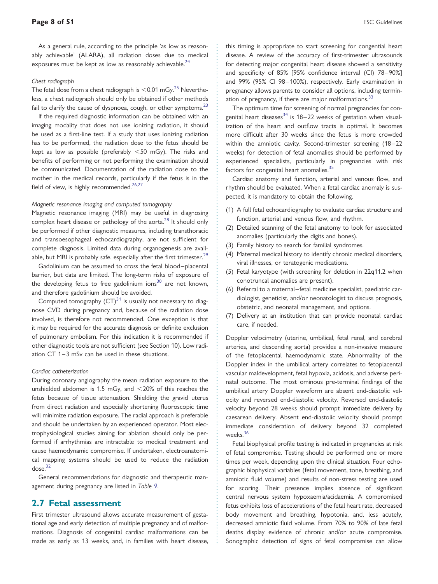As a general rule, according to the principle 'as low as reasonably achievable' (ALARA), all radiation doses due to medical exposures must be kept as low as reasonably achievable.<sup>24</sup>

### Chest radiograph

The fetal dose from a chest radiograph is  $<$  0.01 mGy.<sup>25</sup> Nevertheless, a chest radiograph should only be obtained if other methods fail to clarify the cause of dyspnoea, cough, or other symptoms. $^{23}$ 

If the required diagnostic information can be obtained with an imaging modality that does not use ionizing radiation, it should be used as a first-line test. If a study that uses ionizing radiation has to be performed, the radiation dose to the fetus should be kept as low as possible (preferably  $<$  50 mGy). The risks and benefits of performing or not performing the examination should be communicated. Documentation of the radiation dose to the mother in the medical records, particularly if the fetus is in the field of view, is highly recommended.<sup>26,27</sup>

#### Magnetic resonance imaging and computed tomography

Magnetic resonance imaging (MRI) may be useful in diagnosing complex heart disease or pathology of the aorta.<sup>28</sup> It should only be performed if other diagnostic measures, including transthoracic and transoesophageal echocardiography, are not sufficient for complete diagnosis. Limited data during organogenesis are available, but MRI is probably safe, especially after the first trimester.<sup>29</sup>

Gadolinium can be assumed to cross the fetal blood–placental barrier, but data are limited. The long-term risks of exposure of the developing fetus to free gadolinium ions $30$  are not known, and therefore gadolinium should be avoided.

Computed tomography  $(CT)^{31}$  is usually not necessary to diagnose CVD during pregnancy and, because of the radiation dose involved, is therefore not recommended. One exception is that it may be required for the accurate diagnosis or definite exclusion of pulmonary embolism. For this indication it is recommended if other diagnostic tools are not sufficient (see Section 10). Low radiation CT 1–3 mSv can be used in these situations.

### Cardiac catheterization

During coronary angiography the mean radiation exposure to the unshielded abdomen is 1.5 mGy, and  $\leq$  20% of this reaches the fetus because of tissue attenuation. Shielding the gravid uterus from direct radiation and especially shortening fluoroscopic time will minimize radiation exposure. The radial approach is preferable and should be undertaken by an experienced operator. Most electrophysiological studies aiming for ablation should only be performed if arrhythmias are intractable to medical treatment and cause haemodynamic compromise. If undertaken, electroanatomical mapping systems should be used to reduce the radiation dose.<sup>32</sup>

General recommendations for diagnostic and therapeutic management during pregnancy are listed in Table 9.

### 2.7 Fetal assessment

First trimester ultrasound allows accurate measurement of gestational age and early detection of multiple pregnancy and of malformations. Diagnosis of congenital cardiac malformations can be made as early as 13 weeks, and, in families with heart disease,

this timing is appropriate to start screening for congential heart disease. A review of the accuracy of first-trimester ultrasounds for detecting major congenital heart disease showed a sensitivity and specificity of 85% [95% confidence interval (CI) 78–90%] and 99% (95% CI 98–100%), respectively. Early examination in pregnancy allows parents to consider all options, including termination of pregnancy, if there are major malformations. $33$ 

The optimum time for screening of normal pregnancies for congenital heart diseases<sup>34</sup> is 18–22 weeks of gestation when visualization of the heart and outflow tracts is optimal. It becomes more difficult after 30 weeks since the fetus is more crowded within the amniotic cavity. Second-trimester screening (18–22 weeks) for detection of fetal anomalies should be performed by experienced specialists, particularly in pregnancies with risk factors for congenital heart anomalies.<sup>35</sup>

Cardiac anatomy and function, arterial and venous flow, and rhythm should be evaluated. When a fetal cardiac anomaly is suspected, it is mandatory to obtain the following.

- (1) A full fetal echocardiography to evaluate cardiac structure and function, arterial and venous flow, and rhythm.
- (2) Detailed scanning of the fetal anatomy to look for associated anomalies (particularly the digits and bones).
- (3) Family history to search for familial syndromes.
- (4) Maternal medical history to identify chronic medical disorders, viral illnesses, or teratogenic medications.
- (5) Fetal karyotype (with screening for deletion in 22q11.2 when conotruncal anomalies are present).
- (6) Referral to a maternal–fetal medicine specialist, paediatric cardiologist, geneticist, and/or neonatologist to discuss prognosis, obstetric, and neonatal management, and options.
- (7) Delivery at an institution that can provide neonatal cardiac care, if needed.

Doppler velocimetry (uterine, umbilical, fetal renal, and cerebral arteries, and descending aorta) provides a non-invasive measure of the fetoplacental haemodynamic state. Abnormality of the Doppler index in the umbilical artery correlates to fetoplacental vascular maldevelopment, fetal hypoxia, acidosis, and adverse perinatal outcome. The most ominous pre-terminal findings of the umbilical artery Doppler waveform are absent end-diastolic velocity and reversed end-diastolic velocity. Reversed end-diastolic velocity beyond 28 weeks should prompt immediate delivery by caesarean delivery. Absent end-diastolic velocity should prompt immediate consideration of delivery beyond 32 completed weeks.<sup>36</sup>

Fetal biophysical profile testing is indicated in pregnancies at risk of fetal compromise. Testing should be performed one or more times per week, depending upon the clinical situation. Four echographic biophysical variables (fetal movement, tone, breathing, and amniotic fluid volume) and results of non-stress testing are used for scoring. Their presence implies absence of significant central nervous system hypoxaemia/acidaemia. A compromised fetus exhibits loss of accelerations of the fetal heart rate, decreased body movement and breathing, hypotonia, and, less acutely, decreased amniotic fluid volume. From 70% to 90% of late fetal deaths display evidence of chronic and/or acute compromise. Sonographic detection of signs of fetal compromise can allow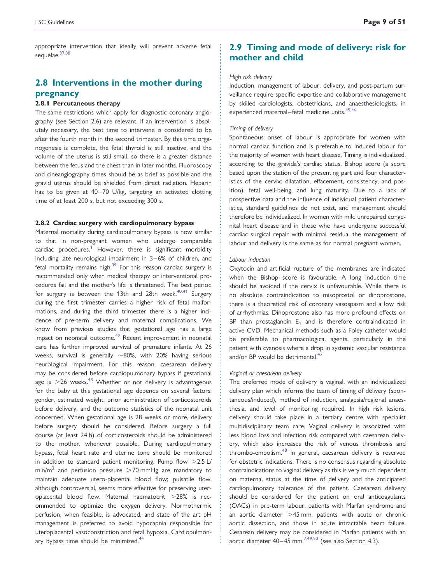appropriate intervention that ideally will prevent adverse fetal sequelae.<sup>37,38</sup>

### 2.8 Interventions in the mother during pregnancy

### 2.8.1 Percutaneous therapy

The same restrictions which apply for diagnostic coronary angiography (see Section 2.6) are relevant. If an intervention is absolutely necessary, the best time to intervene is considered to be after the fourth month in the second trimester. By this time organogenesis is complete, the fetal thyroid is still inactive, and the volume of the uterus is still small, so there is a greater distance between the fetus and the chest than in later months. Fluoroscopy and cineangiography times should be as brief as possible and the gravid uterus should be shielded from direct radiation. Heparin has to be given at 40–70 U/kg, targeting an activated clotting time of at least 200 s, but not exceeding 300 s.

### 2.8.2 Cardiac surgery with cardiopulmonary bypass

Maternal mortality during cardiopulmonary bypass is now similar to that in non-pregnant women who undergo comparable cardiac procedures.<sup>1</sup> However, there is significant morbidity including late neurological impairment in 3–6% of children, and fetal mortality remains high. $^{39}$  For this reason cardiac surgery is recommended only when medical therapy or interventional procedures fail and the mother's life is threatened. The best period for surgery is between the 13th and 28th week. $40,41$  Surgery during the first trimester carries a higher risk of fetal malformations, and during the third trimester there is a higher incidence of pre-term delivery and maternal complications. We know from previous studies that gestational age has a large impact on neonatal outcome.<sup>42</sup> Recent improvement in neonatal care has further improved survival of premature infants. At 26 weeks, survival is generally  $\sim$ 80%, with 20% having serious neurological impairment. For this reason, caesarean delivery may be considered before cardiopulmonary bypass if gestational age is  $>$ 26 weeks.<sup>43</sup> Whether or not delivery is advantageous for the baby at this gestational age depends on several factors: gender, estimated weight, prior administration of corticosteroids before delivery, and the outcome statistics of the neonatal unit concerned. When gestational age is 28 weeks or more, delivery before surgery should be considered. Before surgery a full course (at least 24 h) of corticosteroids should be administered to the mother, whenever possible. During cardiopulmonary bypass, fetal heart rate and uterine tone should be monitored in addition to standard patient monitoring. Pump flow  $>$  2.5 L/  $min/m<sup>2</sup>$  and perfusion pressure  $>70$  mmHg are mandatory to maintain adequate utero-placental blood flow; pulsatile flow, although controversial, seems more effective for preserving uteroplacental blood flow. Maternal haematocrit  $>$ 28% is recommended to optimize the oxygen delivery. Normothermic perfusion, when feasible, is advocated, and state of the art pH management is preferred to avoid hypocapnia responsible for uteroplacental vasoconstriction and fetal hypoxia. Cardiopulmonary bypass time should be minimized.<sup>44</sup>

### 2.9 Timing and mode of delivery: risk for mother and child

### High risk delivery

Induction, management of labour, delivery, and post-partum surveillance require specific expertise and collaborative management by skilled cardiologists, obstetricians, and anaesthesiologists, in experienced maternal–fetal medicine units.<sup>45,46</sup>

#### Timing of delivery

Spontaneous onset of labour is appropriate for women with normal cardiac function and is preferable to induced labour for the majority of women with heart disease. Timing is individualized, according to the gravida's cardiac status, Bishop score (a score based upon the station of the presenting part and four characteristics of the cervix: dilatation, effacement, consistency, and position), fetal well-being, and lung maturity. Due to a lack of prospective data and the influence of individual patient characteristics, standard guidelines do not exist, and management should therefore be individualized. In women with mild unrepaired congenital heart disease and in those who have undergone successful cardiac surgical repair with minimal residua, the management of labour and delivery is the same as for normal pregnant women.

### Labour induction

Oxytocin and artificial rupture of the membranes are indicated when the Bishop score is favourable. A long induction time should be avoided if the cervix is unfavourable. While there is no absolute contraindication to misoprostol or dinoprostone, there is a theoretical risk of coronary vasospasm and a low risk of arrhythmias. Dinoprostone also has more profound effects on BP than prostaglandin  $E_1$  and is therefore contraindicated in active CVD. Mechanical methods such as a Foley catheter would be preferable to pharmacological agents, particularly in the patient with cyanosis where a drop in systemic vascular resistance and/or BP would be detrimental. $47$ 

#### Vaginal or caesarean delivery

The preferred mode of delivery is vaginal, with an individualized delivery plan which informs the team of timing of delivery (spontaneous/induced), method of induction, analgesia/regional anaesthesia, and level of monitoring required. In high risk lesions, delivery should take place in a tertiary centre with specialist multidisciplinary team care. Vaginal delivery is associated with less blood loss and infection risk compared with caesarean delivery, which also increases the risk of venous thrombosis and thrombo-embolism.<sup>48</sup> In general, caesarean delivery is reserved for obstetric indications. There is no consensus regarding absolute contraindications to vaginal delivery as this is very much dependent on maternal status at the time of delivery and the anticipated cardiopulmonary tolerance of the patient. Caesarean delivery should be considered for the patient on oral anticoagulants (OACs) in pre-term labour, patients with Marfan syndrome and an aortic diameter  $>45$  mm, patients with acute or chronic aortic dissection, and those in acute intractable heart failure. Cesarean delivery may be considered in Marfan patients with an aortic diameter 40–45 mm. $^{7,49,50}$  (see also Section 4.3).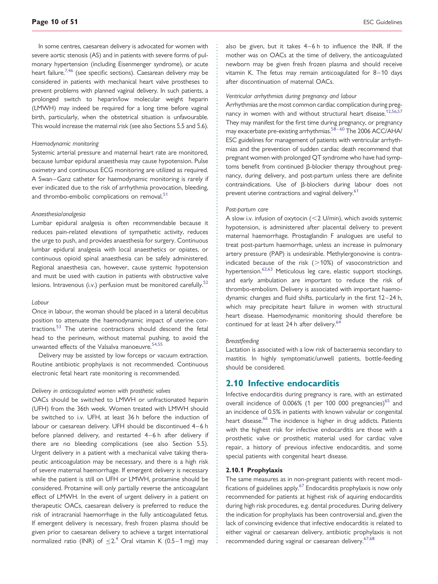In some centres, caesarean delivery is advocated for women with severe aortic stenosis (AS) and in patients with severe forms of pulmonary hypertension (including Eisenmenger syndrome), or acute heart failure.<sup>7,46</sup> (see specific sections). Caesarean delivery may be considered in patients with mechanical heart valve prostheses to prevent problems with planned vaginal delivery. In such patients, a prolonged switch to heparin/low molecular weight heparin (LMWH) may indeed be required for a long time before vaginal birth, particularly, when the obstetrical situation is unfavourable. This would increase the maternal risk (see also Sections 5.5 and 5.6).

#### Haemodynamic monitoring

Systemic arterial pressure and maternal heart rate are monitored, because lumbar epidural anaesthesia may cause hypotension. Pulse oximetry and continuous ECG monitoring are utilized as required. A Swan–Ganz catheter for haemodynamic monitoring is rarely if ever indicated due to the risk of arrhythmia provocation, bleeding, and thrombo-embolic complications on removal.<sup>51</sup>

### Anaesthesia/analgesia

Lumbar epidural analgesia is often recommendable because it reduces pain-related elevations of sympathetic activity, reduces the urge to push, and provides anaesthesia for surgery. Continuous lumbar epidural analgesia with local anaesthetics or opiates, or continuous opioid spinal anaesthesia can be safely administered. Regional anaesthesia can, however, cause systemic hypotension and must be used with caution in patients with obstructive valve lesions. Intravenous (i.v.) perfusion must be monitored carefully.<sup>52</sup>

### Labour

Once in labour, the woman should be placed in a lateral decubitus position to attenuate the haemodynamic impact of uterine contractions.<sup>53</sup> The uterine contractions should descend the fetal head to the perineum, without maternal pushing, to avoid the unwanted effects of the Valsalva manoeuvre.<sup>54,55</sup>

Delivery may be assisted by low forceps or vacuum extraction. Routine antibiotic prophylaxis is not recommended. Continuous electronic fetal heart rate monitoring is recommended.

#### Delivery in anticoagulated women with prosthetic valves

OACs should be switched to LMWH or unfractionated heparin (UFH) from the 36th week. Women treated with LMWH should be switched to i.v. UFH, at least 36 h before the induction of labour or caesarean delivery. UFH should be discontinued 4–6 h before planned delivery, and restarted 4–6 h after delivery if there are no bleeding complications (see also Section 5.5). Urgent delivery in a patient with a mechanical valve taking therapeutic anticoagulation may be necessary, and there is a high risk of severe maternal haemorrhage. If emergent delivery is necessary while the patient is still on UFH or LMWH, protamine should be considered. Protamine will only partially reverse the anticoagulant effect of LMWH. In the event of urgent delivery in a patient on therapeutic OACs, caesarean delivery is preferred to reduce the risk of intracranial haemorrhage in the fully anticoagulated fetus. If emergent delivery is necessary, fresh frozen plasma should be given prior to caesarean delivery to achieve a target international normalized ratio (INR) of  $\leq 2$ .<sup>4</sup> Oral vitamin K (0.5–1 mg) may

also be given, but it takes 4–6 h to influence the INR. If the mother was on OACs at the time of delivery, the anticoagulated newborn may be given fresh frozen plasma and should receive vitamin K. The fetus may remain anticoagulated for 8–10 days after discontinuation of maternal OACs.

### Ventricular arrhythmias during pregnancy and labour

Arrhythmias are the most common cardiac complication during pregnancy in women with and without structural heart disease.<sup>12,56,57</sup> They may manifest for the first time during pregnancy, or pregnancy may exacerbate pre-existing arrhythmias.<sup>58-60</sup> The 2006 ACC/AHA/ ESC guidelines for management of patients with ventricular arrhythmias and the prevention of sudden cardiac death recommend that pregnant women with prolonged QT syndrome who have had symptoms benefit from continued  $\beta$ -blocker therapy throughout pregnancy, during delivery, and post-partum unless there are definite contraindications. Use of  $\beta$ -blockers during labour does not prevent uterine contractions and vaginal delivery.<sup>61</sup>

#### Post-partum care

A slow i.v. infusion of oxytocin  $(<$  2 U/min), which avoids systemic hypotension, is administered after placental delivery to prevent maternal haemorrhage. Prostaglandin F analogues are useful to treat post-partum haemorrhage, unless an increase in pulmonary artery pressure (PAP) is undesirable. Methylergonovine is contraindicated because of the risk  $(>10%)$  of vasoconstriction and hypertension.<sup>62,63</sup> Meticulous leg care, elastic support stockings, and early ambulation are important to reduce the risk of thrombo-embolism. Delivery is associated with important haemodynamic changes and fluid shifts, particularly in the first 12–24 h, which may precipitate heart failure in women with structural heart disease. Haemodynamic monitoring should therefore be continued for at least 24 h after delivery.<sup>64</sup>

#### Breastfeeding

Lactation is associated with a low risk of bacteraemia secondary to mastitis. In highly symptomatic/unwell patients, bottle-feeding should be considered.

### 2.10 Infective endocarditis

Infective endocarditis during pregnancy is rare, with an estimated overall incidence of 0.006% (1 per 100 000 pregnancies)<sup>65</sup> and an incidence of 0.5% in patients with known valvular or congenital heart disease.<sup>66</sup> The incidence is higher in drug addicts. Patients with the highest risk for infective endocarditis are those with a prosthetic valve or prosthetic material used for cardiac valve repair, a history of previous infective endocarditis, and some special patients with congenital heart disease.

### 2.10.1 Prophylaxis

The same measures as in non-pregnant patients with recent modifications of guidelines apply.<sup>67</sup> Endocarditis prophylaxis is now only recommended for patients at highest risk of aquiring endocarditis during high risk procedures, e.g. dental procedures. During delivery the indication for prophylaxis has been controversial and, given the lack of convincing evidence that infective endocarditis is related to either vaginal or caesarean delivery, antibiotic prophylaxis is not recommended during vaginal or caesarean delivery.<sup>67,68</sup>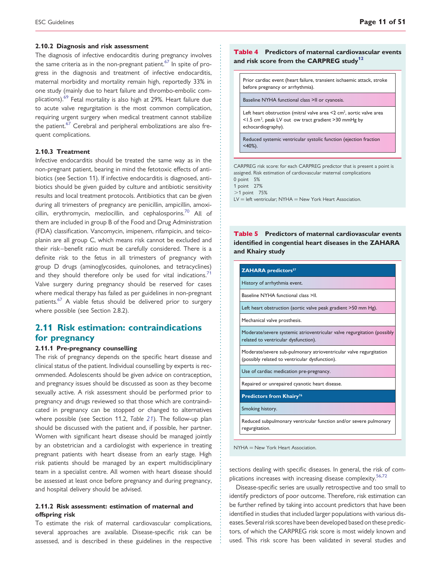#### 2.10.2 Diagnosis and risk assessment

The diagnosis of infective endocarditis during pregnancy involves the same criteria as in the non-pregnant patient.<sup>67</sup> In spite of progress in the diagnosis and treatment of infective endocarditis, maternal morbidity and mortality remain high, reportedly 33% in one study (mainly due to heart failure and thrombo-embolic complications).<sup>69</sup> Fetal mortality is also high at 29%. Heart failure due to acute valve regurgitation is the most common complication, requiring urgent surgery when medical treatment cannot stabilize the patient.<sup>67</sup> Cerebral and peripheral embolizations are also frequent complications.

### 2.10.3 Treatment

Infective endocarditis should be treated the same way as in the non-pregnant patient, bearing in mind the fetotoxic effects of antibiotics (see Section 11). If infective endocarditis is diagnosed, antibiotics should be given guided by culture and antibiotic sensitivity results and local treatment protocols. Antibiotics that can be given during all trimesters of pregnancy are penicillin, ampicillin, amoxicillin, erythromycin, mezlocillin, and cephalosporins.<sup>70</sup> All of them are included in group B of the Food and Drug Administration (FDA) classification. Vancomycin, imipenem, rifampicin, and teicoplanin are all group C, which means risk cannot be excluded and their risk–benefit ratio must be carefully considered. There is a definite risk to the fetus in all trimesters of pregnancy with group D drugs (aminoglycosides, quinolones, and tetracyclines) and they should therefore only be used for vital indications. $71$ Valve surgery during pregnancy should be reserved for cases where medical therapy has failed as per guidelines in non-pregnant patients.<sup>67</sup> A viable fetus should be delivered prior to surgery where possible (see Section 2.8.2).

### 2.11 Risk estimation: contraindications for pregnancy

### 2.11.1 Pre-pregnancy counselling

The risk of pregnancy depends on the specific heart disease and clinical status of the patient. Individual counselling by experts is recommended. Adolescents should be given advice on contraception, and pregnancy issues should be discussed as soon as they become sexually active. A risk assessment should be performed prior to pregnancy and drugs reviewed so that those which are contraindicated in pregnancy can be stopped or changed to alternatives where possible (see Section 11.2, Table 21). The follow-up plan should be discussed with the patient and, if possible, her partner. Women with significant heart disease should be managed jointly by an obstetrician and a cardiologist with experience in treating pregnant patients with heart disease from an early stage. High risk patients should be managed by an expert multidisciplinary team in a specialist centre. All women with heart disease should be assessed at least once before pregnancy and during pregnancy, and hospital delivery should be advised.

### 2.11.2 Risk assessment: estimation of maternal and offspring risk

To estimate the risk of maternal cardiovascular complications, several approaches are available. Disease-specific risk can be assessed, and is described in these guidelines in the respective

### Table 4 Predictors of maternal cardiovascular events and risk score from the CARPREG study<sup>12</sup>

Prior cardiac event (heart failure, transient ischaemic attack, stroke before pregnancy or arrhythmia).

Baseline NYHA functional class >II or cyanosis.

Left heart obstruction (mitral valve area  $\leq 2$  cm<sup>2</sup>, aortic valve area  $\le$ 1.5 cm<sup>2</sup>, peak LV out ow tract gradient  $\ge$ 30 mmHg by echocardiography).

Reduced systemic ventricular systolic function (ejection fraction  $<$ 40%).

CARPREG risk score: for each CARPREG predictor that is present a point is assigned. Risk estimation of cardiovascular maternal complications 0 point 5%

1 point 27%

 $>1$  point 75%

 $LV = left$  ventricular; NYHA  $=$  New York Heart Association.

Table 5 Predictors of maternal cardiovascular events identified in congential heart diseases in the ZAHARA and Khairy study

**ZAHARA predictors57**

History of arrhythmia event.

Baseline NYHA functional class >II.

Left heart obstruction (aortic valve peak gradient >50 mm Hg).

Mechanical valve prosthesis.

Moderate/severe systemic atrioventricular valve regurgitation (possibly related to ventricular dysfunction).

Moderate/severe sub-pulmonary atrioventricular valve regurgitation (possibly related to ventricular dysfunction).

Use of cardiac medication pre-pregnancy.

Repaired or unrepaired cyanotic heart disease.

**Predictors from Khairy<sup>76</sup>** 

Smoking history.

Reduced subpulmonary ventricular function and/or severe pulmonary regurgitation.

 $NYHA = New York Heart Association.$ 

sections dealing with specific diseases. In general, the risk of complications increases with increasing disease complexity.<sup>56,72</sup>

Disease-specific series are usually retrospective and too small to identify predictors of poor outcome. Therefore, risk estimation can be further refined by taking into account predictors that have been identified in studies that included larger populations with various diseases.Several risk scores have been developed based on these predictors, of which the CARPREG risk score is most widely known and used. This risk score has been validated in several studies and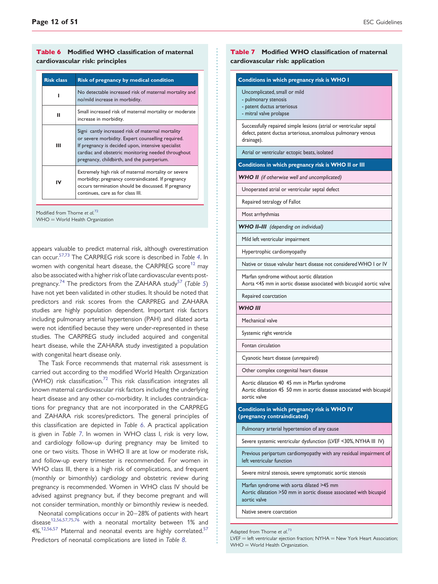### Table 6 Modified WHO classification of maternal cardiovascular risk: principles

| <b>Risk class</b> | Risk of pregnancy by medical condition                                                                                                                                                                                                                           |
|-------------------|------------------------------------------------------------------------------------------------------------------------------------------------------------------------------------------------------------------------------------------------------------------|
|                   | No detectable increased risk of maternal mortality and<br>no/mild increase in morbidity.                                                                                                                                                                         |
| н                 | Small increased risk of maternal mortality or moderate<br>increase in morbidity.                                                                                                                                                                                 |
| ш                 | Signi cantly increased risk of maternal mortality<br>or severe morbidity. Expert counselling required.<br>If pregnancy is decided upon, intensive specialist<br>cardiac and obstetric monitoring needed throughout<br>pregnancy, childbirth, and the puerperium. |
| IV                | Extremely high risk of maternal mortality or severe<br>morbidity; pregnancy contraindicated. If pregnancy<br>occurs termination should be discussed. If pregnancy<br>continues, care as for class III.                                                           |

Modified from Thorne et al.<sup>72</sup>

 $WHO = World Health Organization$ 

appears valuable to predict maternal risk, although overestimation can occur.57,73 The CARPREG risk score is described in Table 4. In women with congenital heart disease, the CARPREG score<sup>12</sup> may also be associated with a higher risk of late cardiovascular events postpregnancy.<sup>74</sup> The predictors from the ZAHARA study<sup>57</sup> (Table 5) have not yet been validated in other studies. It should be noted that predictors and risk scores from the CARPREG and ZAHARA studies are highly population dependent. Important risk factors including pulmonary arterial hypertension (PAH) and dilated aorta were not identified because they were under-represented in these studies. The CARPREG study included acquired and congenital heart disease, while the ZAHARA study investigated a population with congenital heart disease only.

The Task Force recommends that maternal risk assessment is carried out according to the modified World Health Organization (WHO) risk classification.<sup>72</sup> This risk classification integrates all known maternal cardiovascular risk factors including the underlying heart disease and any other co-morbidity. It includes contraindications for pregnancy that are not incorporated in the CARPREG and ZAHARA risk scores/predictors. The general principles of this classification are depicted in Table 6. A practical application is given in Table 7. In women in WHO class I, risk is very low, and cardiology follow-up during pregnancy may be limited to one or two visits. Those in WHO II are at low or moderate risk, and follow-up every trimester is recommended. For women in WHO class III, there is a high risk of complications, and frequent (monthly or bimonthly) cardiology and obstetric review during pregnancy is recommended. Women in WHO class IV should be advised against pregnancy but, if they become pregnant and will not consider termination, monthly or bimonthly review is needed.

Neonatal complications occur in 20–28% of patients with heart disease<sup>12,56,57,75,76</sup> with a neonatal mortality between 1% and 4%.<sup>12,56,57</sup> Maternal and neonatal events are highly correlated.<sup>57</sup> Predictors of neonatal complications are listed in Table 8.

### Table 7 Modified WHO classification of maternal cardiovascular risk: application

| Conditions in which pregnancy risk is WHO I                                                                                                      |
|--------------------------------------------------------------------------------------------------------------------------------------------------|
| Uncomplicated, small or mild<br>- pulmonary stenosis<br>- patent ductus arteriosus<br>- mitral valve prolapse                                    |
| Successfully repaired simple lesions (atrial or ventricular septal<br>defect, patent ductus arteriosus, anomalous pulmonary venous<br>drainage). |
| Atrial or ventricular ectopic beats, isolated                                                                                                    |
| Conditions in which pregnancy risk is WHO II or III                                                                                              |
| <b>WHO II</b> (if otherwise well and uncomplicated)                                                                                              |
| Unoperated atrial or ventricular septal defect                                                                                                   |
| Repaired tetralogy of Fallot                                                                                                                     |
| Most arrhythmias                                                                                                                                 |
| <b>WHO II-III</b> (depending on individual)                                                                                                      |
| Mild left ventricular impairment                                                                                                                 |
| Hypertrophic cardiomyopathy                                                                                                                      |
| Native or tissue valvular heart disease not considered WHO I or IV                                                                               |
| Marfan syndrome without aortic dilatation<br>Aorta <45 mm in aortic disease associated with bicuspid aortic valve                                |
| Repaired coarctation                                                                                                                             |
| WHO III                                                                                                                                          |
| Mechanical valve                                                                                                                                 |
| Systemic right ventricle                                                                                                                         |
| Fontan circulation                                                                                                                               |
| Cyanotic heart disease (unrepaired)                                                                                                              |
| Other complex congenital heart disease                                                                                                           |
| Aortic dilatation 40 45 mm in Marfan syndrome<br>Aortic dilatation 45 50 mm in aortic disease associated with bicuspid<br>aortic valve           |
| Conditions in which pregnancy risk is WHO IV<br>(pregnancy contraindicated)                                                                      |
| Pulmonary arterial hypertension of any cause                                                                                                     |
| Severe systemic ventricular dysfunction (LVEF <30%, NYHA III IV)                                                                                 |
| Previous peripartum cardiomyopathy with any residual impairment of<br>left ventricular function                                                  |
| Severe mitral stenosis, severe symptomatic aortic stenosis                                                                                       |
| Marfan syndrome with aorta dilated >45 mm<br>Aortic dilatation >50 mm in aortic disease associated with bicuspid<br>aortic valve                 |
| Native severe coarctation                                                                                                                        |

Adapted from Thorne et al.<sup>73</sup>

 $LVEF = left$  ventricular ejection fraction; NYHA = New York Heart Association;  $WHO = World Health Organization.$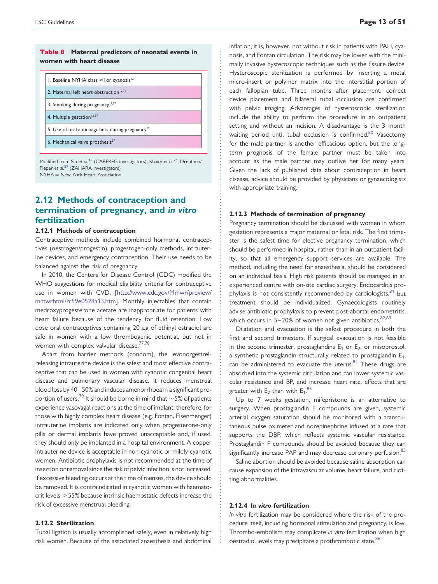### Table 8 Maternal predictors of neonatal events in women with heart disease

| 2. Maternal left heart obstruction <sup>12,76</sup>          |  |
|--------------------------------------------------------------|--|
| 3. Smoking during pregnancy <sup>12,57</sup>                 |  |
| 4. Multiple gestation <sup>12,57</sup>                       |  |
| 5. Use of oral anticoagulants during pregnancy <sup>12</sup> |  |
| 6. Mechanical valve prosthesis <sup>57</sup>                 |  |

Modified from Siu et al.<sup>12</sup> (CARPREG investigators); Khairy et al.<sup>76</sup>; Drenthen/ Piener et al.<sup>57</sup> (ZAHARA investigators).  $NYHA = New York Heart Association.$ 

### 2.12 Methods of contraception and termination of pregnancy, and in vitro fertilization

### 2.12.1 Methods of contraception

Contraceptive methods include combined hormonal contraceptives (oestrogen/progestin), progestogen-only methods, intrauterine devices, and emergency contraception. Their use needs to be balanced against the risk of pregnancy.

In 2010, the Centers for Disease Control (CDC) modified the WHO suggestions for medical eligibility criteria for contraceptive use in women with CVD. [\[http://www.cdc.gov/Mmwr/preview/](http://www.cdc.gov/Mmwr/preview/mmwrhtml/rr59e0528a13.htm) [mmwrhtml/rr59e0528a13.htm](http://www.cdc.gov/Mmwr/preview/mmwrhtml/rr59e0528a13.htm)]. Monthly injectables that contain medroxyprogesterone acetate are inappropriate for patients with heart failure because of the tendency for fluid retention. Low dose oral contraceptives containing  $20 \mu$ g of ethinyl estradiol are safe in women with a low thrombogenic potential, but not in women with complex valvular disease.<sup>77,78</sup>

Apart from barrier methods (condom), the levonorgestrelreleasing intrauterine device is the safest and most effective contraceptive that can be used in women with cyanotic congenital heart disease and pulmonary vascular disease. It reduces menstrual blood loss by 40–50% and induces amenorrhoea in a significant proportion of users.<sup>79</sup> It should be borne in mind that  $\sim$  5% of patients experience vasovagal reactions at the time of implant; therefore, for those with highly complex heart disease (e.g. Fontan, Eisenmenger) intrauterine implants are indicated only when progesterone-only pills or dermal implants have proved unacceptable and, if used, they should only be implanted in a hospital environment. A copper intrauterine device is acceptable in non-cyanotic or mildly cyanotic women. Antibiotic prophylaxis is not recommended at the time of insertion or removal since the risk of pelvic infection is not increased. If excessive bleeding occurs at the time of menses, the device should be removed. It is contraindicated in cyanotic women with haematocrit levels  $>$  55% because intrinsic haemostatic defects increase the risk of excessive menstrual bleeding.

#### 2.12.2 Sterilization

Tubal ligation is usually accomplished safely, even in relatively high risk women. Because of the associated anaesthesia and abdominal inflation, it is, however, not without risk in patients with PAH, cyanosis, and Fontan circulation. The risk may be lower with the minimally invasive hysteroscopic techniques such as the Essure device. Hysteroscopic sterilization is performed by inserting a metal micro-insert or polymer matrix into the interstitial portion of each fallopian tube. Three months after placement, correct device placement and bilateral tubal occlusion are confirmed with pelvic imaging. Advantages of hysteroscopic sterilization include the ability to perform the procedure in an outpatient setting and without an incision. A disadvantage is the 3 month waiting period until tubal occlusion is confirmed.<sup>80</sup> Vasectomy for the male partner is another efficacious option, but the longterm prognosis of the female partner must be taken into account as the male partner may outlive her for many years. Given the lack of published data about contraception in heart disease, advice should be provided by physicians or gynaecologists with appropriate training.

### 2.12.3 Methods of termination of pregnancy

Pregnancy termination should be discussed with women in whom gestation represents a major maternal or fetal risk. The first trimester is the safest time for elective pregnancy termination, which should be performed in hospital, rather than in an outpatient facility, so that all emergency support services are available. The method, including the need for anaesthesia, should be considered on an individual basis. High risk patients should be managed in an experienced centre with on-site cardiac surgery. Endocarditis prophylaxis is not consistently recommended by cardiologists, $81$  but treatment should be individualized. Gynaecologists routinely advise antibiotic prophylaxis to prevent post-abortal endometritis, which occurs in  $5-20\%$  of women not given antibiotics.<sup>82,83</sup>

Dilatation and evacuation is the safest procedure in both the first and second trimesters. If surgical evacuation is not feasible in the second trimester, prostaglandins  $E_1$  or  $E_2$ , or misoprostol, a synthetic prostaglandin structurally related to prostaglandin  $E_1$ , can be administered to evacuate the uterus.<sup>84</sup> These drugs are absorbed into the systemic circulation and can lower systemic vascular resistance and BP, and increase heart rate, effects that are greater with  $E_2$  than with  $E_1$ .<sup>85</sup>

Up to 7 weeks gestation, mifepristone is an alternative to surgery. When prostaglandin E compounds are given, systemic arterial oxygen saturation should be monitored with a transcutaneous pulse oximeter and norepinephrine infused at a rate that supports the DBP, which reflects systemic vascular resistance. Prostaglandin F compounds should be avoided because they can significantly increase PAP and may decrease coronary perfusion.<sup>85</sup>

Saline abortion should be avoided because saline absorption can cause expansion of the intravascular volume, heart failure, and clotting abnormalities.

### 2.12.4 In vitro fertilization

In vitro fertilization may be considered where the risk of the procedure itself, including hormonal stimulation and pregnancy, is low. Thrombo-embolism may complicate in vitro fertilization when high oestradiol levels may precipitate a prothrombotic state.<sup>86</sup>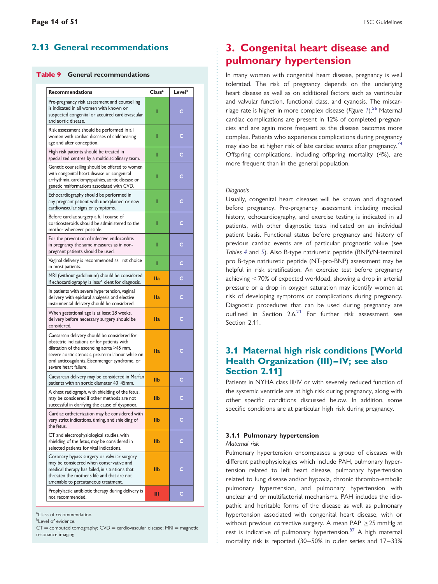### Table 9 General recommendations

| <b>Recommendations</b>                                                                                                                                                                                                                                               | Class <sup>a</sup> | Level <sup>b</sup> |
|----------------------------------------------------------------------------------------------------------------------------------------------------------------------------------------------------------------------------------------------------------------------|--------------------|--------------------|
| Pre-pregnancy risk assessment and counselling<br>is indicated in all women with known or<br>suspected congenital or acquired cardiovascular<br>and aortic disease.                                                                                                   | I                  | c                  |
| Risk assessment should be performed in all<br>women with cardiac diseases of childbearing<br>age and after conception.                                                                                                                                               | Π                  | c                  |
| High risk patients should be treated in<br>specialized centres by a multidisciplinary team.                                                                                                                                                                          | Π                  | с                  |
| Genetic counselling should be offered to women<br>with congenital heart disease or congenital<br>arrhythmia, cardiomyopathies, aortic disease or<br>genetic malformations associated with CVD.                                                                       | П                  | с                  |
| Echocardiography should be performed in<br>any pregnant patient with unexplained or new<br>cardiovascular signs or symptoms.                                                                                                                                         | П                  | с                  |
| Before cardiac surgery a full course of<br>corticosteroids should be administered to the<br>mother whenever possible.                                                                                                                                                | П                  | c                  |
| For the prevention of infective endocarditis<br>in pregnancy the same measures as in non-<br>pregnant patients should be used.                                                                                                                                       | ī                  | с                  |
| Vaginal delivery is recommended as rst choice<br>in most patients.                                                                                                                                                                                                   | П                  | c                  |
| MRI (without gadolinium) should be considered<br>if echocardiography is insuf cient for diagnosis.                                                                                                                                                                   | <b>Ila</b>         | с                  |
| In patients with severe hypertension, vaginal<br>delivery with epidural analgesia and elective<br>instrumental delivery should be considered.                                                                                                                        | <b>Ila</b>         | c                  |
| When gestational age is at least 28 weeks,<br>delivery before necessary surgery should be<br>considered.                                                                                                                                                             | <b>Ila</b>         | c                  |
| Caesarean delivery should be considered for<br>obstetric indications or for patients with<br>dilatation of the ascending aorta >45 mm,<br>severe aortic stenosis, pre-term labour while on<br>oral anticoagulants, Eisenmenger syndrome, or<br>severe heart failure. | <b>Ila</b>         | с                  |
| Caesarean delivery may be considered in Marfan<br>patients with an aortic diameter 40 45mm.                                                                                                                                                                          | <b>IIb</b>         | c                  |
| A chest radiograph, with shielding of the fetus,<br>may be considered if other methods are not<br>successful in clarifying the cause of dyspnoea.                                                                                                                    | <b>IIb</b>         | c                  |
| Cardiac catheterization may be considered with<br>very strict indications, timing, and shielding of<br>the fetus.                                                                                                                                                    | <b>IIb</b>         | с                  |
| CT and electrophysiological studies, with<br>shielding of the fetus, may be considered in<br>selected patients for vital indications.                                                                                                                                | <b>IIb</b>         | с                  |
| Coronary bypass surgery or valvular surgery<br>may be considered when conservative and<br>medical therapy has failed, in situations that<br>threaten the mothers life and that are not<br>amenable to percutaneous treatment.                                        | <b>IIb</b>         | c                  |
| Prophylactic antibiotic therapy during delivery is<br>not recommended.                                                                                                                                                                                               | Ш                  | с                  |

<sup>a</sup>Class of recommendation.

**b**Level of evidence.

 $CT = computed tomography$ ;  $CVD = cardiovascular disease$ ;  $MRI = magnetic$ resonance imaging

### 2.13 General recommendations 12.13 General recommendations pulmonary hypertension

In many women with congenital heart disease, pregnancy is well tolerated. The risk of pregnancy depends on the underlying heart disease as well as on additional factors such as ventricular and valvular function, functional class, and cyanosis. The miscarriage rate is higher in more complex disease (Figure 1).<sup>56</sup> Maternal cardiac complications are present in 12% of completed pregnancies and are again more frequent as the disease becomes more complex. Patients who experience complications during pregnancy may also be at higher risk of late cardiac events after pregnancy.<sup>74</sup> Offspring complications, including offspring mortality (4%), are more frequent than in the general population.

#### Diagnosis

Usually, congenital heart diseases will be known and diagnosed before pregnancy. Pre-pregnancy assessment including medical history, echocardiography, and exercise testing is indicated in all patients, with other diagnostic tests indicated on an individual patient basis. Functional status before pregnancy and history of previous cardiac events are of particular prognostic value (see Tables 4 and 5). Also B-type natriuretic peptide (BNP)/N-terminal pro B-type natriuretic peptide (NT-pro-BNP) assessment may be helpful in risk stratification. An exercise test before pregnancy achieving <70% of expected workload, showing a drop in arterial pressure or a drop in oxygen saturation may identify women at risk of developing symptoms or complications during pregnancy. Diagnostic procedures that can be used during pregnancy are outlined in Section  $2.6<sup>21</sup>$  For further risk assessment see Section 2.11.

### 3.1 Maternal high risk conditions [World Health Organization (III)–IV; see also Section 2.11]

Patients in NYHA class III/IV or with severely reduced function of the systemic ventricle are at high risk during pregnancy, along with other specific conditions discussed below. In addition, some specific conditions are at particular high risk during pregnancy.

### 3.1.1 Pulmonary hypertension

### Maternal risk

Pulmonary hypertension encompasses a group of diseases with different pathophysiologies which include PAH, pulmonary hypertension related to left heart disease, pulmonary hypertension related to lung disease and/or hypoxia, chronic thrombo-embolic pulmonary hypertension, and pulmonary hypertension with unclear and or multifactorial mechanisms. PAH includes the idiopathic and heritable forms of the disease as well as pulmonary hypertension associated with congenital heart disease, with or without previous corrective surgery. A mean PAP ≥25 mmHg at rest is indicative of pulmonary hypertension. $87$  A high maternal mortality risk is reported (30–50% in older series and 17–33%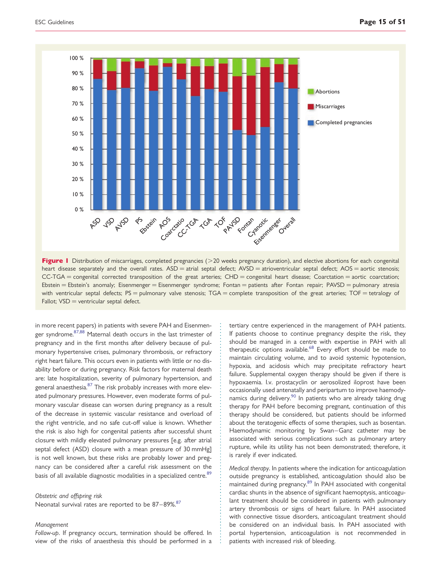

Figure I Distribution of miscarriages, completed pregnancies (>20 weeks pregnancy duration), and elective abortions for each congenital heart disease separately and the overall rates.  $ASD =$  atrial septal defect;  $AVSD =$  atrioventricular septal defect;  $AOS =$  aortic stenosis;  $CC-TGA =$  congenital corrected transposition of the great arteries;  $CHD =$  congenital heart disease;  $Coarctation =$  aortic coarctation; Ebstein = Ebstein's anomaly; Eisenmenger = Eisenmenger syndrome; Fontan = patients after Fontan repair; PAVSD = pulmonary atresia with ventricular septal defects;  $PS =$  pulmonary valve stenosis;  $TGA =$  complete transposition of the great arteries;  $TOF =$  tetralogy of Fallot;  $VSD =$  ventricular septal defect.

in more recent papers) in patients with severe PAH and Eisenmenger syndrome.<sup>87,88</sup> Maternal death occurs in the last trimester of pregnancy and in the first months after delivery because of pulmonary hypertensive crises, pulmonary thrombosis, or refractory right heart failure. This occurs even in patients with little or no disability before or during pregnancy. Risk factors for maternal death are: late hospitalization, severity of pulmonary hypertension, and general anaesthesia.<sup>87</sup> The risk probably increases with more elevated pulmonary pressures. However, even moderate forms of pulmonary vascular disease can worsen during pregnancy as a result of the decrease in systemic vascular resistance and overload of the right ventricle, and no safe cut-off value is known. Whether the risk is also high for congenital patients after successful shunt closure with mildly elevated pulmonary pressures [e.g. after atrial septal defect (ASD) closure with a mean pressure of 30 mmHg] is not well known, but these risks are probably lower and pregnancy can be considered after a careful risk assessment on the basis of all available diagnostic modalities in a specialized centre.<sup>89</sup>

#### Obstetric and offspring risk

Neonatal survival rates are reported to be 87-89%.<sup>87</sup>

#### Management

Follow-up. If pregnancy occurs, termination should be offered. In view of the risks of anaesthesia this should be performed in a

tertiary centre experienced in the management of PAH patients. If patients choose to continue pregnancy despite the risk, they should be managed in a centre with expertise in PAH with all therapeutic options available.<sup>68</sup> Every effort should be made to maintain circulating volume, and to avoid systemic hypotension, hypoxia, and acidosis which may precipitate refractory heart failure. Supplemental oxygen therapy should be given if there is hypoxaemia. I.v. prostacyclin or aerosolized iloprost have been occasionally used antenatally and peripartum to improve haemodynamics during delivery.<sup>90</sup> In patients who are already taking drug therapy for PAH before becoming pregnant, continuation of this therapy should be considered, but patients should be informed about the teratogenic effects of some therapies, such as bosentan. Haemodynamic monitoring by Swan–Ganz catheter may be associated with serious complications such as pulmonary artery rupture, while its utility has not been demonstrated; therefore, it is rarely if ever indicated.

Medical therapy. In patients where the indication for anticoagulation outside pregnancy is established, anticoagulation should also be maintained during pregnancy.<sup>89</sup> In PAH associated with congenital cardiac shunts in the absence of significant haemoptysis, anticoagulant treatment should be considered in patients with pulmonary artery thrombosis or signs of heart failure. In PAH associated with connective tissue disorders, anticoagulant treatment should be considered on an individual basis. In PAH associated with portal hypertension, anticoagulation is not recommended in patients with increased risk of bleeding.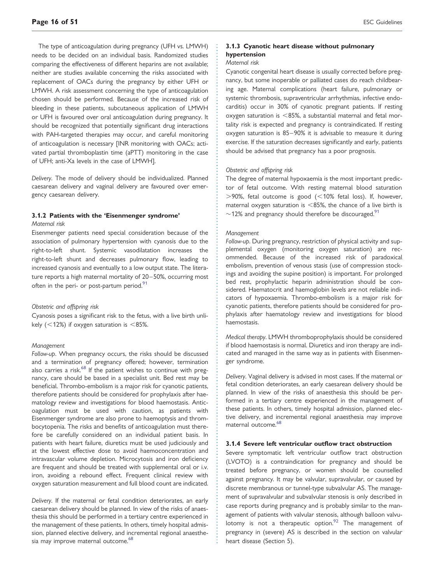The type of anticoagulation during pregnancy (UFH vs. LMWH) needs to be decided on an individual basis. Randomized studies comparing the effectiveness of different heparins are not available; neither are studies available concerning the risks associated with replacement of OACs during the pregnancy by either UFH or LMWH. A risk assessment concerning the type of anticoagulation chosen should be performed. Because of the increased risk of bleeding in these patients, subcutaneous application of LMWH or UFH is favoured over oral anticoagulation during pregnancy. It should be recognized that potentially significant drug interactions with PAH-targeted therapies may occur, and careful monitoring of anticoagulation is necessary [INR monitoring with OACs; activated partial thromboplastin time (aPTT) monitoring in the case of UFH; anti-Xa levels in the case of LMWH].

Delivery. The mode of delivery should be individualized. Planned caesarean delivery and vaginal delivery are favoured over emergency caesarean delivery.

### 3.1.2 Patients with the 'Eisenmenger syndrome'

Maternal risk

Eisenmenger patients need special consideration because of the association of pulmonary hypertension with cyanosis due to the right-to-left shunt. Systemic vasodilatation increases the right-to-left shunt and decreases pulmonary flow, leading to increased cyanosis and eventually to a low output state. The literature reports a high maternal mortality of 20–50%, occurring most often in the peri- or post-partum period.<sup>91</sup>

### Obstetric and offspring risk

Cyanosis poses a significant risk to the fetus, with a live birth unlikely ( $<$ 12%) if oxygen saturation is  $<$ 85%.

#### Management

Follow-up. When pregnancy occurs, the risks should be discussed and a termination of pregnancy offered; however, termination also carries a risk.<sup>68</sup> If the patient wishes to continue with pregnancy, care should be based in a specialist unit. Bed rest may be beneficial. Thrombo-embolism is a major risk for cyanotic patients, therefore patients should be considered for prophylaxis after haematology review and investigations for blood haemostasis. Anticoagulation must be used with caution, as patients with Eisenmenger syndrome are also prone to haemoptysis and thrombocytopenia. The risks and benefits of anticoagulation must therefore be carefully considered on an individual patient basis. In patients with heart failure, diuretics must be used judiciously and at the lowest effective dose to avoid haemoconcentration and intravascular volume depletion. Microcytosis and iron deficiency are frequent and should be treated with supplemental oral or i.v. iron, avoiding a rebound effect. Frequent clinical review with oxygen saturation measurement and full blood count are indicated.

Delivery. If the maternal or fetal condition deteriorates, an early caesarean delivery should be planned. In view of the risks of anaesthesia this should be performed in a tertiary centre experienced in the management of these patients. In others, timely hospital admission, planned elective delivery, and incremental regional anaesthesia may improve maternal outcome.<sup>68</sup>

### 3.1.3 Cyanotic heart disease without pulmonary hypertension

### Maternal risk

Cyanotic congenital heart disease is usually corrected before pregnancy, but some inoperable or palliated cases do reach childbearing age. Maternal complications (heart failure, pulmonary or systemic thrombosis, supraventricular arrhythmias, infective endocarditis) occur in 30% of cyanotic pregnant patients. If resting oxygen saturation is  $<$ 85%, a substantial maternal and fetal mortality risk is expected and pregnancy is contraindicated. If resting oxygen saturation is 85–90% it is advisable to measure it during exercise. If the saturation decreases significantly and early, patients should be advised that pregnancy has a poor prognosis.

### Obstetric and offspring risk

The degree of maternal hypoxaemia is the most important predictor of fetal outcome. With resting maternal blood saturation  $>$ 90%, fetal outcome is good (<10% fetal loss). If, however, maternal oxygen saturation is  $<$ 85%, the chance of a live birth is  $\sim$ 12% and pregnancy should therefore be discouraged.<sup>91</sup>

### Management

Follow-up. During pregnancy, restriction of physical activity and supplemental oxygen (monitoring oxygen saturation) are recommended. Because of the increased risk of paradoxical embolism, prevention of venous stasis (use of compression stockings and avoiding the supine position) is important. For prolonged bed rest, prophylactic heparin administration should be considered. Haematocrit and haemoglobin levels are not reliable indicators of hypoxaemia. Thrombo-embolism is a major risk for cyanotic patients, therefore patients should be considered for prophylaxis after haematology review and investigations for blood haemostasis.

Medical therapy. LMWH thromboprophylaxis should be considered if blood haemostasis is normal. Diuretics and iron therapy are indicated and managed in the same way as in patients with Eisenmenger syndrome.

Delivery. Vaginal delivery is advised in most cases. If the maternal or fetal condition deteriorates, an early caesarean delivery should be planned. In view of the risks of anaesthesia this should be performed in a tertiary centre experienced in the management of these patients. In others, timely hospital admission, planned elective delivery, and incremental regional anaesthesia may improve maternal outcome.<sup>68</sup>

### 3.1.4 Severe left ventricular outflow tract obstruction

Severe symptomatic left ventricular outflow tract obstruction (LVOTO) is a contraindication for pregnancy and should be treated before pregnancy, or women should be counselled against pregnancy. It may be valvular, supravalvular, or caused by discrete membranous or tunnel-type subvalvular AS. The management of supravalvular and subvalvular stenosis is only described in case reports during pregnancy and is probably similar to the management of patients with valvular stenosis, although balloon valvulotomy is not a therapeutic option.<sup>92</sup> The management of pregnancy in (severe) AS is described in the section on valvular heart disease (Section 5).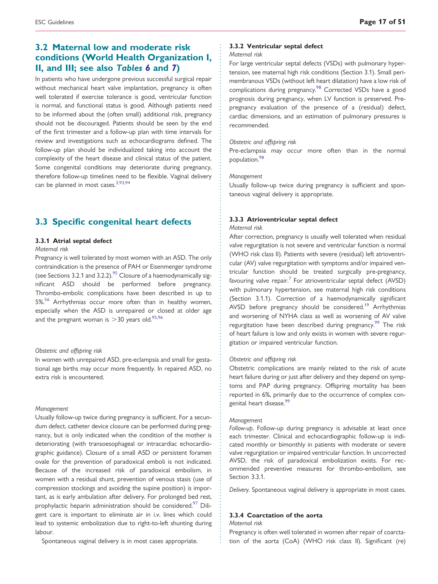### 3.2 Maternal low and moderate risk conditions (World Health Organization I, II, and III; see also Tables 6 and 7)

In patients who have undergone previous successful surgical repair without mechanical heart valve implantation, pregnancy is often well tolerated if exercise tolerance is good, ventricular function is normal, and functional status is good. Although patients need to be informed about the (often small) additional risk, pregnancy should not be discouraged. Patients should be seen by the end of the first trimester and a follow-up plan with time intervals for review and investigations such as echocardiograms defined. The follow-up plan should be individualized taking into account the complexity of the heart disease and clinical status of the patient. Some congenital conditions may deteriorate during pregnancy, therefore follow-up timelines need to be flexible. Vaginal delivery can be planned in most cases.<sup>3,93,94</sup>

### 3.3 Specific congenital heart defects

#### 3.3.1 Atrial septal defect

### Maternal risk

Pregnancy is well tolerated by most women with an ASD. The only contraindication is the presence of PAH or Eisenmenger syndrome (see Sections 3.2.1 and 3.2.2).<sup>95</sup> Closure of a haemodynamically significant ASD should be performed before pregnancy. Thrombo-embolic complications have been described in up to 5%.56 Arrhythmias occur more often than in healthy women, especially when the ASD is unrepaired or closed at older age and the pregnant woman is  $>$ 30 years old.<sup>95,96</sup>

### Obstetric and offspring risk

In women with unrepaired ASD, pre-eclampsia and small for gestational age births may occur more frequently. In repaired ASD, no extra risk is encountered.

### Management

Usually follow-up twice during pregnancy is sufficient. For a secundum defect, catheter device closure can be performed during pregnancy, but is only indicated when the condition of the mother is deteriorating (with transoesophageal or intracardiac echocardiographic guidance). Closure of a small ASD or persistent foramen ovale for the prevention of paradoxical emboli is not indicated. Because of the increased risk of paradoxical embolism, in women with a residual shunt, prevention of venous stasis (use of compression stockings and avoiding the supine position) is important, as is early ambulation after delivery. For prolonged bed rest, prophylactic heparin administration should be considered.<sup>97</sup> Diligent care is important to eliminate air in i.v. lines which could lead to systemic embolization due to right-to-left shunting during labour.

Spontaneous vaginal delivery is in most cases appropriate.

### 3.3.2 Ventricular septal defect

### Maternal risk

For large ventricular septal defects (VSDs) with pulmonary hypertension, see maternal high risk conditions (Section 3.1). Small perimembranous VSDs (without left heart dilatation) have a low risk of complications during pregnancy.<sup>98</sup> Corrected VSDs have a good prognosis during pregnancy, when LV function is preserved. Prepregnancy evaluation of the presence of a (residual) defect, cardiac dimensions, and an estimation of pulmonary pressures is recommended.

#### Obstetric and offspring risk

Pre-eclampsia may occur more often than in the normal population.98

#### Management

Usually follow-up twice during pregnancy is sufficient and spontaneous vaginal delivery is appropriate.

### 3.3.3 Atrioventricular septal defect

### Maternal risk

After correction, pregnancy is usually well tolerated when residual valve regurgitation is not severe and ventricular function is normal (WHO risk class II). Patients with severe (residual) left atrioventricular (AV) valve regurgitation with symptoms and/or impaired ventricular function should be treated surgically pre-pregnancy, favouring valve repair.<sup>7</sup> For atrioventricular septal defect (AVSD) with pulmonary hypertension, see maternal high risk conditions (Section 3.1.1). Correction of a haemodynamically significant AVSD before pregnancy should be considered.<sup>19</sup> Arrhythmias and worsening of NYHA class as well as worsening of AV valve regurgitation have been described during pregnancy.<sup>99</sup> The risk of heart failure is low and only exists in women with severe regurgitation or impaired ventricular function.

### Obstetric and offspring risk

Obstetric complications are mainly related to the risk of acute heart failure during or just after delivery and they depend on symptoms and PAP during pregnancy. Offspring mortality has been reported in 6%, primarily due to the occurrence of complex congenital heart disease.<sup>99</sup>

#### Management

Follow-up. Follow-up during pregnancy is advisable at least once each trimester. Clinical and echocardiographic follow-up is indicated monthly or bimonthly in patients with moderate or severe valve regurgitation or impaired ventricular function. In uncorrected AVSD, the risk of paradoxical embolization exists. For recommended preventive measures for thrombo-embolism, see Section 3.3.1.

Delivery. Spontaneous vaginal delivery is appropriate in most cases.

### 3.3.4 Coarctation of the aorta

Maternal risk

Pregnancy is often well tolerated in women after repair of coarctation of the aorta (CoA) (WHO risk class II). Significant (re)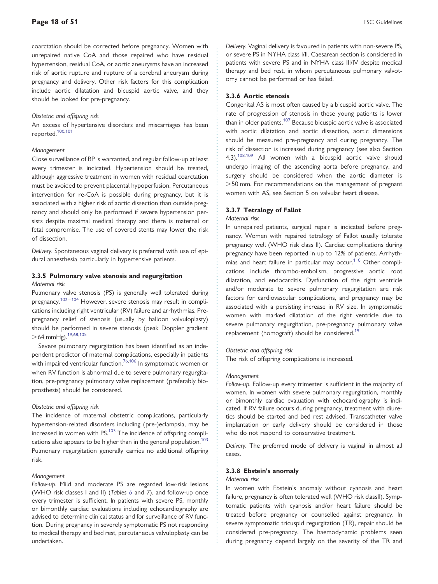coarctation should be corrected before pregnancy. Women with unrepaired native CoA and those repaired who have residual hypertension, residual CoA, or aortic aneurysms have an increased risk of aortic rupture and rupture of a cerebral aneurysm during pregnancy and delivery. Other risk factors for this complication include aortic dilatation and bicuspid aortic valve, and they should be looked for pre-pregnancy.

#### Obstetric and offspring risk

An excess of hypertensive disorders and miscarriages has been reported.100,101

#### Management

Close surveillance of BP is warranted, and regular follow-up at least every trimester is indicated. Hypertension should be treated, although aggressive treatment in women with residual coarctation must be avoided to prevent placental hypoperfusion. Percutaneous intervention for re-CoA is possible during pregnancy, but it is associated with a higher risk of aortic dissection than outside pregnancy and should only be performed if severe hypertension persists despite maximal medical therapy and there is maternal or fetal compromise. The use of covered stents may lower the risk of dissection.

Delivery. Spontaneous vaginal delivery is preferred with use of epidural anaesthesia particularly in hypertensive patients.

### 3.3.5 Pulmonary valve stenosis and regurgitation

### Maternal risk

Pulmonary valve stenosis (PS) is generally well tolerated during pregnancy.<sup>102-104</sup> However, severe stenosis may result in complications including right ventricular (RV) failure and arrhythmias. Prepregnancy relief of stenosis (usually by balloon valvuloplasty) should be performed in severe stenosis (peak Doppler gradient  $>64$  mmHg).<sup>19,68,105</sup>

Severe pulmonary regurgitation has been identified as an independent predictor of maternal complications, especially in patients with impaired ventricular function.<sup>76,106</sup> In symptomatic women or when RV function is abnormal due to severe pulmonary regurgitation, pre-pregnancy pulmonary valve replacement (preferably bioprosthesis) should be considered.

### Obstetric and offspring risk

The incidence of maternal obstetric complications, particularly hypertension-related disorders including (pre-)eclampsia, may be increased in women with  $PS<sup>103</sup>$  The incidence of offspring complications also appears to be higher than in the general population.<sup>103</sup> Pulmonary regurgitation generally carries no additional offspring risk.

#### Management

Follow-up. Mild and moderate PS are regarded low-risk lesions (WHO risk classes I and II) (Tables 6 and 7), and follow-up once every trimester is sufficient. In patients with severe PS, monthly or bimonthly cardiac evaluations including echocardiography are advised to determine clinical status and for surveillance of RV function. During pregnancy in severely symptomatic PS not responding to medical therapy and bed rest, percutaneous valvuloplasty can be undertaken.

Delivery. Vaginal delivery is favoured in patients with non-severe PS, or severe PS in NYHA class I/II. Caesarean section is considered in patients with severe PS and in NYHA class III/IV despite medical therapy and bed rest, in whom percutaneous pulmonary valvotomy cannot be performed or has failed.

### 3.3.6 Aortic stenosis

Congenital AS is most often caused by a bicuspid aortic valve. The rate of progression of stenosis in these young patients is lower than in older patients.<sup>107</sup> Because bicuspid aortic valve is associated with aortic dilatation and aortic dissection, aortic dimensions should be measured pre-pregnancy and during pregnancy. The risk of dissection is increased during pregnancy (see also Section 4.3).<sup>108,109</sup> All women with a bicuspid aortic valve should undergo imaging of the ascending aorta before pregnancy, and surgery should be considered when the aortic diameter is .50 mm. For recommendations on the management of pregnant women with AS, see Section 5 on valvular heart disease.

### 3.3.7 Tetralogy of Fallot

### Maternal risk

In unrepaired patients, surgical repair is indicated before pregnancy. Women with repaired tetralogy of Fallot usually tolerate pregnancy well (WHO risk class II). Cardiac complications during pregnancy have been reported in up to 12% of patients. Arrhythmias and heart failure in particular may occur.<sup>110</sup> Other complications include thrombo-embolism, progressive aortic root dilatation, and endocarditis. Dysfunction of the right ventricle and/or moderate to severe pulmonary regurgitation are risk factors for cardiovascular complications, and pregnancy may be associated with a persisting increase in RV size. In symptomatic women with marked dilatation of the right ventricle due to severe pulmonary regurgitation, pre-pregnancy pulmonary valve replacement (homograft) should be considered.<sup>19</sup>

#### Obstetric and offspring risk

The risk of offspring complications is increased.

### Management

Follow-up. Follow-up every trimester is sufficient in the majority of women. In women with severe pulmonary regurgitation, monthly or bimonthly cardiac evaluation with echocardiography is indicated. If RV failure occurs during pregnancy, treatment with diuretics should be started and bed rest advised. Transcatheter valve implantation or early delivery should be considered in those who do not respond to conservative treatment.

Delivery. The preferred mode of delivery is vaginal in almost all cases.

### 3.3.8 Ebstein's anomaly

### Maternal risk

In women with Ebstein's anomaly without cyanosis and heart failure, pregnancy is often tolerated well (WHO risk classII). Symptomatic patients with cyanosis and/or heart failure should be treated before pregnancy or counselled against pregnancy. In severe symptomatic tricuspid regurgitation (TR), repair should be considered pre-pregnancy. The haemodynamic problems seen during pregnancy depend largely on the severity of the TR and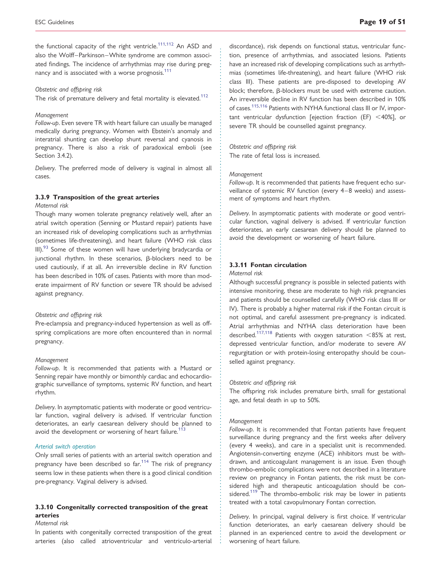the functional capacity of the right ventricle.<sup>111,112</sup> An ASD and also the Wolff–Parkinson–White syndrome are common associated findings. The incidence of arrhythmias may rise during pregnancy and is associated with a worse prognosis.<sup>111</sup>

### Obstetric and offspring risk

The risk of premature delivery and fetal mortality is elevated.<sup>112</sup>

### Management

Follow-up. Even severe TR with heart failure can usually be managed medically during pregnancy. Women with Ebstein's anomaly and interatrial shunting can develop shunt reversal and cyanosis in pregnancy. There is also a risk of paradoxical emboli (see Section 3.4.2).

Delivery. The preferred mode of delivery is vaginal in almost all cases.

### 3.3.9 Transposition of the great arteries

Maternal risk

Though many women tolerate pregnancy relatively well, after an atrial switch operation (Senning or Mustard repair) patients have an increased risk of developing complications such as arrhythmias (sometimes life-threatening), and heart failure (WHO risk class  $III$ ).<sup>93</sup> Some of these women will have underlying bradycardia or junctional rhythm. In these scenarios,  $\beta$ -blockers need to be used cautiously, if at all. An irreversible decline in RV function has been described in 10% of cases. Patients with more than moderate impairment of RV function or severe TR should be advised against pregnancy.

#### Obstetric and offspring risk

Pre-eclampsia and pregnancy-induced hypertension as well as offspring complications are more often encountered than in normal pregnancy.

#### Management

Follow-up. It is recommended that patients with a Mustard or Senning repair have monthly or bimonthly cardiac and echocardiographic surveillance of symptoms, systemic RV function, and heart rhythm.

Delivery. In asymptomatic patients with moderate or good ventricular function, vaginal delivery is advised. If ventricular function deteriorates, an early caesarean delivery should be planned to avoid the development or worsening of heart failure.<sup>113</sup>

### Arterial switch operation

Only small series of patients with an arterial switch operation and pregnancy have been described so  $far<sup>114</sup>$  The risk of pregnancy seems low in these patients when there is a good clinical condition pre-pregnancy. Vaginal delivery is advised.

### 3.3.10 Congenitally corrected transposition of the great arteries

### Maternal risk

In patients with congenitally corrected transposition of the great arteries (also called atrioventricular and ventriculo-arterial

discordance), risk depends on functional status, ventricular function, presence of arrhythmias, and associated lesions. Patients have an increased risk of developing complications such as arrhythmias (sometimes life-threatening), and heart failure (WHO risk class III). These patients are pre-disposed to developing AV block; therefore,  $\beta$ -blockers must be used with extreme caution. An irreversible decline in RV function has been described in 10% of cases.<sup>115,116</sup> Patients with NYHA functional class III or IV, important ventricular dysfunction [ejection fraction (EF)  $<$  40%], or severe TR should be counselled against pregnancy.

#### Obstetric and offspring risk

The rate of fetal loss is increased.

#### Management

Follow-up. It is recommended that patients have frequent echo surveillance of systemic RV function (every 4–8 weeks) and assessment of symptoms and heart rhythm.

Delivery. In asymptomatic patients with moderate or good ventricular function, vaginal delivery is advised. If ventricular function deteriorates, an early caesarean delivery should be planned to avoid the development or worsening of heart failure.

### 3.3.11 Fontan circulation

#### Maternal risk

Although successful pregnancy is possible in selected patients with intensive monitoring, these are moderate to high risk pregnancies and patients should be counselled carefully (WHO risk class III or IV). There is probably a higher maternal risk if the Fontan circuit is not optimal, and careful assessment pre-pregnancy is indicated. Atrial arrhythmias and NYHA class deterioration have been described.<sup>117,118</sup> Patients with oxygen saturation  $\langle 85\%$  at rest, depressed ventricular function, and/or moderate to severe AV regurgitation or with protein-losing enteropathy should be counselled against pregnancy.

#### Obstetric and offspring risk

The offspring risk includes premature birth, small for gestational age, and fetal death in up to 50%.

#### Management

Follow-up. It is recommended that Fontan patients have frequent surveillance during pregnancy and the first weeks after delivery (every 4 weeks), and care in a specialist unit is recommended. Angiotensin-converting enzyme (ACE) inhibitors must be withdrawn, and anticoagulant management is an issue. Even though thrombo-embolic complications were not described in a literature review on pregnancy in Fontan patients, the risk must be considered high and therapeutic anticoagulation should be considered.<sup>119</sup> The thrombo-embolic risk may be lower in patients treated with a total cavopulmonary Fontan correction.

Delivery. In principal, vaginal delivery is first choice. If ventricular function deteriorates, an early caesarean delivery should be planned in an experienced centre to avoid the development or worsening of heart failure.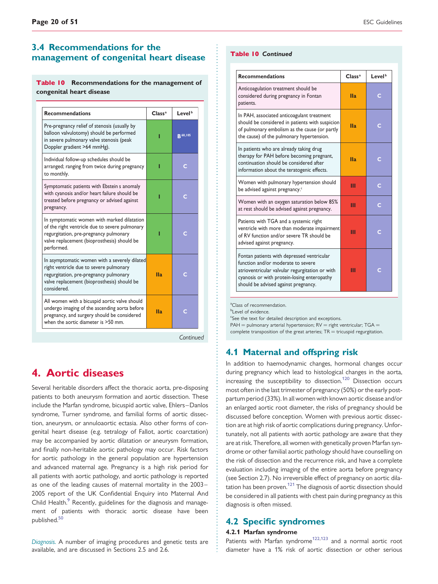### 3.4 Recommendations for the management of congenital heart disease

### Table 10 Recommendations for the management of congenital heart disease

| <b>Recommendations</b>                                                                                                                                                                               | Class <sup>a</sup> | Level <sup>b</sup> |
|------------------------------------------------------------------------------------------------------------------------------------------------------------------------------------------------------|--------------------|--------------------|
| Pre-pregnancy relief of stenosis (usually by<br>balloon valvulotomy) should be performed<br>in severe pulmonary valve stenosis (peak<br>Doppler gradient >64 mmHg).                                  |                    | <b>R</b> 68, 105   |
| Individual follow-up schedules should be<br>arranged; ranging from twice during pregnancy<br>to monthly.                                                                                             |                    |                    |
| Symptomatic patients with Ebstein s anomaly<br>with cyanosis and/or heart failure should be<br>treated before pregnancy or advised against<br>pregnancy.                                             |                    | c                  |
| In symptomatic women with marked dilatation<br>of the right ventricle due to severe pulmonary<br>regurgitation, pre-pregnancy pulmonary<br>valve replacement (bioprosthesis) should be<br>performed. |                    | c                  |
| In asymptomatic women with a severely dilated<br>right ventricle due to severe pulmonary<br>regurgitation, pre-pregnancy pulmonary<br>valve replacement (bioprosthesis) should be<br>considered.     | <b>Ila</b>         | c                  |
| All women with a bicuspid aortic valve should<br>undergo imaging of the ascending aorta before<br>pregnancy, and surgery should be considered<br>when the aortic diameter is >50 mm.                 | <b>Ila</b>         | С                  |

**Continued** 

### 4. Aortic diseases

Several heritable disorders affect the thoracic aorta, pre-disposing patients to both aneurysm formation and aortic dissection. These include the Marfan syndrome, bicuspid aortic valve, Ehlers–Danlos syndrome, Turner syndrome, and familial forms of aortic dissection, aneurysm, or annuloaortic ectasia. Also other forms of congenital heart disease (e.g. tetralogy of Fallot, aortic coarctation) may be accompanied by aortic dilatation or aneurysm formation, and finally non-heritable aortic pathology may occur. Risk factors for aortic pathology in the general population are hypertension and advanced maternal age. Pregnancy is a high risk period for all patients with aortic pathology, and aortic pathology is reported as one of the leading causes of maternal mortality in the 2003– 2005 report of the UK Confidential Enquiry into Maternal And Child Health.<sup>9</sup> Recently, guidelines for the diagnosis and management of patients with thoracic aortic disease have been published.<sup>50</sup>

Diagnosis. A number of imaging procedures and genetic tests are available, and are discussed in Sections 2.5 and 2.6.

### Table 10 Continued

| <b>Recommendations</b>                                                                                                                                                                                                     | Class <sup>a</sup> | Level <sup>b</sup> |
|----------------------------------------------------------------------------------------------------------------------------------------------------------------------------------------------------------------------------|--------------------|--------------------|
| Anticoagulation treatment should be<br>considered during pregnancy in Fontan<br>patients.                                                                                                                                  | <b>Ila</b>         | c                  |
| In PAH, associated anticoagulant treatment<br>should be considered in patients with suspicion<br>of pulmonary embolism as the cause (or partly<br>the cause) of the pulmonary hypertension.                                | <b>Ila</b>         | c                  |
| In patients who are already taking drug<br>therapy for PAH before becoming pregnant,<br>continuation should be considered after<br>information about the teratogenic effects.                                              | <b>Ila</b>         | c                  |
| Women with pulmonary hypertension should<br>be advised against pregnancy. <sup>c</sup>                                                                                                                                     | Ш                  | Ċ                  |
| Women with an oxygen saturation below 85%<br>at rest should be advised against pregnancy.                                                                                                                                  | Ш                  | c                  |
| Patients with TGA and a systemic right<br>ventricle with more than moderate impairment<br>of RV function and/or severe TR should be<br>advised against pregnancy.                                                          | Ш                  | C                  |
| Fontan patients with depressed ventricular<br>function and/or moderate to severe<br>atrioventricular valvular regurgitation or with<br>cyanosis or with protein-losing enteropathy<br>should be advised against pregnancy. | Ш                  | C                  |

<sup>a</sup>Class of recommendation.

**b**Level of evidence.

<sup>c</sup>See the text for detailed description and exceptions.

 $PAH =$  pulmonary arterial hypertension;  $RV =$  right ventricular;  $TGA =$ complete transposition of the great arteries;  $TR =$  tricuspid regurgitation.

### 4.1 Maternal and offspring risk

In addition to haemodynamic changes, hormonal changes occur during pregnancy which lead to histological changes in the aorta, increasing the susceptibility to dissection.<sup>120</sup> Dissection occurs most often in the last trimester of pregnancy (50%) or the early postpartum period (33%). In all women with known aortic disease and/or an enlarged aortic root diameter, the risks of pregnancy should be discussed before conception. Women with previous aortic dissection are at high risk of aortic complications during pregnancy. Unfortunately, not all patients with aortic pathology are aware that they are at risk. Therefore, all women with genetically proven Marfan syndrome or other familial aortic pathology should have counselling on the risk of dissection and the recurrence risk, and have a complete evaluation including imaging of the entire aorta before pregnancy (see Section 2.7). No irreversible effect of pregnancy on aortic dilatation has been proven.<sup>121</sup> The diagnosis of aortic dissection should be considered in all patients with chest pain during pregnancy as this diagnosis is often missed.

### 4.2 Specific syndromes

### 4.2.1 Marfan syndrome

Patients with Marfan syndrome<sup>122,123</sup> and a normal aortic root diameter have a 1% risk of aortic dissection or other serious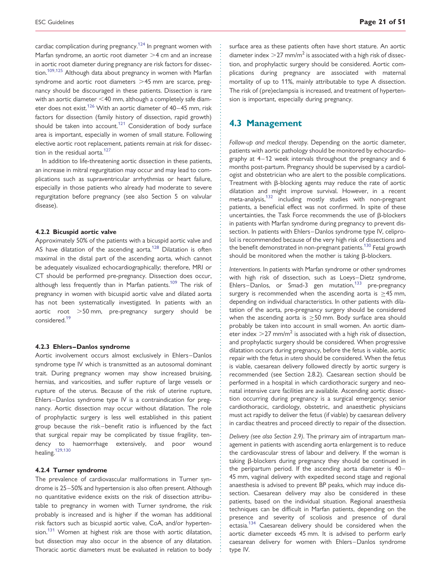cardiac complication during pregnancy.<sup>124</sup> In pregnant women with Marfan syndrome, an aortic root diameter  $>4$  cm and an increase in aortic root diameter during pregnancy are risk factors for dissection.<sup>109,125</sup> Although data about pregnancy in women with Marfan syndrome and aortic root diameters  $>45$  mm are scarce, pregnancy should be discouraged in these patients. Dissection is rare with an aortic diameter  $<$  40 mm, although a completely safe diameter does not exist.126 With an aortic diameter of 40–45 mm, risk factors for dissection (family history of dissection, rapid growth) should be taken into account.<sup>121</sup> Consideration of body surface area is important, especially in women of small stature. Following elective aortic root replacement, patients remain at risk for dissection in the residual aorta.<sup>127</sup>

In addition to life-threatening aortic dissection in these patients, an increase in mitral regurgitation may occur and may lead to complications such as supraventricular arrhythmias or heart failure, especially in those patients who already had moderate to severe regurgitation before pregnancy (see also Section 5 on valvular disease).

### 4.2.2 Bicuspid aortic valve

Approximately 50% of the patients with a bicuspid aortic valve and AS have dilatation of the ascending aorta.<sup>128</sup> Dilatation is often maximal in the distal part of the ascending aorta, which cannot be adequately visualized echocardiographically; therefore, MRI or CT should be performed pre-pregnancy. Dissection does occur, although less frequently than in Marfan patients.<sup>109</sup> The risk of pregnancy in women with bicuspid aortic valve and dilated aorta has not been systematically investigated. In patients with an aortic root  $>50$  mm, pre-pregnancy surgery should be considered.<sup>19</sup>

### 4.2.3 Ehlers–Danlos syndrome

Aortic involvement occurs almost exclusively in Ehlers–Danlos syndrome type IV which is transmitted as an autosomal dominant trait. During pregnancy women may show increased bruising, hernias, and varicosities, and suffer rupture of large vessels or rupture of the uterus. Because of the risk of uterine rupture, Ehlers–Danlos syndrome type IV is a contraindication for pregnancy. Aortic dissection may occur without dilatation. The role of prophylactic surgery is less well established in this patient group because the risk–benefit ratio is influenced by the fact that surgical repair may be complicated by tissue fragility, tendency to haemorrhage extensively, and poor wound healing.<sup>129,130</sup>

### 4.2.4 Turner syndrome

The prevalence of cardiovascular malformations in Turner syndrome is 25–50% and hypertension is also often present. Although no quantitative evidence exists on the risk of dissection attributable to pregnancy in women with Turner syndrome, the risk probably is increased and is higher if the woman has additional risk factors such as bicuspid aortic valve, CoA, and/or hypertension.<sup>131</sup> Women at highest risk are those with aortic dilatation, but dissection may also occur in the absence of any dilatation. Thoracic aortic diameters must be evaluated in relation to body surface area as these patients often have short stature. An aortic diameter index  $>$  27 mm/m<sup>2</sup> is associated with a high risk of dissection, and prophylactic surgery should be considered. Aortic complications during pregnancy are associated with maternal mortality of up to 11%, mainly attributable to type A dissection. The risk of (pre)eclampsia is increased, and treatment of hypertension is important, especially during pregnancy.

### 4.3 Management

Follow-up and medical therapy. Depending on the aortic diameter, patients with aortic pathology should be monitored by echocardiography at 4–12 week intervals throughout the pregnancy and 6 months post-partum. Pregnancy should be supervised by a cardiologist and obstetrician who are alert to the possible complications. Treatment with  $\beta$ -blocking agents may reduce the rate of aortic dilatation and might improve survival. However, in a recent meta-analysis,<sup>132</sup> including mostly studies with non-pregnant patients, a beneficial effect was not confirmed. In spite of these uncertainties, the Task Force recommends the use of  $\beta$ -blockers in patients with Marfan syndrome during pregnancy to prevent dissection. In patients with Ehlers–Danlos syndrome type IV, celiprolol is recommended because of the very high risk of dissections and the benefit demonstrated in non-pregnant patients.<sup>130</sup> Fetal growth should be monitored when the mother is taking  $\beta$ -blockers.

Interventions. In patients with Marfan syndrome or other syndromes with high risk of dissection, such as Loeys–Dietz syndrome, Ehlers–Danlos, or Smad-3 gen mutation,<sup>133</sup> pre-pregnancy surgery is recommended when the ascending aorta is  $\geq$ 45 mm, depending on individual characteristics. In other patients with dilatation of the aorta, pre-pregnancy surgery should be considered when the ascending aorta is  $\geq$  50 mm. Body surface area should probably be taken into account in small women. An aortic diameter index  $>$  27 mm/m<sup>2</sup> is associated with a high risk of dissection, and prophylactic surgery should be considered. When progressive dilatation occurs during pregnancy, before the fetus is viable, aortic repair with the fetus in utero should be considered. When the fetus is viable, caesarean delivery followed directly by aortic surgery is recommended (see Section 2.8.2). Caesarean section should be performed in a hospital in which cardiothoracic surgery and neonatal intensive care facilities are available. Ascending aortic dissection occurring during pregnancy is a surgical emergency; senior cardiothoracic, cardiology, obstetric, and anaesthetic physicians must act rapidly to deliver the fetus (if viable) by caesarean delivery in cardiac theatres and proceed directly to repair of the dissection.

Delivery (see also Section 2.9). The primary aim of intrapartum management in patients with ascending aorta enlargement is to reduce the cardiovascular stress of labour and delivery. If the woman is  $taking \beta-blockers during pregnancy they should be continued in$ the peripartum period. If the ascending aorta diameter is 40– 45 mm, vaginal delivery with expedited second stage and regional anaesthesia is advised to prevent BP peaks, which may induce dissection. Caesarean delivery may also be considered in these patients, based on the individual situation. Regional anaesthesia techniques can be difficult in Marfan patients, depending on the presence and severity of scoliosis and presence of dural ectasia.<sup>134</sup> Caesarean delivery should be considered when the aortic diameter exceeds 45 mm. It is advised to perform early caesarean delivery for women with Ehlers–Danlos syndrome type IV.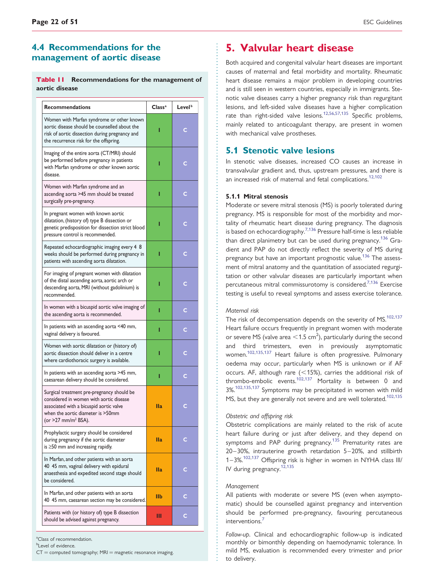### 4.4 Recommendations for the management of aortic disease

### Table 11 Recommendations for the management of aortic disease

| <b>Recommendations</b>                                                                                                                                                                                     | Class <sup>a</sup> | Level <sup>b</sup> |
|------------------------------------------------------------------------------------------------------------------------------------------------------------------------------------------------------------|--------------------|--------------------|
| Women with Marfan syndrome or other known<br>aortic disease should be counselled about the<br>risk of aortic dissection during pregnancy and<br>the recurrence risk for the offspring.                     |                    | c                  |
| Imaging of the entire aorta (CT/MRI) should<br>be performed before pregnancy in patients<br>with Marfan syndrome or other known aortic<br>disease.                                                         | П                  | С                  |
| Women with Marfan syndrome and an<br>ascending aorta >45 mm should be treated<br>surgically pre-pregnancy.                                                                                                 |                    | С                  |
| In pregnant women with known aortic<br>dilatation, (history of) type B dissection or<br>genetic predisposition for dissection strict blood<br>pressure control is recommended.                             |                    | c                  |
| Repeated echocardiographic imaging every 4 8<br>weeks should be performed during pregnancy in<br>patients with ascending aorta dilatation.                                                                 |                    | С                  |
| For imaging of pregnant women with dilatation<br>of the distal ascending aorta, aortic arch or<br>descending aorta, MRI (without gadolinium) is<br>recommended.                                            |                    | c                  |
| In women with a bicuspid aortic valve imaging of<br>the ascending aorta is recommended.                                                                                                                    |                    | c                  |
| In patients with an ascending aorta <40 mm,<br>vaginal delivery is favoured.                                                                                                                               | П                  | С                  |
| Women with aortic dilatation or (history of)<br>aortic dissection should deliver in a centre<br>where cardiothoracic surgery is available.                                                                 |                    | c                  |
| In patients with an ascending aorta >45 mm,<br>caesarean delivery should be considered.                                                                                                                    | П                  | С                  |
| Surgical treatment pre-pregnancy should be<br>considered in women with aortic disease<br>associated with a bicuspid aortic valve<br>when the aortic diameter is >50mm<br>(or $>27$ mm/m <sup>2</sup> BSA). | <b>Ila</b>         | c                  |
| Prophylactic surgery should be considered<br>during pregnancy if the aortic diameter<br>is $\geq$ 50 mm and increasing rapidly.                                                                            | lla                | С                  |
| In Marfan, and other patients with an aorta<br>40 45 mm, vaginal delivery with epidural<br>anaesthesia and expedited second stage should<br>be considered.                                                 | lla                | c                  |
| In Marfan, and other patients with an aorta<br>40 45 mm, caesarean section may be considered.                                                                                                              | llb                | С                  |
| Patients with (or history of) type B dissection<br>should be advised against pregnancy.                                                                                                                    | Ш                  | c                  |

<sup>a</sup>Class of recommendation.

**b**Level of evidence.

 $CT =$  computed tomography;  $MRI =$  magnetic resonance imaging.

### 5. Valvular heart disease

Both acquired and congenital valvular heart diseases are important causes of maternal and fetal morbidity and mortality. Rheumatic heart disease remains a major problem in developing countries and is still seen in western countries, especially in immigrants. Stenotic valve diseases carry a higher pregnancy risk than regurgitant lesions, and left-sided valve diseases have a higher complication rate than right-sided valve lesions.<sup>12,56,57,135</sup> Specific problems, mainly related to anticoagulant therapy, are present in women with mechanical valve prostheses.

### 5.1 Stenotic valve lesions

In stenotic valve diseases, increased CO causes an increase in transvalvular gradient and, thus, upstream pressures, and there is an increased risk of maternal and fetal complications.<sup>12,102</sup>

#### 5.1.1 Mitral stenosis

Moderate or severe mitral stenosis (MS) is poorly tolerated during pregnancy. MS is responsible for most of the morbidity and mortality of rheumatic heart disease during pregnancy. The diagnosis is based on echocardiography.<sup>7,136</sup> Pressure half-time is less reliable than direct planimetry but can be used during pregnancy.<sup>136</sup> Gradient and PAP do not directly reflect the severity of MS during pregnancy but have an important prognostic value.<sup>136</sup> The assessment of mitral anatomy and the quantitation of associated regurgitation or other valvular diseases are particularly important when percutaneous mitral commissurotomy is considered.7,136 Exercise testing is useful to reveal symptoms and assess exercise tolerance.

### Maternal risk

The risk of decompensation depends on the severity of MS.<sup>102,137</sup> Heart failure occurs frequently in pregnant women with moderate or severe MS (valve area  $<$  1.5 cm<sup>2</sup>), particularly during the second and third trimesters, even in previously asymptomatic women.<sup>102,135,137</sup> Heart failure is often progressive. Pulmonary oedema may occur, particularly when MS is unknown or if AF occurs. AF, although rare  $(<15%)$ , carries the additional risk of thrombo-embolic events.<sup>102,137</sup> Mortality is between 0 and 3%.102,135,137 Symptoms may be precipitated in women with mild MS, but they are generally not severe and are well tolerated.<sup>102,135</sup>

### Obstetric and offspring risk

Obstetric complications are mainly related to the risk of acute heart failure during or just after delivery, and they depend on symptoms and PAP during pregnancy.<sup>135</sup> Prematurity rates are 20–30%, intrauterine growth retardation 5–20%, and stillbirth 1–3%.102,137 Offspring risk is higher in women in NYHA class III/ IV during pregnancy.<sup>12,135</sup>

### Management

All patients with moderate or severe MS (even when asymptomatic) should be counselled against pregnancy and intervention should be performed pre-pregnancy, favouring percutaneous interventions.<sup>7</sup>

Follow-up. Clinical and echocardiographic follow-up is indicated monthly or bimonthly depending on haemodynamic tolerance. In mild MS, evaluation is recommended every trimester and prior to delivery.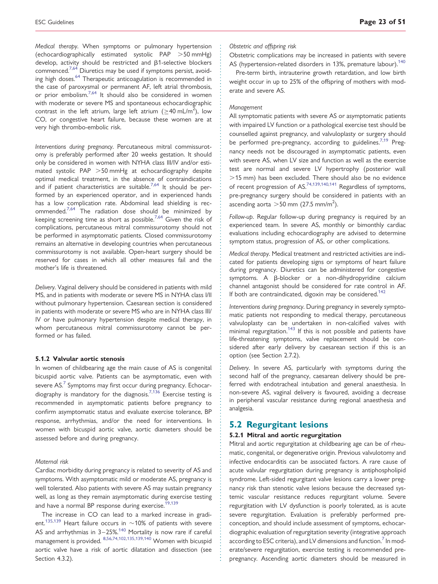Medical therapy. When symptoms or pulmonary hypertension (echocardiographically estimated systolic  $PAP > 50$  mmHg) develop, activity should be restricted and  $\beta$ 1-selective blockers commenced.7,64 Diuretics may be used if symptoms persist, avoiding high doses.<sup>64</sup> Therapeutic anticoagulation is recommended in the case of paroxysmal or permanent AF, left atrial thrombosis, or prior embolism.<sup>7,64</sup> It should also be considered in women with moderate or severe MS and spontaneous echocardiographic contrast in the left atrium, large left atrium ( $\geq$ 40 mL/m<sup>2</sup>), low CO, or congestive heart failure, because these women are at very high thrombo-embolic risk.

Interventions during pregnancy. Percutaneous mitral commissurotomy is preferably performed after 20 weeks gestation. It should only be considered in women with NYHA class III/IV and/or estimated systolic PAP  $>50$  mmHg at echocardiography despite optimal medical treatment, in the absence of contraindications and if patient characteristics are suitable.<sup>7,64</sup> It should be performed by an experienced operator, and in experienced hands has a low complication rate. Abdominal lead shielding is recommended.7,64 The radiation dose should be minimized by keeping screening time as short as possible.<sup>7,64</sup> Given the risk of complications, percutaneous mitral commissurotomy should not be performed in asymptomatic patients. Closed commissurotomy remains an alternative in developing countries when percutaneous commissurotomy is not available. Open-heart surgery should be reserved for cases in which all other measures fail and the mother's life is threatened.

Delivery. Vaginal delivery should be considered in patients with mild MS, and in patients with moderate or severe MS in NYHA class I/II without pulmonary hypertension. Caesarean section is considered in patients with moderate or severe MS who are in NYHA class III/ IV or have pulmonary hypertension despite medical therapy, in whom percutaneous mitral commissurotomy cannot be performed or has failed.

### 5.1.2 Valvular aortic stenosis

In women of childbearing age the main cause of AS is congenital bicuspid aortic valve. Patients can be asymptomatic, even with severe AS.<sup>7</sup> Symptoms may first occur during pregnancy. Echocardiography is mandatory for the diagnosis.<sup>7,136</sup> Exercise testing is recommended in asymptomatic patients before pregnancy to confirm asymptomatic status and evaluate exercise tolerance, BP response, arrhythmias, and/or the need for interventions. In women with bicuspid aortic valve, aortic diameters should be assessed before and during pregnancy.

### Maternal risk

Cardiac morbidity during pregnancy is related to severity of AS and symptoms. With asymptomatic mild or moderate AS, pregnancy is well tolerated. Also patients with severe AS may sustain pregnancy well, as long as they remain asymptomatic during exercise testing and have a normal BP response during exercise.<sup>19,139</sup>

The increase in CO can lead to a marked increase in gradient.<sup>135,139</sup> Heart failure occurs in  $\sim$ 10% of patients with severe AS and arrhythmias in  $3-25\%$ .<sup>140</sup> Mortality is now rare if careful management is provided. 8,56,74,102,135,139,140 Women with bicuspid aortic valve have a risk of aortic dilatation and dissection (see Section 4.3.2).

### Obstetric and offspring risk

Obstetric complications may be increased in patients with severe AS (hypertension-related disorders in 13%, premature labour).<sup>140</sup>

Pre-term birth, intrauterine growth retardation, and low birth weight occur in up to 25% of the offspring of mothers with moderate and severe AS.

#### Management

All symptomatic patients with severe AS or asymptomatic patients with impaired LV function or a pathological exercise test should be counselled against pregnancy, and valvuloplasty or surgery should be performed pre-pregnancy, according to guidelines.<sup>7,19</sup> Pregnancy needs not be discouraged in asymptomatic patients, even with severe AS, when LV size and function as well as the exercise test are normal and severe LV hypertrophy (posterior wall .15 mm) has been excluded. There should also be no evidence of recent progression of AS.74,139,140,141 Regardless of symptoms, pre-pregnancy surgery should be considered in patients with an ascending aorta  $>$  50 mm (27.5 mm/m<sup>2</sup>).

Follow-up. Regular follow-up during pregnancy is required by an experienced team. In severe AS, monthly or bimonthly cardiac evaluations including echocardiography are advised to determine symptom status, progression of AS, or other complications.

Medical therapy. Medical treatment and restricted activities are indicated for patients developing signs or symptoms of heart failure during pregnancy. Diuretics can be administered for congestive symptoms. A  $\beta$ -blocker or a non-dihydropyridine calcium channel antagonist should be considered for rate control in AF. If both are contraindicated, digoxin may be considered.<sup>142</sup>

Interventions during pregnancy. During pregnancy in severely symptomatic patients not responding to medical therapy, percutaneous valvuloplasty can be undertaken in non-calcified valves with minimal regurgitation.<sup>143</sup> If this is not possible and patients have life-threatening symptoms, valve replacement should be considered after early delivery by caesarean section if this is an option (see Section 2.7.2).

Delivery. In severe AS, particularly with symptoms during the second half of the pregnancy, caesarean delivery should be preferred with endotracheal intubation and general anaesthesia. In non-severe AS, vaginal delivery is favoured, avoiding a decrease in peripheral vascular resistance during regional anaesthesia and analgesia.

### 5.2 Regurgitant lesions

### 5.2.1 Mitral and aortic regurgitation

Mitral and aortic regurgitation at childbearing age can be of rheumatic, congenital, or degenerative origin. Previous valvulotomy and infective endocarditis can be associated factors. A rare cause of acute valvular regurgitation during pregnancy is antiphospholipid syndrome. Left-sided regurgitant valve lesions carry a lower pregnancy risk than stenotic valve lesions because the decreased systemic vascular resistance reduces regurgitant volume. Severe regurgitation with LV dysfunction is poorly tolerated, as is acute severe regurgitation. Evaluation is preferably performed preconception, and should include assessment of symptoms, echocardiographic evaluation of regurgitation severity (integrative approach according to ESC criteria), and LV dimensions and function.<sup>7</sup> In moderate/severe regurgitation, exercise testing is recommended prepregnancy. Ascending aortic diameters should be measured in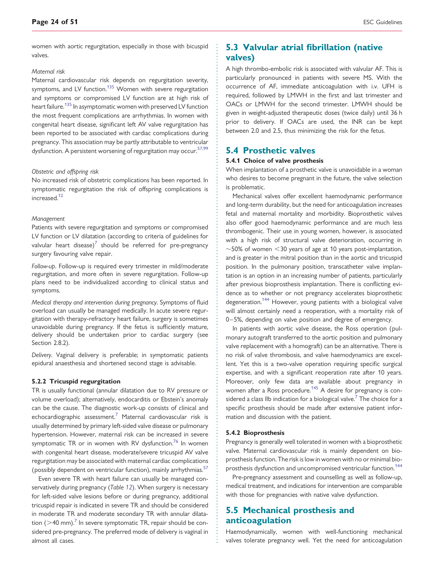women with aortic regurgitation, especially in those with bicuspid valves.

### Maternal risk

Maternal cardiovascular risk depends on regurgitation severity, symptoms, and LV function.<sup>135</sup> Women with severe regurgitation and symptoms or compromised LV function are at high risk of heart failure.<sup>135</sup> In asymptomatic women with preserved LV function the most frequent complications are arrhythmias. In women with congenital heart disease, significant left AV valve regurgitation has been reported to be associated with cardiac complications during pregnancy. This association may be partly attributable to ventricular dysfunction. A persistent worsening of regurgitation may occur.<sup>57,99</sup>

#### Obstetric and offspring risk

No increased risk of obstetric complications has been reported. In symptomatic regurgitation the risk of offspring complications is increased.<sup>12</sup>

### Management

Patients with severe regurgitation and symptoms or compromised LV function or LV dilatation (according to criteria of guidelines for valvular heart disease)<sup>7</sup> should be referred for pre-pregnancy surgery favouring valve repair.

Follow-up. Follow-up is required every trimester in mild/moderate regurgitation, and more often in severe regurgitation. Follow-up plans need to be individualized according to clinical status and symptoms.

Medical therapy and intervention during pregnancy. Symptoms of fluid overload can usually be managed medically. In acute severe regurgitation with therapy-refractory heart failure, surgery is sometimes unavoidable during pregnancy. If the fetus is sufficiently mature, delivery should be undertaken prior to cardiac surgery (see Section 2.8.2).

Delivery. Vaginal delivery is preferable; in symptomatic patients epidural anaesthesia and shortened second stage is advisable.

### 5.2.2 Tricuspid regurgitation

TR is usually functional (annular dilatation due to RV pressure or volume overload); alternatively, endocarditis or Ebstein's anomaly can be the cause. The diagnostic work-up consists of clinical and echocardiographic assessment.<sup>7</sup> Maternal cardiovascular risk is usually determined by primary left-sided valve disease or pulmonary hypertension. However, maternal risk can be increased in severe symptomatic TR or in women with RV dysfunction.<sup>76</sup> In women with congenital heart disease, moderate/severe tricuspid AV valve regurgitation may be associated with maternal cardiac complications (possibly dependent on ventricular function), mainly arrhythmias.<sup>57</sup>

Even severe TR with heart failure can usually be managed conservatively during pregnancy (Table 12). When surgery is necessary for left-sided valve lesions before or during pregnancy, additional tricuspid repair is indicated in severe TR and should be considered in moderate TR and moderate secondary TR with annular dilatation ( $>$ 40 mm).<sup>7</sup> In severe symptomatic TR, repair should be considered pre-pregnancy. The preferred mode of delivery is vaginal in almost all cases.

### 5.3 Valvular atrial fibrillation (native valves)

A high thrombo-embolic risk is associated with valvular AF. This is particularly pronounced in patients with severe MS. With the occurrence of AF, immediate anticoagulation with i.v. UFH is required, followed by LMWH in the first and last trimester and OACs or LMWH for the second trimester. LMWH should be given in weight-adjusted therapeutic doses (twice daily) until 36 h prior to delivery. If OACs are used, the INR can be kept between 2.0 and 2.5, thus minimizing the risk for the fetus.

### 5.4 Prosthetic valves

### 5.4.1 Choice of valve prosthesis

When implantation of a prosthetic valve is unavoidable in a woman who desires to become pregnant in the future, the valve selection is problematic.

Mechanical valves offer excellent haemodynamic performance and long-term durability, but the need for anticoagulation increases fetal and maternal mortality and morbidity. Bioprosthetic valves also offer good haemodynamic performance and are much less thrombogenic. Their use in young women, however, is associated with a high risk of structural valve deterioration, occurring in  $\sim$  50% of women  $<$  30 years of age at 10 years post-implantation, and is greater in the mitral position than in the aortic and tricuspid position. In the pulmonary position, transcatheter valve implantation is an option in an increasing number of patients, particularly after previous bioprosthesis implantation. There is conflicting evidence as to whether or not pregnancy accelerates bioprosthetic degeneration.<sup>144</sup> However, young patients with a biological valve will almost certainly need a reoperation, with a mortality risk of 0–5%, depending on valve position and degree of emergency.

In patients with aortic valve disease, the Ross operation (pulmonary autograft transferred to the aortic position and pulmonary valve replacement with a homograft) can be an alternative. There is no risk of valve thrombosis, and valve haemodynamics are excellent. Yet this is a two-valve operation requiring specific surgical expertise, and with a significant reoperation rate after 10 years. Moreover, only few data are available about pregnancy in women after a Ross procedure.<sup>145</sup> A desire for pregnancy is considered a class IIb indication for a biological valve.<sup>7</sup> The choice for a specific prosthesis should be made after extensive patient information and discussion with the patient.

#### 5.4.2 Bioprosthesis

Pregnancy is generally well tolerated in women with a bioprosthetic valve. Maternal cardiovascular risk is mainly dependent on bioprosthesis function. The risk is low in women with no or minimal bioprosthesis dysfunction and uncompromised ventricular function.<sup>144</sup>

Pre-pregnancy assessment and counselling as well as follow-up, medical treatment, and indications for intervention are comparable with those for pregnancies with native valve dysfunction.

### 5.5 Mechanical prosthesis and anticoagulation

Haemodynamically, women with well-functioning mechanical valves tolerate pregnancy well. Yet the need for anticoagulation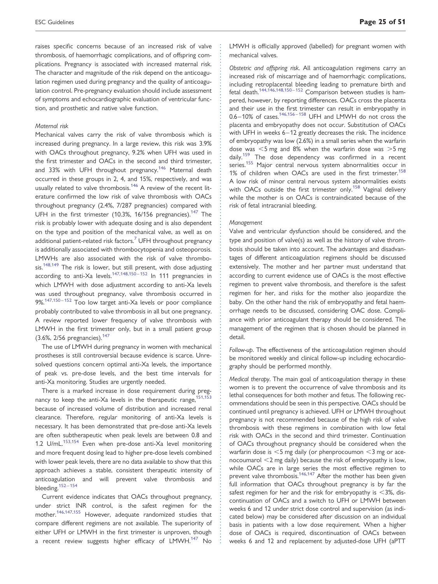raises specific concerns because of an increased risk of valve thrombosis, of haemorrhagic complications, and of offspring complications. Pregnancy is associated with increased maternal risk. The character and magnitude of the risk depend on the anticoagulation regimen used during pregnancy and the quality of anticoagulation control. Pre-pregnancy evaluation should include assessment of symptoms and echocardiographic evaluation of ventricular function, and prosthetic and native valve function.

#### Maternal risk

Mechanical valves carry the risk of valve thrombosis which is increased during pregnancy. In a large review, this risk was 3.9% with OACs throughout pregnancy, 9.2% when UFH was used in the first trimester and OACs in the second and third trimester, and 33% with UFH throughout pregnancy.<sup>146</sup> Maternal death occurred in these groups in 2, 4, and 15%, respectively, and was usually related to valve thrombosis.<sup>146</sup> A review of the recent literature confirmed the low risk of valve thrombosis with OACs throughout pregnancy (2.4%, 7/287 pregnancies) compared with UFH in the first trimester (10.3%, 16/156 pregnancies).<sup>147</sup> The risk is probably lower with adequate dosing and is also dependent on the type and position of the mechanical valve, as well as on additional patient-related risk factors.<sup>7</sup> UFH throughout pregnancy is additionally associated with thrombocytopenia and osteoporosis. LMWHs are also associated with the risk of valve thrombosis.<sup>148,149</sup> The risk is lower, but still present, with dose adjusting according to anti-Xa levels.<sup>147,148,150-152</sup> In 111 pregnancies in which LMWH with dose adjustment according to anti-Xa levels was used throughout pregnancy, valve thrombosis occurred in 9%.<sup>147,150-152</sup> Too low target anti-Xa levels or poor compliance probably contributed to valve thrombosis in all but one pregnancy. A review reported lower frequency of valve thrombosis with LMWH in the first trimester only, but in a small patient group (3.6%, 2/56 pregnancies).<sup>147</sup>

The use of LMWH during pregnancy in women with mechanical prostheses is still controversial because evidence is scarce. Unresolved questions concern optimal anti-Xa levels, the importance of peak vs. pre-dose levels, and the best time intervals for anti-Xa monitoring. Studies are urgently needed.

There is a marked increase in dose requirement during pregnancy to keep the anti-Xa levels in the therapeutic range,  $151,153$ because of increased volume of distribution and increased renal clearance. Therefore, regular monitoring of anti-Xa levels is necessary. It has been demonstrated that pre-dose anti-Xa levels are often subtherapeutic when peak levels are between 0.8 and 1.2 U/mL.<sup>153,154</sup> Even when pre-dose anti-Xa level monitoring and more frequent dosing lead to higher pre-dose levels combined with lower peak levels, there are no data available to show that this approach achieves a stable, consistent therapeutic intensity of anticoagulation and will prevent valve thrombosis and bleeding. $152 - 154$ 

Current evidence indicates that OACs throughout pregnancy, under strict INR control, is the safest regimen for the mother.146,147,155 However, adequate randomized studies that compare different regimens are not available. The superiority of either UFH or LMWH in the first trimester is unproven, though a recent review suggests higher efficacy of LMWH.<sup>147</sup> No

LMWH is officially approved (labelled) for pregnant women with mechanical valves.

Obstetric and offspring risk. All anticoagulation regimens carry an increased risk of miscarriage and of haemorrhagic complications, including retroplacental bleeding leading to premature birth and fetal death.<sup>144,146,148,150-152</sup> Comparison between studies is hampered, however, by reporting differences. OACs cross the placenta and their use in the first trimester can result in embryopathy in 0.6–10% of cases.<sup>146,156–158</sup> UFH and LMWH do not cross the placenta and embryopathy does not occur. Substitution of OACs with UFH in weeks 6–12 greatly decreases the risk. The incidence of embryopathy was low (2.6%) in a small series when the warfarin dose was  $<$ 5 mg and 8% when the warfarin dose was  $>$ 5 mg daily.159 The dose dependency was confirmed in a recent series.<sup>155</sup> Major central nervous system abnormalities occur in 1% of children when OACs are used in the first trimester.<sup>158</sup> A low risk of minor central nervous system abnormalities exists with OACs outside the first trimester only.<sup>158</sup> Vaginal delivery while the mother is on OACs is contraindicated because of the risk of fetal intracranial bleeding.

#### Management

Valve and ventricular dysfunction should be considered, and the type and position of valve(s) as well as the history of valve thrombosis should be taken into account. The advantages and disadvantages of different anticoagulation regimens should be discussed extensively. The mother and her partner must understand that according to current evidence use of OACs is the most effective regimen to prevent valve thrombosis, and therefore is the safest regimen for her, and risks for the mother also jeopardize the baby. On the other hand the risk of embryopathy and fetal haemorrhage needs to be discussed, considering OAC dose. Compliance with prior anticoagulant therapy should be considered. The management of the regimen that is chosen should be planned in detail.

Follow-up. The effectiveness of the anticoagulation regimen should be monitored weekly and clinical follow-up including echocardiography should be performed monthly.

Medical therapy. The main goal of anticoagulation therapy in these women is to prevent the occurrence of valve thrombosis and its lethal consequences for both mother and fetus. The following recommendations should be seen in this perspective. OACs should be continued until pregnancy is achieved. UFH or LMWH throughout pregnancy is not recommended because of the high risk of valve thrombosis with these regimens in combination with low fetal risk with OACs in the second and third trimester. Continuation of OACs throughout pregnancy should be considered when the warfarin dose is  $<$  5 mg daily (or phenprocoumon  $<$  3 mg or acenocoumarol  $<$ 2 mg daily) because the risk of embryopathy is low, while OACs are in large series the most effective regimen to prevent valve thrombosis.<sup>146,147</sup> After the mother has been given full information that OACs throughout pregnancy is by far the safest regimen for her and the risk for embryopathy is  $<3\%$ , discontinuation of OACs and a switch to UFH or LMWH between weeks 6 and 12 under strict dose control and supervision (as indicated below) may be considered after discussion on an individual basis in patients with a low dose requirement. When a higher dose of OACs is required, discontinuation of OACs between weeks 6 and 12 and replacement by adjusted-dose UFH (aPTT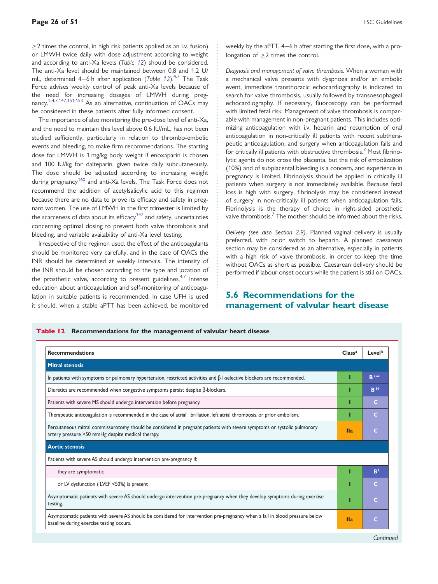$\geq$ 2 times the control, in high risk patients applied as an i.v. fusion) or LMWH twice daily with dose adjustment according to weight and according to anti-Xa levels (Table 12) should be considered. The anti-Xa level should be maintained between 0.8 and 1.2 U/ mL, determined  $4-6$  h after application (Table 12).<sup>4,7</sup> The Task Force advises weekly control of peak anti-Xa levels because of the need for increasing dosages of LMWH during pregnancy.2,4,7,147,151,153 As an alternative, continuation of OACs may be considered in these patients after fully informed consent.

The importance of also monitoring the pre-dose level of anti-Xa, and the need to maintain this level above 0.6 IU/mL, has not been studied sufficiently, particularly in relation to thrombo-embolic events and bleeding, to make firm recommendations. The starting dose for LMWH is 1 mg/kg body weight if enoxaparin is chosen and 100 IU/kg for dalteparin, given twice daily subcutaneously. The dose should be adjusted according to increasing weight during pregnancy<sup>160</sup> and anti-Xa levels. The Task Force does not recommend the addition of acetylsalicylic acid to this regimen because there are no data to prove its efficacy and safety in pregnant women. The use of LMWH in the first trimester is limited by the scarceness of data about its efficacy<sup>147</sup> and safety, uncertainties concerning optimal dosing to prevent both valve thrombosis and bleeding, and variable availability of anti-Xa level testing.

Irrespective of the regimen used, the effect of the anticoagulants should be monitored very carefully, and in the case of OACs the INR should be determined at weekly intervals. The intensity of the INR should be chosen according to the type and location of the prosthetic valve, according to present guidelines.<sup>4,7</sup> Intense education about anticoagulation and self-monitoring of anticoagulation in suitable patients is recommended. In case UFH is used it should, when a stable aPTT has been achieved, be monitored weekly by the aPTT, 4–6 h after starting the first dose, with a prolongation of ≥2 times the control.

Diagnosis and management of valve thrombosis. When a woman with a mechanical valve presents with dyspnoea and/or an embolic event, immediate transthoracic echocardiography is indicated to search for valve thrombosis, usually followed by transoesophageal echocardiography. If necessary, fluoroscopy can be performed with limited fetal risk. Management of valve thrombosis is comparable with management in non-pregnant patients. This includes optimizing anticoagulation with i.v. heparin and resumption of oral anticoagulation in non-critically ill patients with recent subtherapeutic anticoagulation, and surgery when anticoagulation fails and for critically ill patients with obstructive thrombosis.<sup>7</sup> Most fibrinolytic agents do not cross the placenta, but the risk of embolization (10%) and of subplacental bleeding is a concern, and experience in pregnancy is limited. Fibrinolysis should be applied in critically ill patients when surgery is not immediately available. Because fetal loss is high with surgery, fibrinolysis may be considered instead of surgery in non-critically ill patients when anticoagulation fails. Fibrinolysis is the therapy of choice in right-sided prosthetic valve thrombosis.<sup>7</sup> The mother should be informed about the risks.

Delivery (see also Section 2.9). Planned vaginal delivery is usually preferred, with prior switch to heparin. A planned caesarean section may be considered as an alternative, especially in patients with a high risk of valve thrombosis, in order to keep the time without OACs as short as possible. Caesarean delivery should be performed if labour onset occurs while the patient is still on OACs.

### 5.6 Recommendations for the management of valvular heart disease

Table 12 Recommendations for the management of valvular heart disease

| <b>Recommendations</b>                                                                                                                                                       | Class <sup>a</sup> | Level <sup>b</sup> |
|------------------------------------------------------------------------------------------------------------------------------------------------------------------------------|--------------------|--------------------|
| <b>Mitral stenosis</b>                                                                                                                                                       |                    |                    |
| In patients with symptoms or pulmonary hypertension, restricted activities and $\beta$ I-selective blockers are recommended.                                                 |                    | R 7,64             |
| Diuretics are recommended when congestive symptoms persist despite $\beta$ -blockers.                                                                                        |                    | <b>B</b> 64        |
| Patients with severe MS should undergo intervention before pregnancy.                                                                                                        |                    | C.                 |
| Therapeutic anticoagulation is recommended in the case of atrial brillation, left atrial thrombosis, or prior embolism.                                                      |                    | c.                 |
| Percutaneous mitral commissurotomy should be considered in pregnant patients with severe symptoms or systolic pulmonary<br>artery pressure >50 mmHg despite medical therapy. | <b>Ila</b>         | C.                 |
| <b>Aortic stenosis</b>                                                                                                                                                       |                    |                    |
| Patients with severe AS should undergo intervention pre-pregnancy if:                                                                                                        |                    |                    |
| they are symptomatic                                                                                                                                                         |                    | $B^7$              |
| or LV dysfunction (LVEF <50%) is present                                                                                                                                     |                    | c                  |
| Asymptomatic patients with severe AS should undergo intervention pre-pregnancy when they develop symptoms during exercise<br>testing.                                        |                    | c                  |
| Asymptomatic patients with severe AS should be considered for intervention pre-pregnancy when a fall in blood pressure below<br>baseline during exercise testing occurs.     | <b>Ila</b>         | c                  |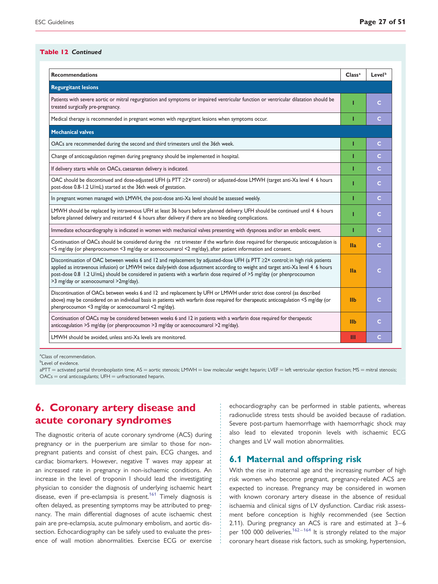### Table 12 Continued

| <b>Recommendations</b>                                                                                                                                                                                                                                                                                                                                                                                                                          | Class <sup>a</sup> | Level <sup>b</sup> |
|-------------------------------------------------------------------------------------------------------------------------------------------------------------------------------------------------------------------------------------------------------------------------------------------------------------------------------------------------------------------------------------------------------------------------------------------------|--------------------|--------------------|
| <b>Regurgitant lesions</b>                                                                                                                                                                                                                                                                                                                                                                                                                      |                    |                    |
| Patients with severe aortic or mitral regurgitation and symptoms or impaired ventricular function or ventricular dilatation should be<br>treated surgically pre-pregnancy.                                                                                                                                                                                                                                                                      |                    | c                  |
| Medical therapy is recommended in pregnant women with regurgitant lesions when symptoms occur.                                                                                                                                                                                                                                                                                                                                                  | П                  | C.                 |
| <b>Mechanical valves</b>                                                                                                                                                                                                                                                                                                                                                                                                                        |                    |                    |
| OACs are recommended during the second and third trimesters until the 36th week.                                                                                                                                                                                                                                                                                                                                                                | п                  | C                  |
| Change of anticoagulation regimen during pregnancy should be implemented in hospital.                                                                                                                                                                                                                                                                                                                                                           | П                  | C.                 |
| If delivery starts while on OACs, caesarean delivery is indicated.                                                                                                                                                                                                                                                                                                                                                                              |                    | c                  |
| OAC should be discontinued and dose-adjusted UFH (a PTT $\geq$ 2× control) or adjusted-dose LMWH (target anti-Xa level 4 6 hours<br>post-dose 0.8-1.2 U/mL) started at the 36th week of gestation.                                                                                                                                                                                                                                              |                    | C                  |
| In pregnant women managed with LMWH, the post-dose anti-Xa level should be assessed weekly.                                                                                                                                                                                                                                                                                                                                                     |                    | C.                 |
| LMWH should be replaced by intravenous UFH at least 36 hours before planned delivery. UFH should be continued until 4 6 hours<br>before planned delivery and restarted 4 6 hours after delivery if there are no bleeding complications.                                                                                                                                                                                                         |                    | c                  |
| Immediate echocardiography is indicated in women with mechanical valves presenting with dyspnoea and/or an embolic event.                                                                                                                                                                                                                                                                                                                       | п                  | C.                 |
| Continuation of OACs should be considered during the rst trimester if the warfarin dose required for therapeutic anticoagulation is<br>$5$ mg/day (or phenprocoumon $5$ mg/day or acenocoumarol $5$ mg/day), after patient information and consent.                                                                                                                                                                                             | <b>Ila</b>         | C                  |
| Discontinuation of OAC between weeks 6 and 12 and replacement by adjusted-dose UFH (a PTT $\geq 2 \times$ control; in high risk patients<br>applied as intravenous infusion) or LMWH twice daily (with dose adjustment according to weight and target anti-Xa level 4 6 hours<br>post-dose 0.8 1.2 U/mL) should be considered in patients with a warfarin dose required of >5 mg/day (or phenprocoumon<br>>3 mg/day or acenocoumarol >2mg/day). | <b>Ila</b>         | C                  |
| Discontinuation of OACs between weeks 6 and 12 and replacement by UFH or LMWH under strict dose control (as described<br>above) may be considered on an individual basis in patients with warfarin dose required for therapeutic anticoagulation <5 mg/day (or<br>phenprocoumon <3 mg/day or acenocoumarol <2 mg/day).                                                                                                                          | <b>IIb</b>         | $\mathbf C$        |
| Continuation of OACs may be considered between weeks 6 and 12 in patients with a warfarin dose required for therapeutic<br>anticoagulation >5 mg/day (or phenprocoumon >3 mg/day or acenocoumarol >2 mg/day).                                                                                                                                                                                                                                   | <b>IIb</b>         | c                  |
| LMWH should be avoided, unless anti-Xa levels are monitored.                                                                                                                                                                                                                                                                                                                                                                                    | Ш                  | c                  |

<sup>a</sup>Class of recommendation.

**b**Level of evidence.

 $aPTT =$  activated partial thromboplastin time; AS = aortic stenosis; LMWH = low molecular weight heparin; LVEF = left ventricular ejection fraction; MS = mitral stenosis;  $OACs =$  oral anticoagulants;  $UFH =$  unfractionated heparin.

## 6. Coronary artery disease and acute coronary syndromes

The diagnostic criteria of acute coronary syndrome (ACS) during pregnancy or in the puerperium are similar to those for nonpregnant patients and consist of chest pain, ECG changes, and cardiac biomarkers. However, negative T waves may appear at an increased rate in pregnancy in non-ischaemic conditions. An increase in the level of troponin I should lead the investigating physician to consider the diagnosis of underlying ischaemic heart disease, even if pre-eclampsia is present.<sup>161</sup> Timely diagnosis is often delayed, as presenting symptoms may be attributed to pregnancy. The main differential diagnoses of acute ischaemic chest pain are pre-eclampsia, acute pulmonary embolism, and aortic dissection. Echocardiography can be safely used to evaluate the presence of wall motion abnormalities. Exercise ECG or exercise

echocardiography can be performed in stable patients, whereas radionuclide stress tests should be avoided because of radiation. Severe post-partum haemorrhage with haemorrhagic shock may also lead to elevated troponin levels with ischaemic ECG changes and LV wall motion abnormalities.

### 6.1 Maternal and offspring risk

With the rise in maternal age and the increasing number of high risk women who become pregnant, pregnancy-related ACS are expected to increase. Pregnancy may be considered in women with known coronary artery disease in the absence of residual ischaemia and clinical signs of LV dysfunction. Cardiac risk assessment before conception is highly recommended (see Section 2.11). During pregnancy an ACS is rare and estimated at 3–6 per 100 000 deliveries.<sup>162-164</sup> It is strongly related to the major coronary heart disease risk factors, such as smoking, hypertension,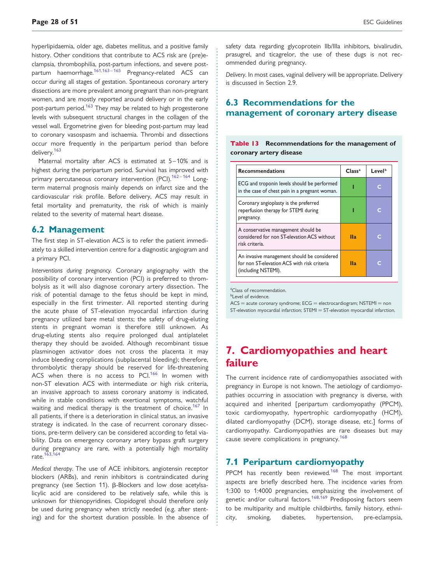hyperlipidaemia, older age, diabetes mellitus, and a positive family history. Other conditions that contribute to ACS risk are (pre)eclampsia, thrombophilia, post-partum infections, and severe postpartum haemorrhage.<sup>161,163-165</sup> Pregnancy-related ACS can occur during all stages of gestation. Spontaneous coronary artery dissections are more prevalent among pregnant than non-pregnant women, and are mostly reported around delivery or in the early post-partum period.<sup>163</sup> They may be related to high progesterone levels with subsequent structural changes in the collagen of the vessel wall. Ergometrine given for bleeding post-partum may lead to coronary vasospasm and ischaemia. Thrombi and dissections occur more frequently in the peripartum period than before delivery.163

Maternal mortality after ACS is estimated at 5–10% and is highest during the peripartum period. Survival has improved with primary percutaneous coronary intervention (PCI).<sup>162-164</sup> Longterm maternal prognosis mainly depends on infarct size and the cardiovascular risk profile. Before delivery, ACS may result in fetal mortality and prematurity, the risk of which is mainly related to the severity of maternal heart disease.

### 6.2 Management

The first step in ST-elevation ACS is to refer the patient immediately to a skilled intervention centre for a diagnostic angiogram and a primary PCI.

Interventions during pregnancy. Coronary angiography with the possibility of coronary intervention (PCI) is preferred to thrombolysis as it will also diagnose coronary artery dissection. The risk of potential damage to the fetus should be kept in mind, especially in the first trimester. All reported stenting during the acute phase of ST-elevation myocardial infarction during pregnancy utilized bare metal stents; the safety of drug-eluting stents in pregnant woman is therefore still unknown. As drug-eluting stents also require prolonged dual antiplatelet therapy they should be avoided. Although recombinant tissue plasminogen activator does not cross the placenta it may induce bleeding complications (subplacental bleeding); therefore, thrombolytic therapy should be reserved for life-threatening ACS when there is no access to PCI.<sup>166</sup> In women with non-ST elevation ACS with intermediate or high risk criteria, an invasive approach to assess coronary anatomy is indicated, while in stable conditions with exertional symptoms, watchful waiting and medical therapy is the treatment of choice.<sup>167</sup> In all patients, if there is a deterioration in clinical status, an invasive strategy is indicated. In the case of recurrent coronary dissections, pre-term delivery can be considered according to fetal viability. Data on emergency coronary artery bypass graft surgery during pregnancy are rare, with a potentially high mortality rate.163,164

Medical therapy. The use of ACE inhibitors, angiotensin receptor blockers (ARBs), and renin inhibitors is contraindicated during pregnancy (see Section 11).  $\beta$ -Blockers and low dose acetylsalicylic acid are considered to be relatively safe, while this is unknown for thienopyridines. Clopidogrel should therefore only be used during pregnancy when strictly needed (e.g. after stenting) and for the shortest duration possible. In the absence of safety data regarding glycoprotein IIb/IIIa inhibitors, bivalirudin, prasugrel, and ticagrelor, the use of these dugs is not recommended during pregnancy.

Delivery. In most cases, vaginal delivery will be appropriate. Delivery is discussed in Section 2.9.

### 6.3 Recommendations for the management of coronary artery disease

Table 13 Recommendations for the management of coronary artery disease

| <b>Recommendations</b>                                                                                            | Class <sup>a</sup> | Level <sup>b</sup> |
|-------------------------------------------------------------------------------------------------------------------|--------------------|--------------------|
| ECG and troponin levels should be performed<br>in the case of chest pain in a pregnant woman.                     |                    |                    |
| Coronary angioplasty is the preferred<br>reperfusion therapy for STEMI during<br>pregnancy.                       |                    | с                  |
| A conservative management should be<br>considered for non ST-elevation ACS without<br>risk criteria.              | lla.               | с                  |
| An invasive management should be considered<br>for non ST-elevation ACS with risk criteria<br>(including NSTEMI). | IIa                |                    |

<sup>a</sup>Class of recommendation.

**b**Level of evidence.

 $ACS =$  acute coronary syndrome;  $ECG =$  electrocardiogram; NSTEMI = non  $ST$ -elevation myocardial infarction;  $STEMI = ST$ -elevation myocardial infarction.

### 7. Cardiomyopathies and heart failure

The current incidence rate of cardiomyopathies associated with pregnancy in Europe is not known. The aetiology of cardiomyopathies occurring in association with pregnancy is diverse, with acquired and inherited [peripartum cardiomyopathy (PPCM), toxic cardiomyopathy, hypertrophic cardiomyopathy (HCM), dilated cardiomyopathy (DCM), storage disease, etc.] forms of cardiomyopathy. Cardiomyopathies are rare diseases but may cause severe complications in pregnancy.<sup>168</sup>

### 7.1 Peripartum cardiomyopathy

PPCM has recently been reviewed.<sup>168</sup> The most important aspects are briefly described here. The incidence varies from 1:300 to 1:4000 pregnancies, emphasizing the involvement of genetic and/or cultural factors.<sup>168,169</sup> Predisposing factors seem to be multiparity and multiple childbirths, family history, ethnicity, smoking, diabetes, hypertension, pre-eclampsia,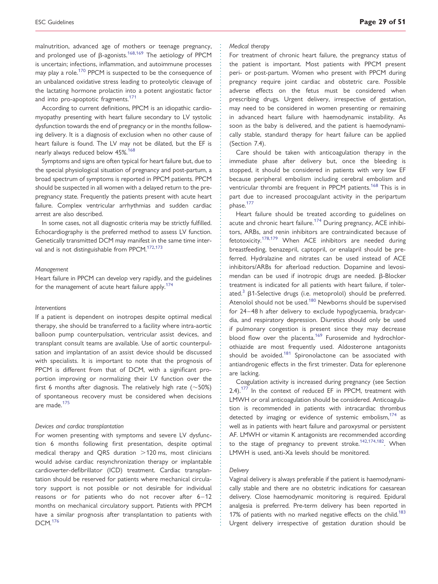malnutrition, advanced age of mothers or teenage pregnancy, and prolonged use of  $\beta$ -agonists.<sup>168,169</sup> The aetiology of PPCM is uncertain; infections, inflammation, and autoimmune processes may play a role.<sup>170</sup> PPCM is suspected to be the consequence of an unbalanced oxidative stress leading to proteolytic cleavage of the lactating hormone prolactin into a potent angiostatic factor and into pro-apoptotic fragments.<sup>171</sup>

According to current definitions, PPCM is an idiopathic cardiomyopathy presenting with heart failure secondary to LV systolic dysfunction towards the end of pregnancy or in the months following delivery. It is a diagnosis of exclusion when no other cause of heart failure is found. The LV may not be dilated, but the EF is nearly always reduced below 45%.<sup>168</sup>

Symptoms and signs are often typical for heart failure but, due to the special physiological situation of pregnancy and post-partum, a broad spectrum of symptoms is reported in PPCM patients. PPCM should be suspected in all women with a delayed return to the prepregnancy state. Frequently the patients present with acute heart failure. Complex ventricular arrhythmias and sudden cardiac arrest are also described.

In some cases, not all diagnostic criteria may be strictly fulfilled. Echocardiography is the preferred method to assess LV function. Genetically transmitted DCM may manifest in the same time interval and is not distinguishable from PPCM.<sup>172,173</sup>

#### Management

Heart failure in PPCM can develop very rapidly, and the guidelines for the management of acute heart failure apply.<sup>174</sup>

#### Interventions

If a patient is dependent on inotropes despite optimal medical therapy, she should be transferred to a facility where intra-aortic balloon pump counterpulsation, ventricular assist devices, and transplant consult teams are available. Use of aortic counterpulsation and implantation of an assist device should be discussed with specialists. It is important to note that the prognosis of PPCM is different from that of DCM, with a significant proportion improving or normalizing their LV function over the first 6 months after diagnosis. The relatively high rate  $(\sim]50\%)$ of spontaneous recovery must be considered when decisions are made.<sup>175</sup>

#### Devices and cardiac transplantation

For women presenting with symptoms and severe LV dysfunction 6 months following first presentation, despite optimal medical therapy and QRS duration  $>120$  ms, most clinicians would advise cardiac resynchronization therapy or implantable cardioverter-defibrillator (ICD) treatment. Cardiac transplantation should be reserved for patients where mechanical circulatory support is not possible or not desirable for individual reasons or for patients who do not recover after 6–12 months on mechanical circulatory support. Patients with PPCM have a similar prognosis after transplantation to patients with DCM.<sup>176</sup>

#### Medical therapy

For treatment of chronic heart failure, the pregnancy status of the patient is important. Most patients with PPCM present peri- or post-partum. Women who present with PPCM during pregnancy require joint cardiac and obstetric care. Possible adverse effects on the fetus must be considered when prescribing drugs. Urgent delivery, irrespective of gestation, may need to be considered in women presenting or remaining in advanced heart failure with haemodynamic instability. As soon as the baby is delivered, and the patient is haemodynamically stable, standard therapy for heart failure can be applied (Section 7.4).

Care should be taken with anticoagulation therapy in the immediate phase after delivery but, once the bleeding is stopped, it should be considered in patients with very low EF because peripheral embolism including cerebral embolism and ventricular thrombi are frequent in PPCM patients.<sup>168</sup> This is in part due to increased procoagulant activity in the peripartum phase.<sup>177</sup>

Heart failure should be treated according to guidelines on acute and chronic heart failure.<sup>174</sup> During pregnancy, ACE inhibitors, ARBs, and renin inhibitors are contraindicated because of fetotoxicity.178,179 When ACE inhibitors are needed during breastfeeding, benazepril, captopril, or enalapril should be preferred. Hydralazine and nitrates can be used instead of ACE inhibitors/ARBs for afterload reduction. Dopamine and levosimendan can be used if inotropic drugs are needed.  $\beta$ -Blocker treatment is indicated for all patients with heart failure, if tolerated.<sup>3</sup>  $\beta$ 1-Selective drugs (i.e. metoprolol) should be preferred. Atenolol should not be used.<sup>180</sup> Newborns should be supervised for 24–48 h after delivery to exclude hypoglycaemia, bradycardia, and respiratory depression. Diuretics should only be used if pulmonary congestion is present since they may decrease blood flow over the placenta.<sup>169</sup> Furosemide and hydrochlorothiazide are most frequently used. Aldosterone antagonists should be avoided.<sup>181</sup> Spironolactone can be associated with antiandrogenic effects in the first trimester. Data for eplerenone are lacking.

Coagulation activity is increased during pregnancy (see Section 2.4). $177$  In the context of reduced EF in PPCM, treatment with LMWH or oral anticoagulation should be considered. Anticoagulation is recommended in patients with intracardiac thrombus detected by imaging or evidence of systemic embolism,  $174$  as well as in patients with heart failure and paroxysmal or persistent AF. LMWH or vitamin K antagonists are recommended according to the stage of pregnancy to prevent stroke.<sup>142,174,182</sup>. When LMWH is used, anti-Xa levels should be monitored.

### **Delivery**

Vaginal delivery is always preferable if the patient is haemodynamically stable and there are no obstetric indications for caesarean delivery. Close haemodynamic monitoring is required. Epidural analgesia is preferred. Pre-term delivery has been reported in 17% of patients with no marked negative effects on the child.<sup>183</sup> Urgent delivery irrespective of gestation duration should be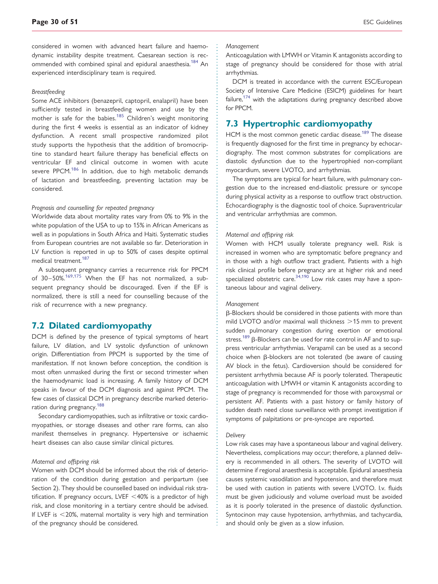considered in women with advanced heart failure and haemodynamic instability despite treatment. Caesarean section is recommended with combined spinal and epidural anaesthesia.<sup>184</sup> An experienced interdisciplinary team is required.

### Breastfeeding

Some ACE inhibitors (benazepril, captopril, enalapril) have been sufficiently tested in breastfeeding women and use by the mother is safe for the babies.<sup>185</sup> Children's weight monitoring during the first 4 weeks is essential as an indicator of kidney dysfunction. A recent small prospective randomized pilot study supports the hypothesis that the addition of bromocriptine to standard heart failure therapy has beneficial effects on ventricular EF and clinical outcome in women with acute severe PPCM.<sup>186</sup> In addition, due to high metabolic demands of lactation and breastfeeding, preventing lactation may be considered.

#### Prognosis and counselling for repeated pregnancy

Worldwide data about mortality rates vary from 0% to 9% in the white population of the USA to up to 15% in African Americans as well as in populations in South Africa and Haiti. Systematic studies from European countries are not available so far. Deterioration in LV function is reported in up to 50% of cases despite optimal medical treatment.<sup>187</sup>

A subsequent pregnancy carries a recurrence risk for PPCM of 30–50%.169,175 When the EF has not normalized, a subsequent pregnancy should be discouraged. Even if the EF is normalized, there is still a need for counselling because of the risk of recurrence with a new pregnancy.

### 7.2 Dilated cardiomyopathy

DCM is defined by the presence of typical symptoms of heart failure, LV dilation, and LV systolic dysfunction of unknown origin. Differentiation from PPCM is supported by the time of manifestation. If not known before conception, the condition is most often unmasked during the first or second trimester when the haemodynamic load is increasing. A family history of DCM speaks in favour of the DCM diagnosis and against PPCM. The few cases of classical DCM in pregnancy describe marked deterioration during pregnancy.<sup>188</sup>

Secondary cardiomyopathies, such as infiltrative or toxic cardiomyopathies, or storage diseases and other rare forms, can also manifest themselves in pregnancy. Hypertensive or ischaemic heart diseases can also cause similar clinical pictures.

### Maternal and offspring risk

Women with DCM should be informed about the risk of deterioration of the condition during gestation and peripartum (see Section 2). They should be counselled based on individual risk stratification. If pregnancy occurs, LVEF  $<$  40% is a predictor of high risk, and close monitoring in a tertiary centre should be advised. If LVEF is  $<$  20%, maternal mortality is very high and termination of the pregnancy should be considered.

#### Management

Anticoagulation with LMWH or Vitamin K antagonists according to stage of pregnancy should be considered for those with atrial arrhythmias.

DCM is treated in accordance with the current ESC/European Society of Intensive Care Medicine (ESICM) guidelines for heart failure, $174$  with the adaptations during pregnancy described above for PPCM.

### 7.3 Hypertrophic cardiomyopathy

HCM is the most common genetic cardiac disease.<sup>189</sup> The disease is frequently diagnosed for the first time in pregnancy by echocardiography. The most common substrates for complications are diastolic dysfunction due to the hypertrophied non-compliant myocardium, severe LVOTO, and arrhythmias.

The symptoms are typical for heart failure, with pulmonary congestion due to the increased end-diastolic pressure or syncope during physical activity as a response to outflow tract obstruction. Echocardiography is the diagnostic tool of choice. Supraventricular and ventricular arrhythmias are common.

#### Maternal and offspring risk

Women with HCM usually tolerate pregnancy well. Risk is increased in women who are symptomatic before pregnancy and in those with a high outflow tract gradient. Patients with a high risk clinical profile before pregnancy are at higher risk and need specialized obstetric care. $34,190$  Low risk cases may have a spontaneous labour and vaginal delivery.

#### Management

b-Blockers should be considered in those patients with more than mild LVOTO and/or maximal wall thickness  $>15$  mm to prevent sudden pulmonary congestion during exertion or emotional stress.<sup>189</sup>  $\beta$ -Blockers can be used for rate control in AF and to suppress ventricular arrhythmias. Verapamil can be used as a second choice when  $\beta$ -blockers are not tolerated (be aware of causing AV block in the fetus). Cardioversion should be considered for persistent arrhythmia because AF is poorly tolerated. Therapeutic anticoagulation with LMWH or vitamin K antagonists according to stage of pregnancy is recommended for those with paroxysmal or persistent AF. Patients with a past history or family history of sudden death need close surveillance with prompt investigation if symptoms of palpitations or pre-syncope are reported.

### **Delivery**

Low risk cases may have a spontaneous labour and vaginal delivery. Nevertheless, complications may occur; therefore, a planned delivery is recommended in all others. The severity of LVOTO will determine if regional anaesthesia is acceptable. Epidural anaesthesia causes systemic vasodilation and hypotension, and therefore must be used with caution in patients with severe LVOTO. I.v. fluids must be given judiciously and volume overload must be avoided as it is poorly tolerated in the presence of diastolic dysfunction. Syntocinon may cause hypotension, arrhythmias, and tachycardia, and should only be given as a slow infusion.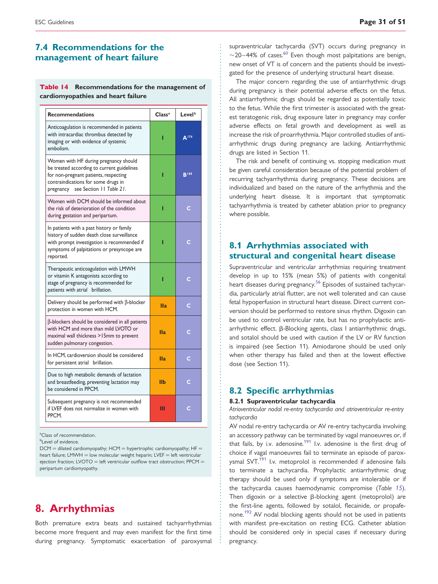### 7.4 Recommendations for the management of heart failure

### Table 14 Recommendations for the management of cardiomyopathies and heart failure

| <b>Recommendations</b>                                                                                                                                                                                    | Class <sup>a</sup> | Level <sup>b</sup>      |
|-----------------------------------------------------------------------------------------------------------------------------------------------------------------------------------------------------------|--------------------|-------------------------|
| Anticoagulation is recommended in patients<br>with intracardiac thrombus detected by<br>imaging or with evidence of systemic<br>embolism.                                                                 |                    | A 174                   |
| Women with HF during pregnancy should<br>be treated according to current guidelines<br>for non-pregnant patients, respecting<br>contraindications for some drugs in<br>pregnancy see Section 11 Table 21. |                    | <b>B</b> <sup>168</sup> |
| Women with DCM should be informed about<br>the risk of deterioration of the condition<br>during gestation and peripartum.                                                                                 | П                  | c                       |
| In patients with a past history or family<br>history of sudden death close surveillance<br>with prompt investigation is recommended if<br>symptoms of palpitations or presyncope are<br>reported.         |                    | c                       |
| Therapeutic anticoagulation with LMWH<br>or vitamin K antagonists according to<br>stage of pregnancy is recommended for<br>patients with atrial brillation.                                               | П                  | c                       |
| Delivery should be performed with $\beta$ -blocker<br>protection in women with HCM.                                                                                                                       | <b>Ila</b>         | Ċ                       |
| $\beta$ -blockers should be considered in all patients<br>with HCM and more than mild LVOTO or<br>maximal wall thickness >15mm to prevent<br>sudden pulmonary congestion.                                 | <b>Ila</b>         | c                       |
| In HCM, cardioversion should be considered<br>for persistent atrial brillation.                                                                                                                           | <b>Ila</b>         | c                       |
| Due to high metabolic demands of lactation<br>and breastfeeding, preventing lactation may<br>be considered in PPCM.                                                                                       | <b>IIb</b>         | c                       |
| Subsequent pregnancy is not recommended<br>if LVEF does not normalize in women with<br>PPCM.                                                                                                              | Ш                  | c                       |

<sup>a</sup>Class of recommendation.

**b**Level of evidence.

 $DCM =$  dilated cardiomyopathy; HCM  $=$  hypertrophic cardiomyopathy; HF  $=$ heart failure; LMWH  $=$  low molecular weight heparin; LVEF  $=$  left ventricular ejection fraction; LVOTO = left ventricular outflow tract obstruction; PPCM = peripartum cardiomyopathy.

8. Arrhythmias

Both premature extra beats and sustained tachyarrhythmias become more frequent and may even manifest for the first time during pregnancy. Symptomatic exacerbation of paroxysmal supraventricular tachycardia (SVT) occurs during pregnancy in  $\sim$ 20–44% of cases.<sup>60</sup> Even though most palpitations are benign, new onset of VT is of concern and the patients should be investigated for the presence of underlying structural heart disease.

The major concern regarding the use of antiarrhythmic drugs during pregnancy is their potential adverse effects on the fetus. All antiarrhythmic drugs should be regarded as potentially toxic to the fetus. While the first trimester is associated with the greatest teratogenic risk, drug exposure later in pregnancy may confer adverse effects on fetal growth and development as well as increase the risk of proarrhythmia. Major controlled studies of antiarrhythmic drugs during pregnancy are lacking. Antiarrhythmic drugs are listed in Section 11.

The risk and benefit of continuing vs. stopping medication must be given careful consideration because of the potential problem of recurring tachyarrhythmia during pregnancy. These decisions are individualized and based on the nature of the arrhythmia and the underlying heart disease. It is important that symptomatic tachyarrhythmia is treated by catheter ablation prior to pregnancy where possible.

### 8.1 Arrhythmias associated with structural and congenital heart disease

Supraventricular and ventricular arrhythmias requiring treatment develop in up to 15% (mean 5%) of patients with congenital heart diseases during pregnancy.<sup>56</sup> Episodes of sustained tachycardia, particularly atrial flutter, are not well tolerated and can cause fetal hypoperfusion in structural heart disease. Direct current conversion should be performed to restore sinus rhythm. Digoxin can be used to control ventricular rate, but has no prophylactic antiarrhythmic effect. B-Blocking agents, class I antiarrhythmic drugs, and sotalol should be used with caution if the LV or RV function is impaired (see Section 11). Amiodarone should be used only when other therapy has failed and then at the lowest effective dose (see Section 11).

### 8.2 Specific arrhythmias

### 8.2.1 Supraventricular tachycardia

Atrioventricular nodal re-entry tachycardia and atrioventricular re-entry tachycardia

AV nodal re-entry tachycardia or AV re-entry tachycardia involving an accessory pathway can be terminated by vagal manoeuvres or, if that fails, by i.v. adenosine.<sup>191</sup> I.v. adenosine is the first drug of choice if vagal manoeuvres fail to terminate an episode of paroxysmal SVT.<sup>191</sup> I.v. metoprolol is recommended if adenosine fails to terminate a tachycardia. Prophylactic antiarrhythmic drug therapy should be used only if symptoms are intolerable or if the tachycardia causes haemodynamic compromise (Table 15). Then digoxin or a selective  $\beta$ -blocking agent (metoprolol) are the first-line agents, followed by sotalol, flecainide, or propafenone.<sup>192</sup> AV nodal blocking agents should not be used in patients with manifest pre-excitation on resting ECG. Catheter ablation should be considered only in special cases if necessary during pregnancy.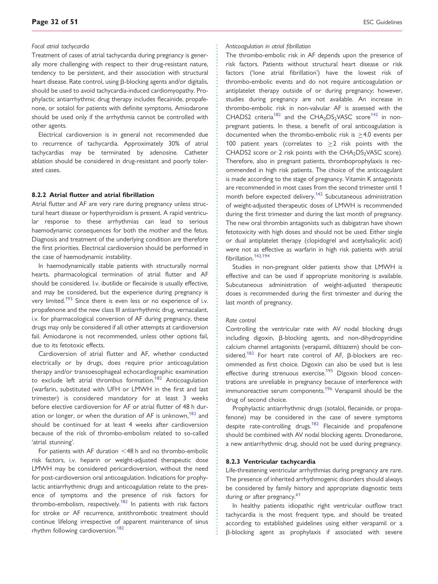### Focal atrial tachycardia

Treatment of cases of atrial tachycardia during pregnancy is generally more challenging with respect to their drug-resistant nature, tendency to be persistent, and their association with structural heart disease. Rate control, using  $\beta$ -blocking agents and/or digitalis, should be used to avoid tachycardia-induced cardiomyopathy. Prophylactic antiarrhythmic drug therapy includes flecainide, propafenone, or sotalol for patients with definite symptoms. Amiodarone should be used only if the arrhythmia cannot be controlled with other agents.

Electrical cardioversion is in general not recommended due to recurrence of tachycardia. Approximately 30% of atrial tachycardias may be terminated by adenosine. Catheter ablation should be considered in drug-resistant and poorly tolerated cases.

### 8.2.2 Atrial flutter and atrial fibrillation

Atrial flutter and AF are very rare during pregnancy unless structural heart disease or hyperthyroidism is present. A rapid ventricular response to these arrhythmias can lead to serious haemodynamic consequences for both the mother and the fetus. Diagnosis and treatment of the underlying condition are therefore the first priorities. Electrical cardioversion should be performed in the case of haemodynamic instability.

In haemodynamically stable patients with structurally normal hearts, pharmacological termination of atrial flutter and AF should be considered. I.v. ibutilide or flecainide is usually effective, and may be considered, but the experience during pregnancy is very limited.<sup>193</sup> Since there is even less or no experience of i.v. propafenone and the new class III antiarrhythmic drug, vernacalant, i.v. for pharmacological conversion of AF during pregnancy, these drugs may only be considered if all other attempts at cardioversion fail. Amiodarone is not recommended, unless other options fail, due to its fetotoxic effects.

Cardioversion of atrial flutter and AF, whether conducted electrically or by drugs, does require prior anticoagulation therapy and/or transoesophageal echocardiographic examination to exclude left atrial thrombus formation.<sup>182</sup> Anticoagulation (warfarin, substituted with UFH or LMWH in the first and last trimester) is considered mandatory for at least 3 weeks before elective cardioversion for AF or atrial flutter of 48 h duration or longer, or when the duration of AF is unknown,  $182$  and should be continued for at least 4 weeks after cardioversion because of the risk of thrombo-embolism related to so-called 'atrial stunning'.

For patients with AF duration  $<$  48 h and no thrombo-embolic risk factors, i.v. heparin or weight-adjusted therapeutic dose LMWH may be considered pericardioversion, without the need for post-cardioversion oral anticoagulation. Indications for prophylactic antiarrhythmic drugs and anticoagulation relate to the presence of symptoms and the presence of risk factors for thrombo-embolism, respectively.<sup>182</sup> In patients with risk factors for stroke or AF recurrence, antithrombotic treatment should continue lifelong irrespective of apparent maintenance of sinus rhythm following cardioversion.182

### Anticoagulation in atrial fibrillation

The thrombo-embolic risk in AF depends upon the presence of risk factors. Patients without structural heart disease or risk factors ('lone atrial fibrillation') have the lowest risk of thrombo-embolic events and do not require anticoagulation or antiplatelet therapy outside of or during pregnancy; however, studies during pregnancy are not available. An increase in thrombo-embolic risk in non-valvular AF is assessed with the CHADS2 criteria<sup>182</sup> and the CHA<sub>2</sub>DS<sub>2</sub>VASC score<sup>142</sup> in nonpregnant patients. In these, a benefit of oral anticoagulation is documented when the thrombo-embolic risk is ≥4.0 events per 100 patient years (correlates to  $\geq$  risk points with the CHADS2 score or 2 risk points with the  $CHA<sub>2</sub>DS<sub>2</sub> VASC score)$ . Therefore, also in pregnant patients, thromboprophylaxis is recommended in high risk patients. The choice of the anticoagulant is made according to the stage of pregnancy. Vitamin K antagonists are recommended in most cases from the second trimester until 1 month before expected delivery.<sup>142</sup> Subcutaneous administration of weight-adjusted therapeutic doses of LMWH is recommended during the first trimester and during the last month of pregnancy. The new oral thrombin antagonists such as dabigatran have shown fetotoxicity with high doses and should not be used. Either single or dual antiplatelet therapy (clopidogrel and acetylsalicylic acid) were not as effective as warfarin in high risk patients with atrial fibrillation.<sup>142,194</sup>

Studies in non-pregnant older patients show that LMWH is effective and can be used if appropriate monitoring is available. Subcutaneous administration of weight-adjusted therapeutic doses is recommended during the first trimester and during the last month of pregnancy.

#### Rate control

Controlling the ventricular rate with AV nodal blocking drugs  $including$  digoxin,  $\beta$ -blocking agents, and non-dihydropyridine calcium channel antagonists (verapamil, diltiazem) should be considered.<sup>182</sup> For heart rate control of AF,  $\beta$ -blockers are recommended as first choice. Digoxin can also be used but is less effective during strenuous exercise.<sup>195</sup> Digoxin blood concentrations are unreliable in pregnancy because of interference with immunoreactive serum components.<sup>196</sup> Verapamil should be the drug of second choice.

Prophylactic antiarrhythmic drugs (sotalol, flecainide, or propafenone) may be considered in the case of severe symptoms despite rate-controlling drugs.<sup>182</sup> Flecainide and propafenone should be combined with AV nodal blocking agents. Dronedarone, a new antiarrhythmic drug, should not be used during pregnancy.

### 8.2.3 Ventricular tachycardia

Life-threatening ventricular arrhythmias during pregnancy are rare. The presence of inherited arrhythmogenic disorders should always be considered by family history and appropriate diagnostic tests during or after pregnancy.<sup>61</sup>

In healthy patients idiopathic right ventricular outflow tract tachycardia is the most frequent type, and should be treated according to established guidelines using either verapamil or a b-blocking agent as prophylaxis if associated with severe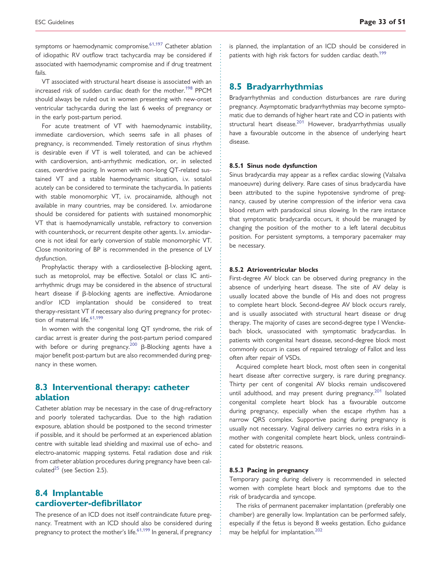symptoms or haemodynamic compromise.<sup>61,197</sup> Catheter ablation of idiopathic RV outflow tract tachycardia may be considered if associated with haemodynamic compromise and if drug treatment fails.

VT associated with structural heart disease is associated with an increased risk of sudden cardiac death for the mother.<sup>198</sup> PPCM should always be ruled out in women presenting with new-onset ventricular tachycardia during the last 6 weeks of pregnancy or in the early post-partum period.

For acute treatment of VT with haemodynamic instability, immediate cardioversion, which seems safe in all phases of pregnancy, is recommended. Timely restoration of sinus rhythm is desirable even if VT is well tolerated, and can be achieved with cardioversion, anti-arrhythmic medication, or, in selected cases, overdrive pacing. In women with non-long QT-related sustained VT and a stable haemodynamic situation, i.v. sotalol acutely can be considered to terminate the tachycardia. In patients with stable monomorphic VT, i.v. procainamide, although not available in many countries, may be considered. I.v. amiodarone should be considered for patients with sustained monomorphic VT that is haemodynamically unstable, refractory to conversion with countershock, or recurrent despite other agents. I.v. amiodarone is not ideal for early conversion of stable monomorphic VT. Close monitoring of BP is recommended in the presence of LV dysfunction.

Prophylactic therapy with a cardioselective B-blocking agent, such as metoprolol, may be effective. Sotalol or class IC antiarrhythmic drugs may be considered in the absence of structural heart disease if  $\beta$ -blocking agents are ineffective. Amiodarone and/or ICD implantation should be considered to treat therapy-resistant VT if necessary also during pregnancy for protection of maternal life.<sup>61,199</sup>

In women with the congenital long QT syndrome, the risk of cardiac arrest is greater during the post-partum period compared with before or during pregnancy.<sup>200</sup>  $\beta$ -Blocking agents have a major benefit post-partum but are also recommended during pregnancy in these women.

### 8.3 Interventional therapy: catheter ablation

Catheter ablation may be necessary in the case of drug-refractory and poorly tolerated tachycardias. Due to the high radiation exposure, ablation should be postponed to the second trimester if possible, and it should be performed at an experienced ablation centre with suitable lead shielding and maximal use of echo- and electro-anatomic mapping systems. Fetal radiation dose and risk from catheter ablation procedures during pregnancy have been calculated $^{25}$  (see Section 2.5).

### 8.4 Implantable cardioverter-defibrillator

The presence of an ICD does not itself contraindicate future pregnancy. Treatment with an ICD should also be considered during pregnancy to protect the mother's life.<sup>61,199</sup> In general, if pregnancy is planned, the implantation of an ICD should be considered in patients with high risk factors for sudden cardiac death.<sup>199</sup>

### 8.5 Bradyarrhythmias

Bradyarrhythmias and conduction disturbances are rare during pregnancy. Asymptomatic bradyarrhythmias may become symptomatic due to demands of higher heart rate and CO in patients with structural heart disease.<sup>201</sup> However, bradyarrhythmias usually have a favourable outcome in the absence of underlying heart disease.

### 8.5.1 Sinus node dysfunction

Sinus bradycardia may appear as a reflex cardiac slowing (Valsalva manoeuvre) during delivery. Rare cases of sinus bradycardia have been attributed to the supine hypotensive syndrome of pregnancy, caused by uterine compression of the inferior vena cava blood return with paradoxical sinus slowing. In the rare instance that symptomatic bradycardia occurs, it should be managed by changing the position of the mother to a left lateral decubitus position. For persistent symptoms, a temporary pacemaker may be necessary.

### 8.5.2 Atrioventricular blocks

First-degree AV block can be observed during pregnancy in the absence of underlying heart disease. The site of AV delay is usually located above the bundle of His and does not progress to complete heart block. Second-degree AV block occurs rarely, and is usually associated with structural heart disease or drug therapy. The majority of cases are second-degree type I Wenckebach block, unassociated with symptomatic bradycardias. In patients with congenital heart disease, second-degree block most commonly occurs in cases of repaired tetralogy of Fallot and less often after repair of VSDs.

Acquired complete heart block, most often seen in congenital heart disease after corrective surgery, is rare during pregnancy. Thirty per cent of congenital AV blocks remain undiscovered until adulthood, and may present during pregnancy.<sup>201</sup> Isolated congenital complete heart block has a favourable outcome during pregnancy, especially when the escape rhythm has a narrow QRS complex. Supportive pacing during pregnancy is usually not necessary. Vaginal delivery carries no extra risks in a mother with congenital complete heart block, unless contraindicated for obstetric reasons.

### 8.5.3 Pacing in pregnancy

Temporary pacing during delivery is recommended in selected women with complete heart block and symptoms due to the risk of bradycardia and syncope.

The risks of permanent pacemaker implantation (preferably one chamber) are generally low. Implantation can be performed safely, especially if the fetus is beyond 8 weeks gestation. Echo guidance may be helpful for implantation.<sup>202</sup>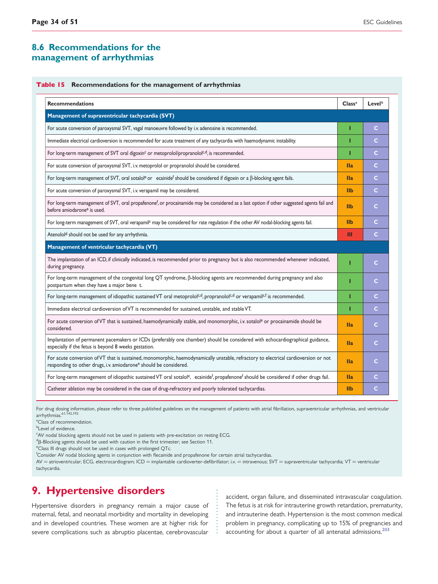### 8.6 Recommendations for the management of arrhythmias

#### Table 15 Recommendations for the management of arrhythmias

| <b>Recommendations</b>                                                                                                                                                                                               | Class <sup>a</sup> | Level <sup>b</sup> |
|----------------------------------------------------------------------------------------------------------------------------------------------------------------------------------------------------------------------|--------------------|--------------------|
| Management of supraventricular tachycardia (SVT)                                                                                                                                                                     |                    |                    |
| For acute conversion of paroxysmal SVT, vagal manoeuvre followed by i.v. adenosine is recommended.                                                                                                                   | П                  | $\mathsf{C}$       |
| Immediate electrical cardioversion is recommended for acute treatment of any tachycardia with haemodynamic instability.                                                                                              | П                  | c                  |
| For long-term management of SVT oral digoxin <sup>c</sup> or metoprolol/propranolol <sup>c,d</sup> , is recommended.                                                                                                 | П                  | c                  |
| For acute conversion of paroxysmal SVT, i.v. metoprolol or propranolol should be considered.                                                                                                                         | IIa                | c                  |
| For long-term management of SVT, oral sotalol <sup>e</sup> or ecainide <sup>f</sup> should be considered if digoxin or a B-blocking agent fails.                                                                     | <b>Ila</b>         | C.                 |
| For acute conversion of paroxysmal SVT, i.v. verapamil may be considered.                                                                                                                                            | I <sub>1</sub>     | c                  |
| For long-term management of SVT, oral propafenone <sup>f</sup> , or procainamide may be considered as a last option if other suggested agents fail and<br>before amiodarone <sup>e</sup> is used.                    | <b>IIb</b>         | c                  |
| For long-term management of SVT, oral verapamil <sup>c</sup> may be considered for rate regulation if the other AV nodal-blocking agents fail.                                                                       | <b>IIb</b>         | c                  |
| Atenolol <sup>d</sup> should not be used for any arrhythmia.                                                                                                                                                         | Ш                  | C.                 |
| Management of ventricular tachycardia (VT)                                                                                                                                                                           |                    |                    |
| The implantation of an ICD, if clinically indicated, is recommended prior to pregnancy but is also recommended whenever indicated,<br>during pregnancy.                                                              | п                  | c                  |
| For long-term management of the congenital long QT syndrome, β-blocking agents are recommended during pregnancy and also<br>postpartum when they have a major bene t.                                                | П                  | c                  |
| For long-term management of idiopathic sustained VT oral metoprolol <sup>c,d</sup> , propranolol <sup>c,d</sup> or verapamil <sup>c,f</sup> is recommended.                                                          | П                  | C                  |
| Immediate electrical cardioversion of VT is recommended for sustained, unstable, and stable VT.                                                                                                                      | П                  | Ċ.                 |
| For acute conversion of VT that is sustained, haemodynamically stable, and monomorphic, i.v. sotalol <sup>e</sup> or procainamide should be<br>considered.                                                           | IIa                | c                  |
| Implantation of permanent pacemakers or ICDs (preferably one chamber) should be considered with echocardiographical guidance,<br>especially if the fetus is beyond 8 weeks gestation.                                | <b>Ila</b>         | c                  |
| For acute conversion of VT that is sustained, monomorphic, haemodynamically unstable, refractory to electrical cardioversion or not<br>responding to other drugs, i.v. amiodarone <sup>e</sup> should be considered. | <b>Ila</b>         | c                  |
| For long-term management of idiopathic sustained VT oral sotalol <sup>e</sup> , ecainide <sup>f</sup> , propafenone <sup>f</sup> should be considered if other drugs fail.                                           | <b>Ila</b>         | c                  |
| Catheter ablation may be considered in the case of drug-refractory and poorly tolerated tachycardias.                                                                                                                | <b>IIb</b>         | c                  |

For drug dosing information, please refer to three published guidelines on the management of patients with atrial fibrillation, supraventricular arrhythmias, and ventricular<br>arrhythmias.<sup>61.142.192</sup>

<sup>a</sup>Class of recommendation.

**b**Level of evidence.

<sup>c</sup>AV nodal blocking agents should not be used in patients with pre-excitation on resting ECG.

 ${}^{d}$ B-Blocking agents should be used with caution in the first trimester; see Section 11.

<sup>e</sup>Class III drugs should not be used in cases with prolonged QTc.

f Consider AV nodal blocking agents in conjunction with flecainide and propafenone for certain atrial tachycardias.

 $AV =$  atrioventricular; ECG, electrocardiogram; ICD = implantable cardioverter-defibrillator; i.v. = intravenous; SVT = supraventricular tachycardia; VT = ventricular tachycardia.

### 9. Hypertensive disorders

Hypertensive disorders in pregnancy remain a major cause of maternal, fetal, and neonatal morbidity and mortality in developing and in developed countries. These women are at higher risk for severe complications such as abruptio placentae, cerebrovascular

accident, organ failure, and disseminated intravascular coagulation. The fetus is at risk for intrauterine growth retardation, prematurity, and intrauterine death. Hypertension is the most common medical problem in pregnancy, complicating up to 15% of pregnancies and accounting for about a quarter of all antenatal admissions.<sup>203</sup>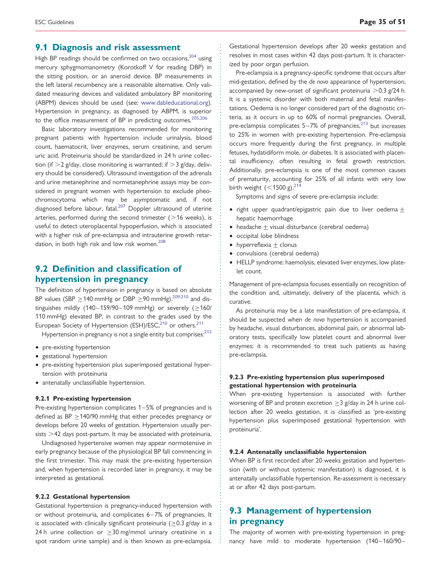### 9.1 Diagnosis and risk assessment

High BP readings should be confirmed on two occasions,  $204$  using mercury sphygmomanometry (Korotkoff V for reading DBP) in the sitting position, or an aneroid device. BP measurements in the left lateral recumbency are a reasonable alternative. Only validated measuring devices and validated ambulatory BP monitoring (ABPM) devices should be used (see: <www.dableducational.org>). Hypertension in pregnancy, as diagnosed by ABPM, is superior to the office measurement of BP in predicting outcomes.<sup>205,206</sup>

Basic laboratory investigations recommended for monitoring pregnant patients with hypertension include urinalysis, blood count, haematocrit, liver enzymes, serum creatinine, and serum uric acid. Proteinuria should be standardized in 24 h urine collection (if  $>$ 2 g/day, close monitoring is warranted; if  $>$ 3 g/day, delivery should be considered). Ultrasound investigation of the adrenals and urine metanephrine and normetanephrine assays may be considered in pregnant women with hypertension to exclude pheochromocytoma which may be asymptomatic and, if not diagnosed before labour, fatal.<sup>207</sup> Doppler ultrasound of uterine arteries, performed during the second trimester  $($  > 16 weeks), is useful to detect uteroplacental hypoperfusion, which is associated with a higher risk of pre-eclampsia and intrauterine growth retardation, in both high risk and low risk women.<sup>208</sup>

### 9.2 Definition and classification of hypertension in pregnancy

The definition of hypertension in pregnancy is based on absolute BP values (SBP  $\geq$  140 mmHg or DBP  $\geq$  90 mmHg).<sup>209,210</sup> and distinguishes mildly  $(140-159/90-109 \text{ mmHg})$  or severely  $(>160/$ 110 mmHg) elevated BP, in contrast to the grades used by the European Society of Hypertension (ESH)/ESC,<sup>210</sup> or others.<sup>211</sup>

Hypertension in pregnancy is not a single entity but comprises:<sup>212</sup>

- pre-existing hypertension
- gestational hypertension
- pre-existing hypertension plus superimposed gestational hypertension with proteinuria
- antenatally unclassifiable hypertension.

### 9.2.1 Pre-existing hypertension

Pre-existing hypertension complicates 1–5% of pregnancies and is defined as BP ≥140/90 mmHg that either precedes pregnancy or develops before 20 weeks of gestation. Hypertension usually persists  $>42$  days post-partum. It may be associated with proteinuria.

Undiagnosed hypertensive women may appear normotensive in early pregnancy because of the physiological BP fall commencing in the first trimester. This may mask the pre-existing hypertension and, when hypertension is recorded later in pregnancy, it may be interpreted as gestational.

### 9.2.2 Gestational hypertension

Gestational hypertension is pregnancy-induced hypertension with or without proteinuria, and complicates 6–7% of pregnancies. It is associated with clinically significant proteinuria ( $> 0.3$  g/day in a 24 h urine collection or  $\geq$  30 mg/mmol urinary creatinine in a spot random urine sample) and is then known as pre-eclampsia.

Gestational hypertension develops after 20 weeks gestation and resolves in most cases within 42 days post-partum. It is characterized by poor organ perfusion.

Pre-eclampsia is a pregnancy-specific syndrome that occurs after mid-gestation, defined by the de novo appearance of hypertension, accompanied by new-onset of significant proteinuria  $>$  0.3 g/24 h. It is a systemic disorder with both maternal and fetal manifestations. Oedema is no longer considered part of the diagnostic criteria, as it occurs in up to 60% of normal pregnancies. Overall, pre-eclampsia complicates  $5-7%$  of pregnancies,<sup>213</sup> but increases to 25% in women with pre-existing hypertension. Pre-eclampsia occurs more frequently during the first pregnancy, in multiple fetuses, hydatidiform mole, or diabetes. It is associated with placental insufficiency, often resulting in fetal growth restriction. Additionally, pre-eclampsia is one of the most common causes of prematurity, accounting for 25% of all infants with very low birth weight  $(<1500 g)^{214}$ 

Symptoms and signs of severe pre-eclampsia include:

- right upper quadrant/epigastric pain due to liver oedema  $\pm$ hepatic haemorrhage
- $\bullet$  headache  $\pm$  visual disturbance (cerebral oedema)
- occipital lobe blindness
- hyperreflexia  $\pm$  clonus
- convulsions (cerebral oedema)
- HELLP syndrome: haemolysis, elevated liver enzymes, low platelet count.

Management of pre-eclampsia focuses essentially on recognition of the condition and, ultimately, delivery of the placenta, which is curative.

As proteinuria may be a late manifestation of pre-eclampsia, it should be suspected when de novo hypertension is accompanied by headache, visual disturbances, abdominal pain, or abnormal laboratory tests, specifically low platelet count and abnormal liver enzymes; it is recommended to treat such patients as having pre-eclampsia.

### 9.2.3 Pre-existing hypertension plus superimposed gestational hypertension with proteinuria

When pre-existing hypertension is associated with further worsening of BP and protein excretion ≥3 g/day in 24 h urine collection after 20 weeks gestation, it is classified as 'pre-existing hypertension plus superimposed gestational hypertension with proteinuria'.

### 9.2.4 Antenatally unclassifiable hypertension

When BP is first recorded after 20 weeks gestation and hypertension (with or without systemic manifestation) is diagnosed, it is antenatally unclassifiable hypertension. Re-assessment is necessary at or after 42 days post-partum.

### 9.3 Management of hypertension in pregnancy

The majority of women with pre-existing hypertension in pregnancy have mild to moderate hypertension (140–160/90–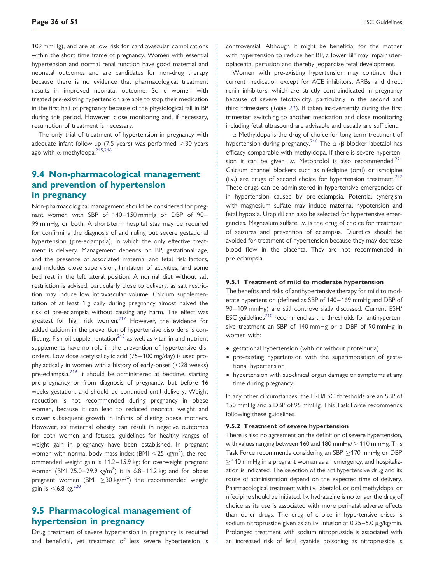109 mmHg), and are at low risk for cardiovascular complications within the short time frame of pregnancy. Women with essential hypertension and normal renal function have good maternal and neonatal outcomes and are candidates for non-drug therapy because there is no evidence that pharmacological treatment results in improved neonatal outcome. Some women with treated pre-existing hypertension are able to stop their medication in the first half of pregnancy because of the physiological fall in BP during this period. However, close monitoring and, if necessary, resumption of treatment is necessary.

The only trial of treatment of hypertension in pregnancy with adequate infant follow-up (7.5 years) was performed  $>$ 30 years ago with  $\alpha$ -methyldopa.<sup>215,216</sup>

### 9.4 Non-pharmacological management and prevention of hypertension in pregnancy

Non-pharmacological management should be considered for pregnant women with SBP of 140–150 mmHg or DBP of 90– 99 mmHg, or both. A short-term hospital stay may be required for confirming the diagnosis of and ruling out severe gestational hypertension (pre-eclampsia), in which the only effective treatment is delivery. Management depends on BP, gestational age, and the presence of associated maternal and fetal risk factors, and includes close supervision, limitation of activities, and some bed rest in the left lateral position. A normal diet without salt restriction is advised, particularly close to delivery, as salt restriction may induce low intravascular volume. Calcium supplementation of at least 1 g daily during pregnancy almost halved the risk of pre-eclampsia without causing any harm. The effect was greatest for high risk women.<sup>217</sup> However, the evidence for added calcium in the prevention of hypertensive disorders is conflicting. Fish oil supplementation<sup>218</sup> as well as vitamin and nutrient supplements have no role in the prevention of hypertensive disorders. Low dose acetylsalicylic acid (75–100 mg/day) is used prophylactically in women with a history of early-onset  $(<$  28 weeks) pre-eclampsia.<sup>219</sup> It should be administered at bedtime, starting pre-pregnancy or from diagnosis of pregnancy, but before 16 weeks gestation, and should be continued until delivery. Weight reduction is not recommended during pregnancy in obese women, because it can lead to reduced neonatal weight and slower subsequent growth in infants of dieting obese mothers. However, as maternal obesity can result in negative outcomes for both women and fetuses, guidelines for healthy ranges of weight gain in pregnancy have been established. In pregnant women with normal body mass index (BMI  $<$  25 kg/m<sup>2</sup>), the recommended weight gain is 11.2–15.9 kg; for overweight pregnant women (BMI 25.0–29.9 kg/m<sup>2</sup>) it is 6.8–11.2 kg; and for obese pregnant women (BMI  $\geq$ 30 kg/m<sup>2</sup>) the recommended weight gain is  $<$  6.8 kg.<sup>220</sup>

### 9.5 Pharmacological management of hypertension in pregnancy

Drug treatment of severe hypertension in pregnancy is required and beneficial, yet treatment of less severe hypertension is controversial. Although it might be beneficial for the mother with hypertension to reduce her BP, a lower BP may impair uteroplacental perfusion and thereby jeopardize fetal development.

Women with pre-existing hypertension may continue their current medication except for ACE inhibitors, ARBs, and direct renin inhibitors, which are strictly contraindicated in pregnancy because of severe fetotoxicity, particularly in the second and third trimesters (Table 21). If taken inadvertently during the first trimester, switching to another medication and close monitoring including fetal ultrasound are advisable and usually are sufficient.

 $\alpha$ -Methyldopa is the drug of choice for long-term treatment of hypertension during pregnancy.<sup>216</sup> The  $\alpha$ -/ $\beta$ -blocker labetalol has efficacy comparable with methyldopa. If there is severe hypertension it can be given i.v. Metoprolol is also recommended. $^{221}$ Calcium channel blockers such as nifedipine (oral) or isradipine (i.v.) are drugs of second choice for hypertension treatment. $^{222}$ These drugs can be administered in hypertensive emergencies or in hypertension caused by pre-eclampsia. Potential synergism with magnesium sulfate may induce maternal hypotension and fetal hypoxia. Urapidil can also be selected for hypertensive emergencies. Magnesium sulfate i.v. is the drug of choice for treatment of seizures and prevention of eclampsia. Diuretics should be avoided for treatment of hypertension because they may decrease blood flow in the placenta. They are not recommended in pre-eclampsia.

#### 9.5.1 Treatment of mild to moderate hypertension

The benefits and risks of antihypertensive therapy for mild to moderate hypertension (defined as SBP of 140–169 mmHg and DBP of 90–109 mmHg) are still controversially discussed. Current ESH/ ESC guidelines<sup>210</sup> recommend as the thresholds for antihypertensive treatment an SBP of 140 mmHg or a DBP of 90 mmHg in women with:

- gestational hypertension (with or without proteinuria)
- pre-existing hypertension with the superimposition of gestational hypertension
- hypertension with subclinical organ damage or symptoms at any time during pregnancy.

In any other circumstances, the ESH/ESC thresholds are an SBP of 150 mmHg and a DBP of 95 mmHg. This Task Force recommends following these guidelines.

### 9.5.2 Treatment of severe hypertension

There is also no agreement on the definition of severe hypertension, with values ranging between 160 and 180 mmHg $/$  > 110 mmHg. This Task Force recommends considering an SBP  $\geq$  170 mmHg or DBP ≥110 mmHg in a pregnant woman as an emergency, and hospitalization is indicated. The selection of the antihypertensive drug and its route of administration depend on the expected time of delivery. Pharmacological treatment with i.v. labetalol, or oral methyldopa, or nifedipine should be initiated. I.v. hydralazine is no longer the drug of choice as its use is associated with more perinatal adverse effects than other drugs. The drug of choice in hypertensive crises is sodium nitroprusside given as an i.v. infusion at  $0.25-5.0 \mu$ g/kg/min. Prolonged treatment with sodium nitroprusside is associated with an increased risk of fetal cyanide poisoning as nitroprusside is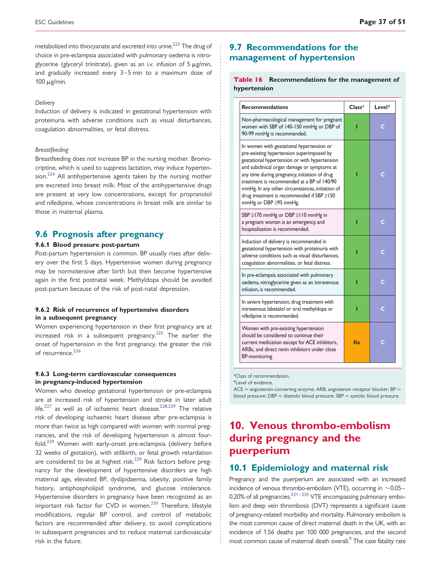metabolized into thiocyanate and excreted into urine.<sup>223</sup> The drug of choice in pre-eclampsia associated with pulmonary oedema is nitroglycerine (glyceryl trinitrate), given as an i.v. infusion of 5  $\mu$ g/min, and gradually increased every 3–5 min to a maximum dose of 100 μg/min.

#### **Delivery**

Induction of delivery is indicated in gestational hypertension with proteinuria with adverse conditions such as visual disturbances, coagulation abnormalities, or fetal distress.

#### Breastfeeding

Breastfeeding does not increase BP in the nursing mother. Bromocriptine, which is used to suppress lactation, may induce hypertension.<sup>224</sup> All antihypertensive agents taken by the nursing mother are excreted into breast milk. Most of the antihypertensive drugs are present at very low concentrations, except for propranolol and nifedipine, whose concentrations in breast milk are similar to those in maternal plasma.

### 9.6 Prognosis after pregnancy

### 9.6.1 Blood pressure post-partum

Post-partum hypertension is common. BP usually rises after delivery over the first 5 days. Hypertensive women during pregnancy may be normotensive after birth but then become hypertensive again in the first postnatal week. Methyldopa should be avoided post-partum because of the risk of post-natal depression.

### 9.6.2 Risk of recurrence of hypertensive disorders in a subsequent pregnancy

Women experiencing hypertension in their first pregnancy are at increased risk in a subsequent pregnancy.<sup>225</sup> The earlier the onset of hypertension in the first pregnancy, the greater the risk of recurrence.<sup>226</sup>

### 9.6.3 Long-term cardiovascular consequences in pregnancy-induced hypertension

Women who develop gestational hypertension or pre-eclampsia are at increased risk of hypertension and stroke in later adult life.<sup>227</sup> as well as of ischaemic heart disease.<sup>228,229</sup> The relative risk of developing ischaemic heart disease after pre-eclampsia is more than twice as high compared with women with normal pregnancies, and the risk of developing hypertension is almost fourfold.229 Women with early-onset pre-eclampsia (delivery before 32 weeks of gestation), with stillbirth, or fetal growth retardation are considered to be at highest risk.<sup>229</sup> Risk factors before pregnancy for the development of hypertensive disorders are high maternal age, elevated BP, dyslipidaemia, obesity, positive family history, antiphospholipid syndrome, and glucose intolerance. Hypertensive disorders in pregnancy have been recognized as an important risk factor for CVD in women.<sup>230</sup> Therefore, lifestyle modifications, regular BP control, and control of metabolic factors are recommended after delivery, to avoid complications in subsequent pregnancies and to reduce maternal cardiovascular risk in the future.

### 9.7 Recommendations for the management of hypertension

### Table 16 Recommendations for the management of hypertension

| <b>Recommendations</b>                                                                                                                                                                                                                                                                                                                                                                                              | Class <sup>a</sup> | Level <sup>b</sup> |
|---------------------------------------------------------------------------------------------------------------------------------------------------------------------------------------------------------------------------------------------------------------------------------------------------------------------------------------------------------------------------------------------------------------------|--------------------|--------------------|
| Non-pharmacological management for pregnant<br>women with SBP of 140-150 mmHg or DBP of<br>90-99 mmHg is recommended.                                                                                                                                                                                                                                                                                               | ı                  | п                  |
| In women with gestational hypertension or<br>pre-existing hypertension superimposed by<br>gestational hypertension or with hypertension<br>and subclinical organ damage or symptoms at<br>any time during pregnancy, initiation of drug<br>treatment is recommended at a BP of 140/90<br>mmHg. In any other circumstances, initiation of<br>drug treatment is recommended if $SBP \ge 150$<br>mmHg or DBP ≥95 mmHg. |                    | c                  |
| SBP ≥170 mmHg or DBP ≥110 mmHg in<br>a pregnant woman is an emergency, and<br>hospitalization is recommended.                                                                                                                                                                                                                                                                                                       | П                  | c                  |
| Induction of delivery is recommended in<br>gestational hypertension with proteinuria with<br>adverse conditions such as visual disturbances,<br>coagulation abnormalities, or fetal distress.                                                                                                                                                                                                                       |                    | с                  |
| In pre-eclampsia associated with pulmonary<br>oedema, nitroglycerine given as an intravenous<br>infusion, is recommended.                                                                                                                                                                                                                                                                                           | П                  | c                  |
| In severe hypertension, drug treatment with<br>intravenous labetalol or oral methyldopa or<br>nifedipine is recommended.                                                                                                                                                                                                                                                                                            | ı                  | с                  |
| Women with pre-existing hypertension<br>should be considered to continue their<br>current medication except for ACE inhibitors,<br>ARBs, and direct renin inhibitors under close<br><b>BP-monitoring</b>                                                                                                                                                                                                            | <b>Ila</b>         | c                  |

<sup>a</sup>Class of recommendation.

**b**Level of evidence.

 $ACE = angiotensin-converting enzyme; ARB, angiotensin receptor blocker; BP =$ blood pressure;  $DBP =$  diastolic blood pressure;  $SBP =$  systolic blood pressure.

## 10. Venous thrombo-embolism during pregnancy and the puerperium

### 10.1 Epidemiology and maternal risk

Pregnancy and the puerperium are associated with an increased incidence of venous thrombo-embolism (VTE), occurring in  $\sim$  0.05– 0.20% of all pregnancies. $^{231-235}$  VTE encompassing pulmonary embolism and deep vein thrombosis (DVT) represents a significant cause of pregnancy-related morbidity and mortality. Pulmonary embolism is the most common cause of direct maternal death in the UK, with an incidence of 1.56 deaths per 100 000 pregnancies, and the second most common cause of maternal death overall.<sup>9</sup> The case fatality rate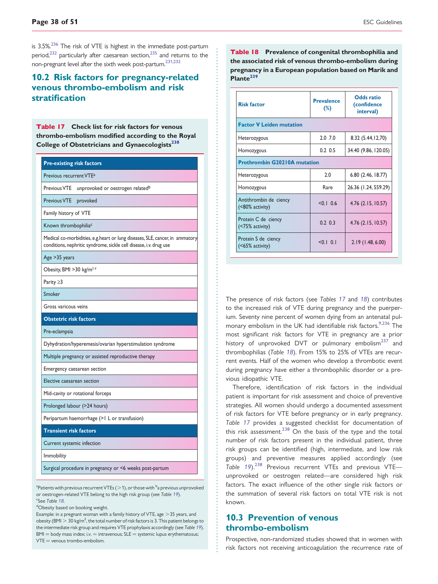is 3.5%.<sup>236</sup> The risk of VTE is highest in the immediate post-partum period, $^{232}$  particularly after caesarean section, $^{235}$  and returns to the non-pregnant level after the sixth week post-partum.231,232

### 10.2 Risk factors for pregnancy-related venous thrombo-embolism and risk stratification

Table 17 Check list for risk factors for venous thrombo-embolism modified according to the Royal College of Obstetricians and Gynaecologists $^{238}$ 

| <b>Pre-existing risk factors</b>      |                                                                                                                                                    |
|---------------------------------------|----------------------------------------------------------------------------------------------------------------------------------------------------|
| Previous recurrent VTE <sup>a</sup>   |                                                                                                                                                    |
| Previous VTE                          | unprovoked or oestrogen related <sup>b</sup>                                                                                                       |
| <b>Previous VTE</b><br>provoked       |                                                                                                                                                    |
| Family history of VTE                 |                                                                                                                                                    |
| Known thrombophilia <sup>c</sup>      |                                                                                                                                                    |
|                                       | Medical co-morbidities, e.g.heart or lung diseases, SLE, cancer, in ammatory<br>conditions, nephritic syndrome, sickle cell disease, i.v. drug use |
| Age > 35 years                        |                                                                                                                                                    |
| Obesity, BMI > 30 kg/m <sup>2 d</sup> |                                                                                                                                                    |
| Parity $\geq$ 3                       |                                                                                                                                                    |
| Smoker                                |                                                                                                                                                    |
| Gross varicous veins                  |                                                                                                                                                    |
|                                       |                                                                                                                                                    |
| <b>Obstetric risk factors</b>         |                                                                                                                                                    |
| Pre-eclampsia                         |                                                                                                                                                    |
|                                       | Dyhydration/hyperemesis/ovarian hyperstimulation syndrome                                                                                          |
|                                       | Multiple pregnancy or assisted reproductive therapy                                                                                                |
| Emergency caesarean section           |                                                                                                                                                    |
| Elective caesarean section            |                                                                                                                                                    |
| Mid-cavity or rotational forceps      |                                                                                                                                                    |
| Prolonged labour (>24 hours)          |                                                                                                                                                    |
|                                       | Peripartum haemorrhage (>1 L or transfusion)                                                                                                       |
| <b>Transient risk factors</b>         |                                                                                                                                                    |
| Current systemic infection            |                                                                                                                                                    |
| Immobility                            |                                                                                                                                                    |

 $^{\rm a}$ Patients with previous recurrent VTEs ( $>$  1), or those with  $^{\rm b}$ a previous unprovoked or oestrogen-related VTE belong to the high risk group (see Table 19). <sup>c</sup>See Table 18.

**Obesity based on booking weight.** 

Example: in a pregnant woman with a family history of VTE, age  $>$  35 years, and obesity (BMI  $> 30$  kg/m $^2$ , the total number of risk factors is 3. This patient belongs to the intermediate risk group and requires VTE prophylaxis accordingly (see Table 19).  $BMI = body$  mass index; i.v.  $=$  intravenous;  $SLE =$  systemic lupus erythematosus;  $VTE =$  venous trombo-embolism.

Table 18 Prevalence of congenital thrombophilia and the associated risk of venous thrombo-embolism during pregnancy in a European population based on Marik and Plante<sup>239</sup>

| <b>Risk factor</b>                            | <b>Prevalence</b><br>$(\%)$ | <b>Odds</b> ratio<br>(confidence<br>interval) |  |
|-----------------------------------------------|-----------------------------|-----------------------------------------------|--|
| <b>Factor V Leiden mutation</b>               |                             |                                               |  |
| Heterozygous                                  | 2.07.0                      | 8.32 (5.44, 12, 70)                           |  |
| Homozygous                                    | $0.2 \, 0.5$                | 34.40 (9.86, 120.05)                          |  |
| <b>Prothrombin G20210A mutation</b>           |                             |                                               |  |
| Heterozygous                                  | 2.0                         | 6.80(2.46, 18.77)                             |  |
| Homozygous                                    | Rare                        | 26.36 (1.24, 559.29)                          |  |
| Antithrombin de ciency<br>(<80% activity)     | 50.106                      | $4.76$ (2.15, 10.57)                          |  |
| Protein C de ciency<br>(<75% activity)        | $0.2 \ 0.3$                 | $4.76$ (2.15, 10.57)                          |  |
| Protein S de ciency<br>( <b>65%</b> activity) | $< 0.1$ 0.1                 | 2.19(1.48, 6.00)                              |  |

The presence of risk factors (see Tables 17 and 18) contributes to the increased risk of VTE during pregnancy and the puerperium. Seventy nine percent of women dying from an antenatal pulmonary embolism in the UK had identifiable risk factors.<sup>9,236</sup> The most significant risk factors for VTE in pregnancy are a prior history of unprovoked DVT or pulmonary embolism $^{237}$  and thrombophilias (Table 18). From 15% to 25% of VTEs are recurrent events. Half of the women who develop a thrombotic event during pregnancy have either a thrombophilic disorder or a previous idiopathic VTE.

Therefore, identification of risk factors in the individual patient is important for risk assessment and choice of preventive strategies. All women should undergo a documented assessment of risk factors for VTE before pregnancy or in early pregnancy. Table 17 provides a suggested checklist for documentation of this risk assessment. $238$  On the basis of the type and the total number of risk factors present in the individual patient, three risk groups can be identified (high, intermediate, and low risk groups) and preventive measures applied accordingly (see Table 19).<sup>238</sup> Previous recurrent VTEs and previous VTEunprovoked or oestrogen related—are considered high risk factors. The exact influence of the other single risk factors or the summation of several risk factors on total VTE risk is not known.

### 10.3 Prevention of venous thrombo-embolism

Prospective, non-randomized studies showed that in women with risk factors not receiving anticoagulation the recurrence rate of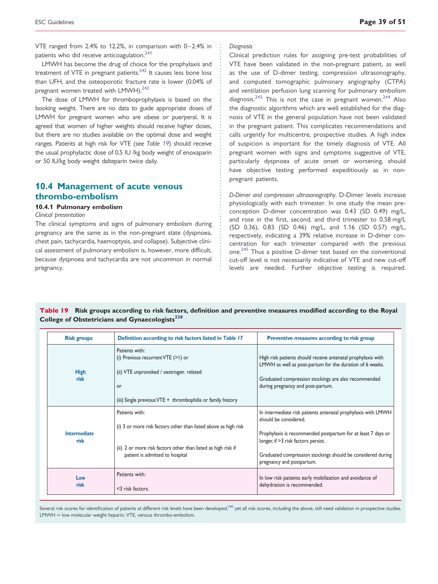VTE ranged from 2.4% to 12.2%, in comparison with 0–2.4% in patients who did receive anticoagulation.<sup>241</sup>

LMWH has become the drug of choice for the prophylaxis and treatment of VTE in pregnant patients.<sup>242</sup> It causes less bone loss than UFH, and the osteoporotic fracture rate is lower (0.04% of pregnant women treated with LMWH).<sup>242</sup>

The dose of LMWH for thromboprophylaxis is based on the booking weight. There are no data to guide appropriate doses of LMWH for pregnant women who are obese or puerperal. It is agreed that women of higher weights should receive higher doses, but there are no studies available on the optimal dose and weight ranges. Patients at high risk for VTE (see Table 19) should receive the usual prophylactic dose of 0.5 IU /kg body weight of enoxaparin or 50 IU/kg body weight dalteparin twice daily.

### 10.4 Management of acute venous thrombo-embolism

### 10.4.1 Pulmonary embolism

Clinical presentation

The clinical symptoms and signs of pulmonary embolism during pregnancy are the same as in the non-pregnant state (dyspnoea, chest pain, tachycardia, haemoptysis, and collapse). Subjective clinical assessment of pulmonary embolism is, however, more difficult, because dyspnoea and tachycardia are not uncommon in normal pregnancy.

Diagnosis

Clinical prediction rules for assigning pre-test probabilities of VTE have been validated in the non-pregnant patient, as well as the use of D-dimer testing, compression ultrasonography, and computed tomographic pulmonary angiography (CTPA) and ventilation perfusion lung scanning for pulmonary embolism diagnosis.<sup>243</sup> This is not the case in pregnant women.<sup>244</sup> Also the diagnostic algorithms which are well established for the diagnosis of VTE in the general population have not been validated in the pregnant patient. This complicates recommendations and calls urgently for multicentre, prospective studies. A high index of suspicion is important for the timely diagnosis of VTE. All pregnant women with signs and symptoms suggestive of VTE, particularly dyspnoea of acute onset or worsening, should have objective testing performed expeditiously as in nonpregnant patients.

D-Dimer and compression ultrasonography. D-Dimer levels increase physiologically with each trimester. In one study the mean preconception D-dimer concentration was 0.43 (SD 0.49) mg/L, and rose in the first, second, and third trimester to 0.58 mg/L (SD 0.36), 0.83 (SD 0.46) mg/L, and 1.16 (SD 0.57) mg/L, respectively, indicating a 39% relative increase in D-dimer concentration for each trimester compared with the previous one.<sup>245</sup> Thus a positive D-dimer test based on the conventional cut-off level is not necessarily indicative of VTE and new cut-off levels are needed. Further objective testing is required.

### Table 19 Risk groups according to risk factors, definition and preventive measures modified according to the Royal College of Obstetricians and Gynaecologists $^{238}$

| <b>Risk groups</b>          | Definition according to risk factors listed in Table 17                                                                                                                               | Preventive measures according to risk group                                                                                                                                                                                                                                                |
|-----------------------------|---------------------------------------------------------------------------------------------------------------------------------------------------------------------------------------|--------------------------------------------------------------------------------------------------------------------------------------------------------------------------------------------------------------------------------------------------------------------------------------------|
| <b>High</b><br>risk         | Patients with:<br>(i) Previous recurrent VTE $(>1)$ or<br>(ii) VTE unprovoked / oestrogen related<br>or<br>(iii) Single previous VTE $+$ thrombophilia or family history              | High risk patients should receive antenatal prophylaxis with<br>LMWH as well as post-partum for the duration of 6 weeks.<br>Graduated compression stockings are also recommended<br>during pregnancy and post-partum.                                                                      |
| <b>Intermediate</b><br>risk | Patients with:<br>(i) 3 or more risk factors other than listed above as high risk<br>(ii) 2 or more risk factors other than listed as high risk if<br>patient is admitted to hospital | In intermediate risk patients antenatal prophylaxis with LMWH<br>should be considered.<br>Prophylaxis is recommended postpartum for at least 7 days or<br>longer, if > 3 risk factors persist.<br>Graduated compression stockings should be considered during<br>pregnancy and postpartum. |
| Low<br>risk                 | Patients with:<br><3 risk factors.                                                                                                                                                    | In low risk patients early mobilization and avoidance of<br>dehydration is recommended.                                                                                                                                                                                                    |

Several risk scores for identification of patients at different risk levels have been developed, $^{240}$  yet all risk scores, including the above, still need validation in prospective studies.  $LMWH = low molecular weight heparin; VTE, venous throwno-embolism.$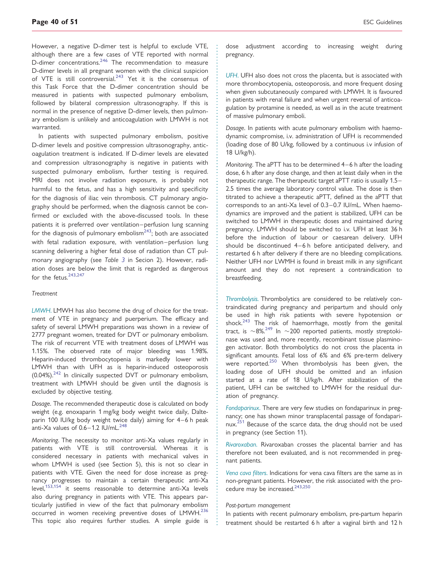However, a negative D-dimer test is helpful to exclude VTE, although there are a few cases of VTE reported with normal D-dimer concentrations.<sup>246</sup> The recommendation to measure D-dimer levels in all pregnant women with the clinical suspicion of VTE is still controversial.<sup>243</sup> Yet it is the consensus of this Task Force that the D-dimer concentration should be measured in patients with suspected pulmonary embolism, followed by bilateral compression ultrasonography. If this is normal in the presence of negative D-dimer levels, then pulmonary embolism is unlikely and anticoagulation with LMWH is not warranted.

In patients with suspected pulmonary embolism, positive D-dimer levels and positive compression ultrasonography, anticoagulation treatment is indicated. If D-dimer levels are elevated and compression ultrasonography is negative in patients with suspected pulmonary embolism, further testing is required. MRI does not involve radiation exposure, is probably not harmful to the fetus, and has a high sensitivity and specificity for the diagnosis of iliac vein thrombosis. CT pulmonary angiography should be performed, when the diagnosis cannot be confirmed or excluded with the above-discussed tools. In these patients it is preferred over ventilation–perfusion lung scanning for the diagnosis of pulmonary embolism<sup>243</sup>; both are associated with fetal radiation exposure, with ventilation–perfusion lung scanning delivering a higher fetal dose of radiation than CT pulmonary angiography (see Table 3 in Secion 2). However, radiation doses are below the limit that is regarded as dangerous for the fetus. $243,247$ 

### **Treatment**

LMWH. LMWH has also become the drug of choice for the treatment of VTE in pregnancy and puerperium. The efficacy and safety of several LMWH preparations was shown in a review of 2777 pregnant women, treated for DVT or pulmonary embolism. The risk of recurrent VTE with treatment doses of LMWH was 1.15%. The observed rate of major bleeding was 1.98%. Heparin-induced thrombocytopenia is markedly lower with LMWH than with UFH as is heparin-induced osteoporosis  $(0.04\%)$ .<sup>242</sup> In clinically suspected DVT or pulmonary embolism, treatment with LMWH should be given until the diagnosis is excluded by objective testing.

Dosage. The recommended therapeutic dose is calculated on body weight (e.g. enoxaparin 1 mg/kg body weight twice daily, Dalteparin 100 IU/kg body weight twice daily) aiming for 4–6 h peak anti-Xa values of 0.6-1.2 IU/mL.<sup>248</sup>

Monitoring. The necessity to monitor anti-Xa values regularly in patients with VTE is still controversial. Whereas it is considered necessary in patients with mechanical valves in whom LMWH is used (see Section 5), this is not so clear in patients with VTE. Given the need for dose increase as pregnancy progresses to maintain a certain therapeutic anti-Xa  $level, 153, 154$  it seems reasonable to determine anti-Xa levels also during pregnancy in patients with VTE. This appears particularly justified in view of the fact that pulmonary embolism occurred in women receiving preventive doses of LMWH.<sup>236</sup> This topic also requires further studies. A simple guide is

dose adjustment according to increasing weight during pregnancy.

UFH. UFH also does not cross the placenta, but is associated with more thrombocytopenia, osteoporosis, and more frequent dosing when given subcutaneously compared with LMWH. It is favoured in patients with renal failure and when urgent reversal of anticoagulation by protamine is needed, as well as in the acute treatment of massive pulmonary emboli.

Dosage. In patients with acute pulmonary embolism with haemodynamic compromise, i.v. administration of UFH is recommended (loading dose of 80 U/kg, followed by a continuous i.v infusion of 18 U/kg/h).

Monitoring. The aPTT has to be determined 4–6 h after the loading dose, 6 h after any dose change, and then at least daily when in the therapeutic range. The therapeutic target aPTT ratio is usually 1.5– 2.5 times the average laboratory control value. The dose is then titrated to achieve a therapeutic aPTT, defined as the aPTT that corresponds to an anti-Xa level of 0.3–0.7 IU/mL. When haemodynamics are improved and the patient is stabilized, UFH can be switched to LMWH in therapeutic doses and maintained during pregnancy. LMWH should be switched to i.v. UFH at least 36 h before the induction of labour or caesarean delivery. UFH should be discontinued 4–6 h before anticipated delivery, and restarted 6 h after delivery if there are no bleeding complications. Neither UFH nor LWMH is found in breast milk in any significant amount and they do not represent a contraindication to breastfeeding.

Thrombolysis. Thrombolytics are considered to be relatively contraindicated during pregnancy and peripartum and should only be used in high risk patients with severe hypotension or shock.<sup>243</sup> The risk of haemorrhage, mostly from the genital tract, is  $\sim 8\%^{249}$  In  $\sim 200$  reported patients, mostly streptokinase was used and, more recently, recombinant tissue plasminogen activator. Both thrombolytics do not cross the placenta in significant amounts. Fetal loss of 6% and 6% pre-term delivery were reported.<sup>250</sup> When thrombolysis has been given, the loading dose of UFH should be omitted and an infusion started at a rate of 18 U/kg/h. After stabilization of the patient, UFH can be switched to LMWH for the residual duration of pregnancy.

Fondaparinux. There are very few studies on fondaparinux in pregnancy; one has shown minor transplacental passage of fondaparinux.<sup>251</sup> Because of the scarce data, the drug should not be used in pregnancy (see Section 11).

Rivaroxaban. Rivaroxaban crosses the placental barrier and has therefore not been evaluated, and is not recommended in pregnant patients.

Vena cava filters. Indications for vena cava filters are the same as in non-pregnant patients. However, the risk associated with the procedure may be increased.<sup>243,250</sup>

#### Post-partum management

In patients with recent pulmonary embolism, pre-partum heparin treatment should be restarted 6 h after a vaginal birth and 12 h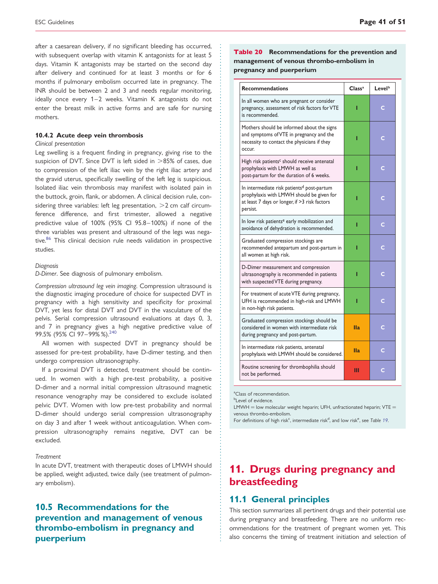after a caesarean delivery, if no significant bleeding has occurred, with subsequent overlap with vitamin K antagonists for at least 5 days. Vitamin K antagonists may be started on the second day after delivery and continued for at least 3 months or for 6 months if pulmonary embolism occurred late in pregnancy. The INR should be between 2 and 3 and needs regular monitoring, ideally once every 1–2 weeks. Vitamin K antagonists do not enter the breast milk in active forms and are safe for nursing mothers.

### 10.4.2 Acute deep vein thrombosis

### Clinical presentation

Leg swelling is a frequent finding in pregnancy, giving rise to the suspicion of DVT. Since DVT is left sided in  $>85\%$  of cases, due to compression of the left iliac vein by the right iliac artery and the gravid uterus, specifically swelling of the left leg is suspicious. Isolated iliac vein thrombosis may manifest with isolated pain in the buttock, groin, flank, or abdomen. A clinical decision rule, considering three variables: left leg presentation,  $>$ 2 cm calf circumference difference, and first trimester, allowed a negative predictive value of 100% (95% CI 95.8–100%) if none of the three variables was present and ultrasound of the legs was negative.<sup>86</sup> This clinical decision rule needs validation in prospective studies.

#### **Diagnosis**

D-Dimer. See diagnosis of pulmonary embolism.

Compression ultrasound leg vein imaging. Compression ultrasound is the diagnostic imaging procedure of choice for suspected DVT in pregnancy with a high sensitivity and specificity for proximal DVT, yet less for distal DVT and DVT in the vasculature of the pelvis. Serial compression ultrasound evaluations at days 0, 3, and 7 in pregnancy gives a high negative predictive value of 99.5% (95% CI 97-99% %).<sup>240</sup>

All women with suspected DVT in pregnancy should be assessed for pre-test probability, have D-dimer testing, and then undergo compression ultrasonography.

If a proximal DVT is detected, treatment should be continued. In women with a high pre-test probability, a positive D-dimer and a normal initial compression ultrasound magnetic resonance venography may be considered to exclude isolated pelvic DVT. Women with low pre-test probability and normal D-dimer should undergo serial compression ultrasonography on day 3 and after 1 week without anticoagulation. When compression ultrasonography remains negative, DVT can be excluded.

### **Treatment**

In acute DVT, treatment with therapeutic doses of LMWH should be applied, weight adjusted, twice daily (see treatment of pulmonary embolism).

10.5 Recommendations for the prevention and management of venous thrombo-embolism in pregnancy and puerperium

Table 20 Recommendations for the prevention and management of venous thrombo-embolism in pregnancy and puerperium

| <b>Recommendations</b>                                                                                                                                            | Class <sup>a</sup> | Level <sup>b</sup> |
|-------------------------------------------------------------------------------------------------------------------------------------------------------------------|--------------------|--------------------|
| In all women who are pregnant or consider<br>pregnancy, assessment of risk factors for VTE<br>is recommended.                                                     | П                  | c                  |
| Mothers should be informed about the signs<br>and symptoms of VTE in pregnancy and the<br>necessity to contact the physicians if they<br>occur.                   |                    | С                  |
| High risk patients <sup>c</sup> should receive antenatal<br>prophylaxis with LMWH as well as<br>post-partum for the duration of 6 weeks.                          | П                  | С                  |
| In intermediate risk patients <sup>d</sup> post-partum<br>prophylaxis with LMWH should be given for<br>at least 7 days or longer, if > 3 risk factors<br>persist. |                    | c                  |
| In low risk patients <sup>e</sup> early mobilization and<br>avoidance of dehydration is recommended.                                                              | П                  | C                  |
| Graduated compression stockings are<br>recommended antepartum and post-partum in<br>all women at high risk.                                                       |                    | c                  |
| D-Dimer measurement and compression<br>ultrasonography is recommended in patients<br>with suspected VTE during pregnancy.                                         | П                  | c                  |
| For treatment of acute VTE during pregnancy,<br>UFH is recommended in high-risk and LMWH<br>in non-high risk patients.                                            | П                  | c                  |
| Graduated compression stockings should be<br>considered in women with intermediate risk<br>during pregnancy and post-partum.                                      | <b>Ila</b>         | c                  |
| In intermediate risk patients, antenatal<br>prophylaxis with LMWH should be considered.                                                                           | Ila.               | c                  |
| Routine screening for thrombophilia should<br>not be performed.                                                                                                   | Ш                  | c                  |

<sup>a</sup>Class of recommendation.

**b**Level of evidence.

LMWH  $=$  low molecular weight heparin; UFH, unfractionated heparin; VTE  $=$ venous thrombo-embolism.

For definitions of high risk<sup>c</sup>, intermediate risk<sup>d</sup>, and low risk<sup>e</sup>, see Table 19.

### 11. Drugs during pregnancy and breastfeeding

### 11.1 General principles

This section summarizes all pertinent drugs and their potential use during pregnancy and breastfeeding. There are no uniform recommendations for the treatment of pregnant women yet. This also concerns the timing of treatment initiation and selection of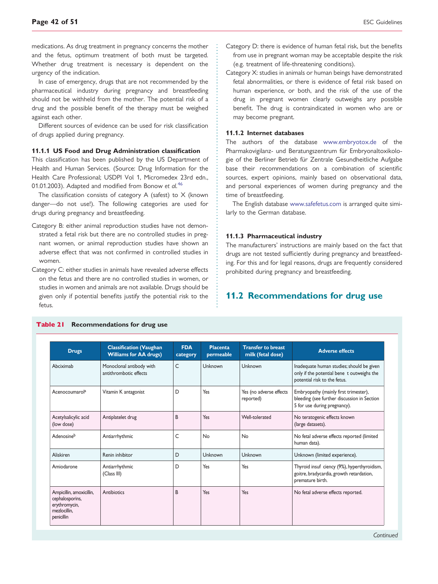medications. As drug treatment in pregnancy concerns the mother and the fetus, optimum treatment of both must be targeted. Whether drug treatment is necessary is dependent on the urgency of the indication.

In case of emergency, drugs that are not recommended by the pharmaceutical industry during pregnancy and breastfeeding should not be withheld from the mother. The potential risk of a drug and the possible benefit of the therapy must be weighed against each other.

Different sources of evidence can be used for risk classification of drugs applied during pregnancy.

### 11.1.1 US Food and Drug Administration classification

This classification has been published by the US Department of Health and Human Services. (Source: Drug Information for the Health Care Professional; USDPI Vol 1, Micromedex 23rd edn., 01.01.2003). Adapted and modified from Bonow et  $al$ .<sup>46</sup>

The classification consists of category A (safest) to X (known danger—do not use!). The following categories are used for drugs during pregnancy and breastfeeding.

- Category B: either animal reproduction studies have not demonstrated a fetal risk but there are no controlled studies in pregnant women, or animal reproduction studies have shown an adverse effect that was not confirmed in controlled studies in women.
- Category C: either studies in animals have revealed adverse effects on the fetus and there are no controlled studies in women, or studies in women and animals are not available. Drugs should be given only if potential benefits justify the potential risk to the fetus.
- Category D: there is evidence of human fetal risk, but the benefits from use in pregnant woman may be acceptable despite the risk (e.g. treatment of life-threatening conditions).
- Category X: studies in animals or human beings have demonstrated fetal abnormalities, or there is evidence of fetal risk based on human experience, or both, and the risk of the use of the drug in pregnant women clearly outweighs any possible benefit. The drug is contraindicated in women who are or may become pregnant.

### 11.1.2 Internet databases

The authors of the database <www.embryotox.de> of the Pharmakovigilanz- und Beratungszentrum für Embryonaltoxikologie of the Berliner Betrieb für Zentrale Gesundheitliche Aufgabe base their recommendations on a combination of scientific sources, expert opinions, mainly based on observational data, and personal experiences of women during pregnancy and the time of breastfeeding.

The English database <www.safefetus.com> is arranged quite similarly to the German database.

#### 11.1.3 Pharmaceutical industry

The manufacturers' instructions are mainly based on the fact that drugs are not tested sufficiently during pregnancy and breastfeeding. For this and for legal reasons, drugs are frequently considered prohibited during pregnancy and breastfeeding.

### 11.2 Recommendations for drug use

| <b>Drugs</b>                                                                               | <b>Classification (Vaughan</b><br><b>Williams for AA drugs)</b> | <b>FDA</b><br>category | <b>Placenta</b><br>permeable | <b>Transfer to breast</b><br>milk (fetal dose) | <b>Adverse effects</b>                                                                                                  |
|--------------------------------------------------------------------------------------------|-----------------------------------------------------------------|------------------------|------------------------------|------------------------------------------------|-------------------------------------------------------------------------------------------------------------------------|
| Abciximab                                                                                  | Monoclonal antibody with<br>antithrombotic effects              | C                      | Unknown                      | Unknown                                        | Inadequate human studies; should be given<br>only if the potential bene t outweighs the<br>potential risk to the fetus. |
| Acenocoumarola                                                                             | Vitamin K antagonist                                            | D                      | Yes                          | Yes (no adverse effects<br>reported)           | Embryopathy (mainly first trimester),<br>bleeding (see further discussion in Section<br>5 for use during pregnancy).    |
| Acetylsalicylic acid<br>(low dose)                                                         | Antiplatelet drug                                               | B                      | Yes                          | Well-tolerated                                 | No teratogenic effects known<br>(large datasets).                                                                       |
| Adenosineb                                                                                 | Antiarrhythmic                                                  | C                      | <b>No</b>                    | No                                             | No fetal adverse effects reported (limited<br>human data).                                                              |
| Aliskiren                                                                                  | Renin inhibitor                                                 | D                      | Unknown                      | Unknown                                        | Unknown (limited experience).                                                                                           |
| Amiodarone                                                                                 | Antiarrhythmic<br>(Class III)                                   | D                      | Yes                          | Yes                                            | Thyroid insuf ciency (9%), hyperthyroidism,<br>goitre, bradycardia, growth retardation,<br>premature birth.             |
| Ampicillin, amoxicillin,<br>cephalosporins,<br>erythromycin,<br>mezlocillin.<br>penicillin | Antibiotics                                                     | B                      | Yes                          | Yes                                            | No fetal adverse effects reported.                                                                                      |

#### Table 21 Recommendations for drug use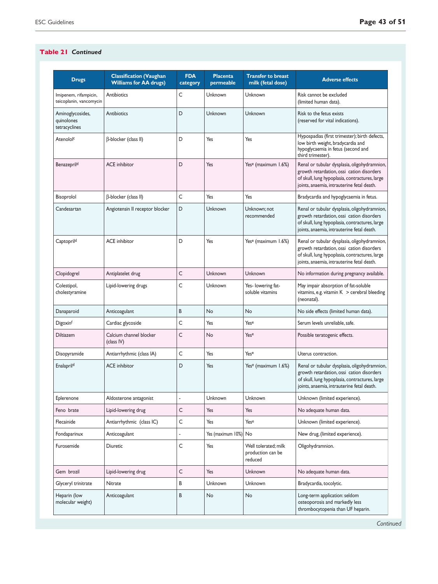### Table 21 Continued

| <b>Drugs</b>                                     | <b>Classification (Vaughan</b><br><b>Williams for AA drugs)</b> | <b>FDA</b><br>category | <b>Placenta</b><br>permeable | <b>Transfer to breast</b><br>milk (fetal dose)       | <b>Adverse effects</b>                                                                                                                                                                    |
|--------------------------------------------------|-----------------------------------------------------------------|------------------------|------------------------------|------------------------------------------------------|-------------------------------------------------------------------------------------------------------------------------------------------------------------------------------------------|
| Imipenem, rifampicin,<br>teicoplanin, vancomycin | <b>Antibiotics</b>                                              | C                      | Unknown                      | Unknown                                              | Risk cannot be excluded<br>(limited human data).                                                                                                                                          |
| Aminoglycosides,<br>quinolones<br>tetracyclines  | <b>Antibiotics</b>                                              | D                      | Unknown                      | Unknown                                              | Risk to the fetus exists<br>(reserved for vital indications).                                                                                                                             |
| Atenolol <sup>c</sup>                            | β-blocker (class II)                                            | D                      | Yes                          | Yes                                                  | Hypospadias (first trimester); birth defects,<br>low birth weight, bradycardia and<br>hypoglycaemia in fetus (second and<br>third trimester).                                             |
| Benazeprild                                      | <b>ACE</b> inhibitor                                            | D                      | Yes                          | Yes <sup>e</sup> (maximum 1.6%)                      | Renal or tubular dysplasia, oligohydramnion,<br>growth retardation, ossi cation disorders<br>of skull, lung hypoplasia, contractures, large<br>joints, anaemia, intrauterine fetal death. |
| Bisoprolol                                       | β-blocker (class II)                                            | C                      | Yes                          | Yes                                                  | Bradycardia and hypoglycaemia in fetus.                                                                                                                                                   |
| Candesartan                                      | Angiotensin II receptor blocker                                 | D                      | Unknown                      | Unknown; not<br>recommended                          | Renal or tubular dysplasia, oligohydramnion,<br>growth retardation, ossi cation disorders<br>of skull, lung hypoplasia, contractures, large<br>joints, anaemia, intrauterine fetal death. |
| Captopril <sup>d</sup>                           | <b>ACE</b> inhibitor                                            | D                      | Yes                          | Yes <sup>e</sup> (maximum 1.6%)                      | Renal or tubular dysplasia, oligohydramnion,<br>growth retardation, ossi cation disorders<br>of skull, lung hypoplasia, contractures, large<br>joints, anaemia, intrauterine fetal death. |
| Clopidogrel                                      | Antiplatelet drug                                               | C                      | Unknown                      | Unknown                                              | No information during pregnancy available.                                                                                                                                                |
| Colestipol,<br>cholestyramine                    | Lipid-lowering drugs                                            | C                      | Unknown                      | Yes- lowering fat-<br>soluble vitamins               | May impair absorption of fat-soluble<br>vitamins, e.g. vitamin $K >$ cerebral bleeding<br>(neonatal).                                                                                     |
| Danaparoid                                       | Anticoagulant                                                   | B                      | No                           | <b>No</b>                                            | No side effects (limited human data).                                                                                                                                                     |
| Digoxinf                                         | Cardiac glycoside                                               | C                      | Yes                          | Yese                                                 | Serum levels unreliable, safe.                                                                                                                                                            |
| Diltiazem                                        | Calcium channel blocker<br>(class IV)                           | C                      | No                           | Yese                                                 | Possible teratogenic effects.                                                                                                                                                             |
| Disopyramide                                     | Antiarrhythmic (class IA)                                       | C                      | Yes                          | Yese                                                 | Uterus contraction.                                                                                                                                                                       |
| Enalapril <sup>d</sup>                           | <b>ACE</b> inhibitor                                            | D                      | Yes                          | Yes <sup>e</sup> (maximum 1.6%)                      | Renal or tubular dysplasia, oligohydramnion,<br>growth retardation, ossi cation disorders<br>of skull, lung hypoplasia, contractures, large<br>joints, anaemia, intrauterine fetal death. |
| Eplerenone                                       | Aldosterone antagonist                                          | ä,                     | Unknown                      | Unknown                                              | Unknown (limited experience).                                                                                                                                                             |
| Feno brate                                       | Lipid-lowering drug                                             | C                      | Yes                          | Yes                                                  | No adequate human data.                                                                                                                                                                   |
| Flecainide                                       | Antiarrhythmic (class IC)                                       | С                      | Yes                          | Yese                                                 | Unknown (limited experience).                                                                                                                                                             |
| Fondaparinux                                     | Anticoagulant                                                   |                        | Yes (maximum 10%)  No        |                                                      | New drug, (limited experience).                                                                                                                                                           |
| Furosemide                                       | Diuretic                                                        | $\mathsf C$            | Yes                          | Well tolerated; milk<br>production can be<br>reduced | Oligohydramnion.                                                                                                                                                                          |
| Gem brozil                                       | Lipid-lowering drug                                             | C                      | Yes                          | Unknown                                              | No adequate human data.                                                                                                                                                                   |
| Glyceryl trinitrate                              | Nitrate                                                         | В                      | Unknown                      | Unknown                                              | Bradycardia, tocolytic.                                                                                                                                                                   |
| Heparin (low<br>molecular weight)                | Anticoagulant                                                   | B                      | No                           | No                                                   | Long-term application: seldom<br>osteoporosis and markedly less<br>thrombocytopenia than UF heparin.                                                                                      |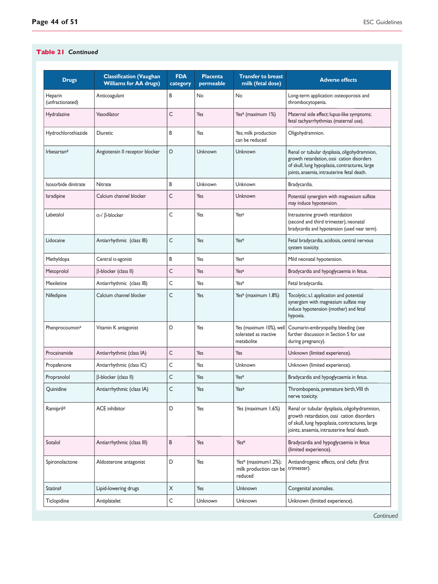### Table 21 Continued

| <b>Drugs</b>                | <b>Classification (Vaughan</b><br><b>Williams for AA drugs)</b> | <b>FDA</b><br>category | <b>Placenta</b><br>permeable | <b>Transfer to breast</b><br>milk (fetal dose)                        | <b>Adverse effects</b>                                                                                                                                                                    |
|-----------------------------|-----------------------------------------------------------------|------------------------|------------------------------|-----------------------------------------------------------------------|-------------------------------------------------------------------------------------------------------------------------------------------------------------------------------------------|
| Heparin<br>(unfractionated) | Anticoagulant                                                   | В                      | No                           | No                                                                    | Long-term application: osteoporosis and<br>thrombocytopenia.                                                                                                                              |
| Hydralazine                 | Vasodilator                                                     | C                      | Yes                          | Yes <sup>e</sup> (maximum 1%)                                         | Maternal side effect: lupus-like symptoms;<br>fetal tachyarrhythmias (maternal use).                                                                                                      |
| Hydrochlorothiazide         | Diuretic                                                        | В                      | Yes                          | Yes; milk production<br>can be reduced                                | Oligohydramnion.                                                                                                                                                                          |
| Irbesartand                 | Angiotensin II receptor blocker                                 | D                      | Unknown                      | Unknown                                                               | Renal or tubular dysplasia, oligohydramnion,<br>growth retardation, ossi cation disorders<br>of skull, lung hypoplasia, contractures, large<br>joints, anaemia, intrauterine fetal death. |
| Isosorbide dinitrate        | Nitrate                                                         | В                      | Unknown                      | Unknown                                                               | Bradycardia.                                                                                                                                                                              |
| Isradipine                  | Calcium channel blocker                                         | C                      | Yes                          | Unknown                                                               | Potential synergism with magnesium sulfate<br>may induce hypotension.                                                                                                                     |
| Labetalol                   | $\alpha$ -/ $\beta$ -blocker                                    | C                      | Yes                          | Yese                                                                  | Intrauterine growth retardation<br>(second and third trimester), neonatal<br>bradycardia and hypotension (used near term).                                                                |
| Lidocaine                   | Antiarrhythmic (class IB)                                       | C                      | Yes                          | Yese                                                                  | Fetal bradycardia, acidosis, central nervous<br>system toxicity.                                                                                                                          |
| Methyldopa                  | Central $\alpha$ -agonist                                       | В                      | Yes                          | Yese                                                                  | Mild neonatal hypotension.                                                                                                                                                                |
| Metoprolol                  | β-blocker (class II)                                            | C                      | Yes                          | Yese                                                                  | Bradycardia and hypoglycaemia in fetus.                                                                                                                                                   |
| Mexiletine                  | Antiarrhythmic (class IB)                                       | C                      | Yes                          | Yese                                                                  | Fetal bradycardia.                                                                                                                                                                        |
| Nifedipine                  | Calcium channel blocker                                         | C                      | Yes                          | Yes <sup>e</sup> (maximum 1.8%)                                       | Tocolytic; s.l. application and potential<br>synergism with magnesium sulfate may<br>induce hypotension (mother) and fetal<br>hypoxia.                                                    |
| Phenprocoumon <sup>a</sup>  | Vitamin K antagonist                                            | D                      | Yes                          | Yes (maximum 10%), well<br>tolerated as inactive<br>metabolite        | Coumarin-embryopathy, bleeding (see<br>further discussion in Section 5 for use<br>during pregnancy).                                                                                      |
| Procainamide                | Antiarrhythmic (class IA)                                       | C                      | Yes                          | Yes                                                                   | Unknown (limited experience).                                                                                                                                                             |
| Propafenone                 | Antiarrhythmic (class IC)                                       | C                      | Yes                          | Unknown                                                               | Unknown (limited experience).                                                                                                                                                             |
| Propranolol                 | β-blocker (class II)                                            | C                      | Yes                          | Yese                                                                  | Bradycardia and hypoglycaemia in fetus.                                                                                                                                                   |
| Quinidine                   | Antiarrhythmic (class IA)                                       | C                      | Yes                          | Yese                                                                  | Thrombopenia, premature birth, VIII th<br>nerve toxicity.                                                                                                                                 |
| Ramipril <sup>d</sup>       | <b>ACE</b> inhibitor                                            | D                      | Yes                          | Yes (maximum 1.6%)                                                    | Renal or tubular dysplasia, oligohydramnion,<br>growth retardation, ossi cation disorders<br>of skull, lung hypoplasia, contractures, large<br>joints, anaemia, intrauterine fetal death. |
| Sotalol                     | Antiarrhythmic (class III)                                      | В                      | Yes                          | Yese                                                                  | Bradycardia and hypoglycaemia in fetus<br>(limited experience).                                                                                                                           |
| Spironolactone              | Aldosterone antagonist                                          | D                      | Yes                          | Yes <sup>e</sup> (maximum 1.2%);<br>milk production can be<br>reduced | Antiandrogenic effects, oral clefts (first<br>trimester).                                                                                                                                 |
| Statins&                    | Lipid-lowering drugs                                            | X                      | Yes                          | Unknown                                                               | Congenital anomalies.                                                                                                                                                                     |
| Ticlopidine                 | Antiplatelet                                                    | С                      | Unknown                      | Unknown                                                               | Unknown (limited experience).                                                                                                                                                             |

Continued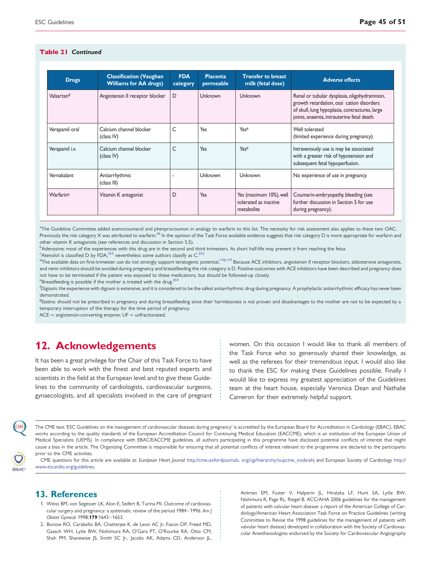### Table 21 Continued

| <b>Drugs</b>   | <b>Classification (Vaughan</b><br><b>Williams for AA drugs)</b> | <b>FDA</b><br>category | <b>Placenta</b><br>permeable | <b>Transfer to breast</b><br>milk (fetal dose)                 | <b>Adverse effects</b>                                                                                                                                                                    |
|----------------|-----------------------------------------------------------------|------------------------|------------------------------|----------------------------------------------------------------|-------------------------------------------------------------------------------------------------------------------------------------------------------------------------------------------|
| Valsartand     | Angiotensin II receptor blocker                                 | D                      | Unknown                      | Unknown                                                        | Renal or tubular dysplasia, oligohydramnion,<br>growth retardation, ossi cation disorders<br>of skull, lung hypoplasia, contractures, large<br>joints, anaemia, intrauterine fetal death. |
| Verapamil oral | Calcium channel blocker<br>class IV)                            | C                      | Yes                          | Yese                                                           | Well tolerated<br>(limited experience during pregnancy).                                                                                                                                  |
| Verapamil i.v. | Calcium channel blocker<br>class IV)                            | C                      | Yes                          | Yese                                                           | Intravenously use is may be associated<br>with a greater risk of hypotension and<br>subsequent fetal hypoperfusion.                                                                       |
| Vernakalant    | Antiarrhythmic<br>(class III)                                   |                        | <b>Unknown</b>               | Unknown                                                        | No experience of use in pregnancy.                                                                                                                                                        |
| Warfarina      | Vitamin K antagonist                                            | D                      | Yes                          | Yes (maximum 10%), well<br>tolerated as inactive<br>metabolite | Coumarin-embryopathy, bleeding (see<br>further discussion in Section 5 for use<br>during pregnancy).                                                                                      |

<sup>a</sup>The Guideline Committee added acenocoumarol and phenprocoumon in analogy to warfarin to this list. The necessity for risk assessment also applies to these two OAC. Previously the risk category X was attributed to warfarin.<sup>46</sup> In the opinion of the Task Force available evidence suggests that risk category D is more appropriate for warfarin and other vitamin K antagonists (see references and discussion in Section 5.5).

b Adenosine: most of the experiences with this drug are in the second and third trimesters. Its short half-life may prevent it from reaching the fetus

<sup>c</sup>Atenolol is classified D by FDA,  $^{252}$  nevertheless some authors classify as C.  $^{253}$ 

<sup>d</sup>The available data on first-trimester use do not strongly support teratogenic potential.<sup>178,179</sup> Because ACE inhibitors, angiotensin II receptor blockers, aldosterone antagonists. and renin inhibitors should be avoided during pregnancy and breastfeeding the risk category is D. Positive outcomes with ACE inhibitors have been described and pregnancy does not have to be terminated if the patient was exposed to these medications, but should be followed-up closely.

<sup>e</sup>Breastfeeding is possible if the mother is treated with the drug.<sup>254</sup>

f Digoxin: the experience with digoxin is extensive, and it is considered to be the safest antiarrhythmic drug during pregnancy. A prophylactic antiarrhythmic efficacy has never been demonstrated.

<sup>g</sup>Statins: should not be prescribed in pregnancy and during breastfeeding since their harmlessness is not proven and disadvantages to the mother are not to be expected by a temporary interruption of the therapy for the time period of pregnancy.

 $ACE = angiotensin-converting enzyme; UF = unfractionated.$ 

### 12. Acknowledgements

It has been a great privilege for the Chair of this Task Force to have been able to work with the finest and best reputed experts and scientists in the field at the European level and to give these Guidelines to the community of cardiologists, cardiovascular surgeons, gynaecologists, and all specialists involved in the care of pregnant women. On this occasion I would like to thank all members of the Task Force who so generously shared their knowledge, as well as the referees for their tremendous input. I would also like to thank the ESC for making these Guidelines possible. Finally I would like to express my greatest appreciation of the Guidelines team at the heart house, especially Veronica Dean and Nathalie Cameron for their extremely helpful support.



The CME text 'ESC Guidelines on the management of cardiovascular diseases during pregnancy' is accredited by the European Board for Accreditation in Cardiology (EBAC). EBAC works according to the quality standards of the European Accreditation Council for Continuing Medical Education (EACCME), which is an institution of the European Union of Medical Specialists (UEMS). In compliance with EBAC/EACCME guidelines, all authors participating in this programme have disclosed potential conflicts of interest that might cause a bias in the article. The Organizing Committee is responsible for ensuring that all potential conflicts of interest relevant to the programme are declared to the participants prior to the CME activities.

CME questions for this article are available at: European Heart Journal [http://cme.oxfordjournals. org/cgi/hierarchy/oupcme\\_node;ehj](http://cme.oxfordjournals.org/cgi/hierarchy/oupcme_node;ehj) and European Society of Cardiology [http://](http://www.escardio.org/guidelines) [www.escardio.org/guidelines](http://www.escardio.org/guidelines).

### 13. References

- 1. Weiss BM, von Segesser LK, Alon E, Seifert B, Turina MI. Outcome of cardiovascular surgery and pregnancy: a systematic review of the period 1984–1996. Am J Obstet Gynecol 1998;179:1643–1653.
- 2. Bonow RO, Carabello BA, Chatterjee K, de Leon AC Jr, Faxon DP, Freed MD, Gaasch WH, Lytle BW, Nishimura RA, O'Gara PT, O'Rourke RA, Otto CM, Shah PM, Shanewise JS, Smith SC Jr., Jacobs AK, Adams CD, Anderson JL,

Antman EM, Fuster V, Halperin JL, Hiratzka LF, Hunt SA, Lytle BW, Nishimura R, Page RL, Riegel B. ACC/AHA 2006 guidelines for the management of patients with valvular heart disease: a report of the American College of Cardiology/American Heart Association Task Force on Practice Guidelines (writing Committee to Revise the 1998 guidelines for the management of patients with valvular heart disease) developed in collaboration with the Society of Cardiovascular Anesthesiologists endorsed by the Society for Cardiovascular Angiography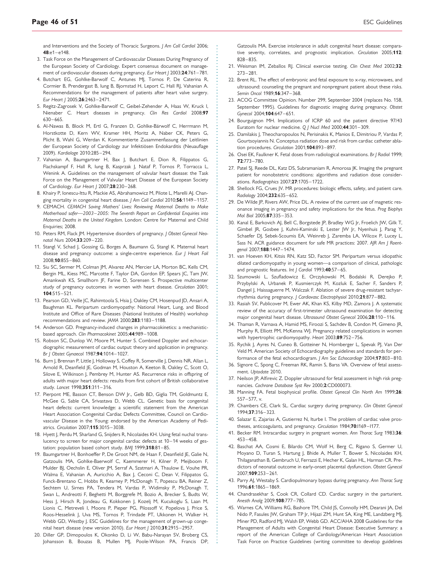and Interventions and the Society of Thoracic Surgeons. J Am Coll Cardiol 2006; 48:e1–e148.

- 3. Task Force on the Management of Cardiovascular Diseases During Pregnancy of the European Society of Cardiology. Expert consensus document on management of cardiovascular diseases during pregnancy. Eur Heart J 2003;24:761-781.
- 4. Butchart EG, Gohlke-Barwolf C, Antunes MJ, Tornos P, De Caterina R, Cormier B, Prendergast B, Iung B, Bjornstad H, Leport C, Hall RJ, Vahanian A. Recommendations for the management of patients after heart valve surgery. Eur Heart J 2005;26:2463–2471.
- 5. Regitz-Zagrosek V, Gohlke-Barwolf C, Geibel-Zehender A, Haas W, Kruck I, Nienaber C. Heart diseases in pregnancy. Clin Res Cardiol 2008;97 630–665.
- 6. Al-Nawas B, Block M, Ertl G, Franzen D, Gohlke-Bärwolf C, Herrmann M, Horstkotte D, Kern WV, Kramer HH, Moritz A, Naber CK, Peters G, Plicht B, Wahl G, Werdan K. Kommentierte Zusammenfassung der Leitlinien der European Society of Cardiology zur Infektiösen Endokarditis (Neuauflage 2009). Kardiologe 2010:285–294.
- 7. Vahanian A, Baumgartner H, Bax J, Butchart E, Dion R, Filippatos G, Flachskampf F, Hall R, Iung B, Kasprzak J, Nataf P, Tornos P, Torracca L, Wenink A. Guidelines on the management of valvular heart disease: the Task Force on the Management of Valvular Heart Disease of the European Society of Cardiology. Eur Heart | 2007;28:230-268.
- 8. Khairy P, Ionescu-Ittu R, Mackie AS, Abrahamowicz M, Pilote L, Marelli AJ. Changing mortality in congenital heart disease. J Am Coll Cardiol 2010;56:1149-1157.
- 9. CEMACH. CEMACH Saving Mothers' Lives: Reviewing Maternal Deaths to Make Motherhood safer—2003 –2005: The Seventh Report on Confidential Enquiries into Maternal Deaths in the United Kingdom. London: Centre for Maternal and Child Enquiries; 2008.
- 10. Peters RM, Flack JM. Hypertensive disorders of pregnancy. J Obstet Gynecol Neonatal Nurs 2004;33:209–220.
- 11. Stangl V, Schad J, Gossing G, Borges A, Baumann G, Stangl K. Maternal heart disease and pregnancy outcome: a single-centre experience. Eur J Heart Fail 2008;10:855–860.
- 12. Siu SC, Sermer M, Colman JM, Alvarez AN, Mercier LA, Morton BC, Kells CM, Bergin ML, Kiess MC, Marcotte F, Taylor DA, Gordon EP, Spears JC, Tam JW, Amankwah KS, Smallhorn JF, Farine D, Sorensen S. Prospective multicenter study of pregnancy outcomes in women with heart disease. Circulation 2001; 104:515–521.
- 13. Pearson GD, Veille JC, Rahimtoola S, Hsia J, Oakley CM, Hosenpud JD, Ansari A, Baughman KL. Peripartum cardiomyopathy: National Heart, Lung, and Blood Institute and Office of Rare Diseases (National Institutes of Health) workshop recommendations and review. JAMA 2000;283:1183–1188.
- 14. Anderson GD. Pregnancy-induced changes in pharmacokinetics: a mechanisticbased approach. Clin Pharmacokinet 2005;44:989–1008.
- 15. Robson SC, Dunlop W, Moore M, Hunter S. Combined Doppler and echocardiographic measurement of cardiac output: theory and application in pregnancy. Br J Obstet Gynaecol 1987;94:1014–1027.
- 16. Burn J, Brennan P, Little J, Holloway S, Coffey R, Somerville J, Dennis NR, Allan L, Arnold R, Deanfield JE, Godman M, Houston A, Keeton B, Oakley C, Scott O, Silove E, Wilkinson J, Pembrey M, Hunter AS. Recurrence risks in offspring of adults with major heart defects: results from first cohort of British collaborative study. Lancet 1998;351:311–316.
- 17. Pierpont ME, Basson CT, Benson DW Jr., Gelb BD, Giglia TM, Goldmuntz E, McGee G, Sable CA, Srivastava D, Webb CL. Genetic basis for congenital heart defects: current knowledge: a scientific statement from the American Heart Association Congenital Cardiac Defects Committee, Council on Cardiovascular Disease in the Young: endorsed by the American Academy of Pediatrics. Circulation 2007;115:3015-3038.
- 18. Hyett J, Perdu M, Sharland G, Snijders R, Nicolaides KH. Using fetal nuchal translucency to screen for major congenital cardiac defects at 10–14 weeks of gestation: population based cohort study. BMJ 1999;318:81-85.
- 19. Baumgartner H, Bonhoeffer P, De Groot NM, de Haan F, Deanfield JE, Galie N, Gatzoulis MA, Gohlke-Baerwolf C, Kaemmerer H, Kilner P, Meijboom F, Mulder BJ, Oechslin E, Oliver JM, Serraf A, Szatmari A, Thaulow E, Vouhe PR, Walma E, Vahanian A, Auricchio A, Bax J, Ceconi C, Dean V, Filippatos G, Funck-Brentano C, Hobbs R, Kearney P, McDonagh T, Popescu BA, Reiner Z, Sechtem U, Sirnes PA, Tendera M, Vardas P, Widimsky P, McDonagh T, Swan L, Andreotti F, Beghetti M, Borggrefe M, Bozio A, Brecker S, Budts W, Hess J, Hirsch R, Jondeau G, Kokkonen J, Kozelj M, Kucukoglu S, Laan M, Lionis C, Metreveli I, Moons P, Pieper PG, Pilossoff V, Popelova J, Price S, Roos-Hesselink J, Uva MS, Tornos P, Trindade PT, Ukkonen H, Walker H, Webb GD, Westby J. ESC Guidelines for the management of grown-up congenital heart disease (new version 2010). Eur Heart | 2010;31:2915-2957.
- 20. Diller GP, Dimopoulos K, Okonko D, Li W, Babu-Narayan SV, Broberg CS, Johansson B, Bouzas B, Mullen MJ, Poole-Wilson PA, Francis DP,

Gatzoulis MA. Exercise intolerance in adult congenital heart disease: comparative severity, correlates, and prognostic implication. Circulation 2005;112: 828–835.

- 21. Weisman IM, Zeballos RJ. Clinical exercise testing. Clin Chest Med 2002;32: 273–281.
- 22. Brent RL. The effect of embryonic and fetal exposure to x-ray, microwaves, and ultrasound: counseling the pregnant and nonpregnant patient about these risks. Semin Oncol 1989:16:347-368.
- 23. ACOG Committee Opinion. Number 299, September 2004 (replaces No. 158, September 1995). Guidelines for diagnostic imaging during pregnancy. Obstet Gynecol 2004;104:647–651.
- 24. Bourguignon MH. Implications of ICRP 60 and the patient directive 97/43 Euratom for nuclear medicine. Q J Nucl Med 2000;44:301–309.
- 25. Damilakis J, Theocharopoulos N, Perisinakis K, Manios E, Dimitriou P, Vardas P, Gourtsoyiannis N. Conceptus radiation dose and risk from cardiac catheter ablation procedures. Circulation 2001;104:893–897.
- 26. Osei EK, Faulkner K. Fetal doses from radiological examinations. Br J Radiol 1999; 72:773–780.
- 27. Patel SJ, Reede DL, Katz DS, Subramaniam R, Amorosa JK. Imaging the pregnant patient for nonobstetric conditions: algorithms and radiation dose considerations. Radiographics 2007;27:1705–1722.
- 28. Shellock FG, Crues JV. MR procedures: biologic effects, safety, and patient care. Radiology 2004;232:635–652.
- 29. De Wilde JP, Rivers AW, Price DL. A review of the current use of magnetic resonance imaging in pregnancy and safety implications for the fetus. Prog Biophys Mol Biol 2005;87:335–353.
- 30. Kanal E, Barkovich AJ, Bell C, Borgstede JP, Bradley WG Jr, Froelich JW, Gilk T, Gimbel JR, Gosbee J, Kuhni-Kaminski E, Lester JW Jr, Nyenhuis J, Parag Y, Schaefer DJ, Sebek-Scoumis EA, Weinreb J, Zaremba LA, Wilcox P, Lucey L, Sass N. ACR guidance document for safe MR practices: 2007. AJR Am J Roentgenol 2007;188:1447–1474.
- 31. van Hoeven KH, Kitsis RN, Katz SD, Factor SM. Peripartum versus idiopathic dilated cardiomyopathy in young women—a comparison of clinical, pathologic and prognostic features. Int J Cardiol 1993;40:57-65.
- 32. Szumowski L, Szufladowicz E, Orczykowski M, Bodalski R, Derejko P, Przybylski A, Urbanek P, Kusmierczyk M, Kozluk E, Sacher F, Sanders P, Dangel J, Haissaguerre M, Walczak F. Ablation of severe drug-resistant tachyarrhythmia during pregnancy. J Cardiovasc Electrophysiol 2010;21:877–882.
- 33. Rasiah SV, Publicover M, Ewer AK, Khan KS, Kilby MD, Zamora J. A systematic review of the accuracy of first-trimester ultrasound examination for detecting major congenital heart disease. Ultrasound Obstet Gynecol 2006;28:110-116.
- 34. Thaman R, Varnava A, Hamid MS, Firoozi S, Sachdev B, Condon M, Gimeno JR, Murphy R, Elliott PM, McKenna WJ. Pregnancy related complications in women with hypertrophic cardiomyopathy. Heart 2003;89:752-756.
- 35. Rychik J, Ayres N, Cuneo B, Gotteiner N, Hornberger L, Spevak PJ, Van Der Veld M. American Society of Echocardiography guidelines and standards for performance of the fetal echocardiogram. J Am Soc Echocardiogr 2004;17:803-810.
- 36. Signore C, Spong C, Freeman RK, Ramin S, Barss VA. Overview of fetal assessment. Uptodate 2010.
- 37. Neilson JP, Alfirevic Z. Doppler ultrasound for fetal assessment in high risk pregnancies. Cochrane Database Syst Rev 2000;2:CD000073.
- 38. Manning FA. Fetal biophysical profile. Obstet Gynecol Clin North Am 1999;26: 557–577, v.
- 39. Chambers CE, Clark SL. Cardiac surgery during pregnancy. Clin Obstet Gynecol 1994;37:316–323.
- 40. Salazar E, Zajarias A, Gutierrez N, Iturbe I. The problem of cardiac valve prostheses, anticoagulants, and pregnancy. Circulation 1984;70:1169-1177.
- 41. Becker RM. Intracardiac surgery in pregnant women. Ann Thorac Surg 1983;36: 453–458.
- 42. Baschat AA, Cosmi E, Bilardo CM, Wolf H, Berg C, Rigano S, Germer U, Moyano D, Turan S, Hartung J, Bhide A, Muller T, Bower S, Nicolaides KH, Thilaganathan B, Gembruch U, Ferrazzi E, Hecher K, Galan HL, Harman CR. Predictors of neonatal outcome in early-onset placental dysfunction. Obstet Gynecol 2007;109:253–261.
- 43. Parry AJ, Westaby S. Cardiopulmonary bypass during pregnancy. Ann Thorac Surg 1996;61:1865–1869.
- 44. Chandrasekhar S, Cook CR, Collard CD. Cardiac surgery in the parturient. Anesth Analg 2009;108:777–785.
- 45. Warnes CA, Williams RG, Bashore TM, Child JS, Connolly HM, Dearani JA, Del Nido P, Fasules JW, Graham TP Jr, Hijazi ZM, Hunt SA, King ME, Landzberg MJ, Miner PD, Radford MJ, Walsh EP, Webb GD. ACC/AHA 2008 Guidelines for the Management of Adults with Congenital Heart Disease: Executive Summary: a report of the American College of Cardiology/American Heart Association Task Force on Practice Guidelines (writing committee to develop guidelines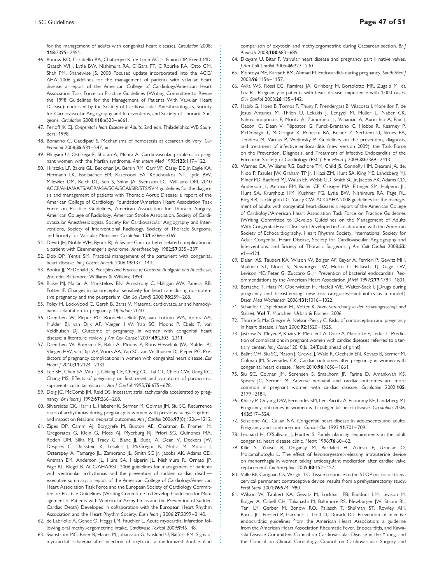for the management of adults with congenital heart disease). Circulation 2008; 118:2395–2451.

- 46. Bonow RO, Carabello BA, Chatterjee K, de Leon AC Jr, Faxon DP, Freed MD, Gaasch WH, Lytle BW, Nishimura RA, O'Gara PT, O'Rourke RA, Otto CM, Shah PM, Shanewise JS. 2008 Focused update incorporated into the ACC/ AHA 2006 guidelines for the management of patients with valvular heart disease: a report of the American College of Cardiology/American Heart Association Task Force on Practice Guidelines (Writing Committee to Revise the 1998 Guidelines for the Management of Patients With Valvular Heart Disease): endorsed by the Society of Cardiovascular Anesthesiologists, Society for Cardiovascular Angiography and Interventions, and Society of Thoracic Surgeons. Circulation 2008;118:e523–e661.
- 47. Perloff JK CJ. Congenital Heart Disease in Adults, 2nd edn. Philadelphia: WB Saunders; 1998.
- 48. Bonanno C, Gaddipati S. Mechanisms of hemostasis at cesarean delivery. Clin Perinatol 2008;35:531–547, xi.
- 49. Elkayam U, Ostrzega E, Shotan A, Mehra A. Cardiovascular problems in pregnant women with the Marfan syndrome. Ann Intern Med 1995;123:117–122.
- 50. Hiratzka LF, Bakris GL, Beckman JA, Bersin RM, Carr VF, Casey DE Jr, Eagle KA, Hermann LK, Isselbacher EM, Kazerooni EA, Kouchoukos NT, Lytle BW, Milewicz DM, Reich DL, Sen S, Shinn JA, Svensson LG, Williams DM. 2010 ACCF/AHA/AATS/ACR/ASA/SCA/SCAI/SIR/STS/SVM guidelines for the diagnosis and management of patients with Thoracic Aortic Disease: a report of the American College of Cardiology Foundation/American Heart Association Task Force on Practice Guidelines, American Association for Thoracic Surgery, American College of Radiology, American Stroke Association, Society of Cardiovascular Anesthesiologists, Society for Cardiovascular Angiography and Interventions, Society of Interventional Radiology, Society of Thoracic Surgeons, and Society for Vascular Medicine. Circulation 121:e266–e369.
- 51. Devitt JH, Noble WH, Byrick RJ. A Swan–Ganz catheter related complication in a patient with Eisenmenger's syndrome. Anesthesiology 1982;57:335–337.
- 52. Dob DP, Yentis SM. Practical management of the parturient with congenital heart disease. Int J Obstet Anesth 2006;15:137-144.
- 53. Bonica JJ, McDonald JS. Principles and Practice of Obstetric Analgesia and Anesthesia, 2nd edn. Baltimore: Williams & Wilkins; 1994.
- 54. Blake MJ, Martin A, Manktelow BN, Armstrong C, Halligan AW, Panerai RB, Potter JF. Changes in baroreceptor sensitivity for heart rate during normotensive pregnancy and the puerperium. Clin Sci (Lond) 2000;98:259-268.
- 55. Foley M, Lockwood C, Gersh B, Barss V. Maternal cardiovascular and hemodynamic adaptation to pregnancy. Uptodate 2010.
- 56. Drenthen W, Pieper PG, Roos-Hesselink JW, van Lottum WA, Voors AA, Mulder BJ, van Dijk AP, Vliegen HW, Yap SC, Moons P, Ebels T, van Veldhuisen DJ. Outcome of pregnancy in women with congenital heart disease: a literature review. J Am Coll Cardiol 2007;49:2303-2311.
- 57. Drenthen W, Boersma E, Balci A, Moons P, Roos-Hesselink JW, Mulder BJ, Vliegen HW, van Dijk AP, Voors AA, Yap SC, van Veldhuisen DJ, Pieper PG. Predictors of pregnancy complications in women with congenital heart disease. Eur Heart 1 2010:31:2124-2132.
- 58. Lee SH, Chen SA, Wu TJ, Chiang CE, Cheng CC, Tai CT, Chiou CW, Ueng KC, Chang MS. Effects of pregnancy on first onset and symptoms of paroxysmal supraventricular tachycardia. Am J Cardiol 1995;76:675-678.
- 59. Doig JC, McComb JM, Reid DS. Incessant atrial tachycardia accelerated by pregnancy. Br Heart | 1992;67:266-268.
- 60. Silversides CK, Harris L, Haberer K, Sermer M, Colman JM, Siu SC. Recurrence rates of arrhythmias during pregnancy in women with previous tachyarrhythmia and impact on fetal and neonatal outcomes. Am J Cardiol 2006;97(8):1206-1212.
- 61. Zipes DP, Camm AJ, Borggrefe M, Buxton AE, Chaitman B, Fromer M, Gregoratos G, Klein G, Moss AJ, Myerburg RJ, Priori SG, Quinones MA, Roden DM, Silka MJ, Tracy C, Blanc JJ, Budaj A, Dean V, Deckers JW, Despres C, Dickstein K, Lekakis J, McGregor K, Metra M, Morais J, Osterspey A, Tamargo JL, Zamorano JL, Smith SC Jr, Jacobs AK, Adams CD, Antman EM, Anderson JL, Hunt SA, Halperin JL, Nishimura R, Ornato JP, Page RL, Riegel B. ACC/AHA/ESC 2006 guidelines for management of patients with ventricular arrhythmias and the prevention of sudden cardiac death executive summary: a report of the American College of Cardiology/American Heart Association Task Force and the European Society of Cardiology Committee for Practice Guidelines (Writing Committee to Develop Guidelines for Management of Patients with Ventricular Arrhythmias and the Prevention of Sudden Cardiac Death) Developed in collaboration with the European Heart Rhythm Association and the Heart Rhythm Society. Eur Heart J 2006;27:2099-2140.
- 62. de Labriolle A, Genee O, Heggs LM, Fauchier L. Acute myocardial infarction following oral methyl-ergometrine intake. Cardiovasc Toxicol 2009;9:46–48.
- 63. Svanstrom MC, Biber B, Hanes M, Johansson G, Naslund U, Balfors EM. Signs of myocardial ischaemia after injection of oxytocin: a randomized double-blind

comparison of oxytocin and methylergometrine during Caesarean section. Br J Anaesth 2008;100:683–689.

- 64. Elkayam U, Bitar F. Valvular heart disease and pregnancy part I: native valves. J Am Coll Cardiol 2005;46:223–230.
- 65. Montoya ME, Karnath BM, Ahmad M. Endocarditis during pregnancy. South Med J 2003;96:1156–1157.
- 66. Avila WS, Rossi EG, Ramires JA, Grinberg M, Bortolotto MR, Zugaib M, da Luz PL. Pregnancy in patients with heart disease: experience with 1,000 cases. Clin Cardiol 2003;26:135–142.
- 67. Habib G, Hoen B, Tornos P, Thuny F, Prendergast B, Vilacosta I, Moreillon P, de Jesus Antunes M, Thilen U, Lekakis J, Lengyel M, Muller L, Naber CK, Nihoyannopoulos P, Moritz A, Zamorano JL, Vahanian A, Auricchio A, Bax J, Ceconi C, Dean V, Filippatos G, Funck-Brentano C, Hobbs R, Kearney P, McDonagh T, McGregor K, Popescu BA, Reiner Z, Sechtem U, Sirnes PA, Tendera M, Vardas P, Widimsky P. Guidelines on the prevention, diagnosis, and treatment of infective endocarditis (new version 2009): the Task Force on the Prevention, Diagnosis, and Treatment of Infective Endocarditis of the European Society of Cardiology (ESC). Eur Heart | 2009;30:2369-2413.
- 68. Warnes CA, Williams RG, Bashore TM, Child JS, Connolly HM, Dearani JA, del Nido P, Fasules JW, Graham TP Jr, Hijazi ZM, Hunt SA, King ME, Landzberg MJ, Miner PD, Radford MI, Walsh EP, Webb GD, Smith SC Jr, Jacobs AK, Adams CD, Anderson JL, Antman EM, Buller CE, Creager MA, Ettinger SM, Halperin JL, Hunt SA, Krumholz HM, Kushner FG, Lytle BW, Nishimura RA, Page RL, Riegel B, Tarkington LG, Yancy CW. ACC/AHA 2008 guidelines for the management of adults with congenital heart disease: a report of the American College of Cardiology/American Heart Association Task Force on Practice Guidelines (Writing Committee to Develop Guidelines on the Management of Adults With Congenital Heart Disease). Developed in Collaboration with the American Society of Echocardiography, Heart Rhythm Society, International Society for Adult Congenital Heart Disease, Society for Cardiovascular Angiography and Interventions, and Society of Thoracic Surgeons. J Am Coll Cardiol 2008;52: e1–e121.
- 69. Dajani AS, Taubert KA, Wilson W, Bolger AF, Bayer A, Ferrieri P, Gewitz MH, Shulman ST, Nouri S, Newburger JW, Hutto C, Pallasch TJ, Gage TW, Levison ME, Peter G, Zuccaro G Jr. Prevention of bacterial endocarditis. Recommendations by the American Heart Association. JAMA 1997;277:1794–1801.
- 70. Bertsche T, Haas M, Oberwittler H, Haefeli WE, Walter-Sack I. [Drugs during pregnancy and breastfeeding: new risk categories—antibiotics as a model]. Dtsch Med Wochensch 2006;131:1016–1022.
- 71. Schaefer C, Spielmann H., Vetter K. Arzneiverordnung in der Schwangerschaft und Stillzeit, Vol 7. München: Urban & Fischer; 2006.
- 72. Thorne S, MacGregor A, Nelson-Piercy C. Risks of contraception and pregnancy in heart disease. Heart 2006;92:1520–1525.
- 73. Jastrow N, Meyer P, Khairy P, Mercier LA, Dore A, Marcotte F, Leduc L. Prediction of complications in pregnant women with cardiac diseases referred to a tertiary center. Int J Cardiol 2010;Jul 24[Epub ahead of print].
- 74. Balint OH, Siu SC, Mason I, Grewal I, Wald R, Oechslin EN, Kovacs B, Sermer M, Colman JM, Silversides CK. Cardiac outcomes after pregnancy in women with congenital heart disease. Heart 2010;96:1656–1661.
- 75. Siu SC, Colman JM, Sorensen S, Smallhorn JF, Farine D, Amankwah KS, Spears JC, Sermer M. Adverse neonatal and cardiac outcomes are more common in pregnant women with cardiac disease. Circulation 2002;105: 2179–2184.
- 76. Khairy P, Ouyang DW, Fernandes SM, Lee-Parritz A, Economy KE, Landzberg MJ. Pregnancy outcomes in women with congenital heart disease. Circulation 2006; 113:517–524.
- 77. Sciscione AC, Callan NA. Congenital heart disease in adolescents and adults. Pregnancy and contraception. Cardiol Clin 1993;11:701–709.
- 78. Leonard H, O'Sullivan JJ, Hunter S. Family planning requirements in the adult congenital heart disease clinic. Heart 1996;76:60–62.
- 79. Kilic S, Yuksel B, Doganay M, Bardakci H, Akinsu F, Uzunlar O, Mollamahutoglu L. The effect of levonorgestrel-releasing intrauterine device on menorrhagia in women taking anticoagulant medication after cardiac valve replacement. Contraception 2009;80:152–157.
- 80. Valle RF, Carignan CS, Wright TC. Tissue response to the STOP microcoil transcervical permanent contraceptive device: results from a prehysterectomy study. Fertil Steril 2001;76:974–980.
- 81. Wilson W, Taubert KA, Gewitz M, Lockhart PB, Baddour LM, Levison M, Bolger A, Cabell CH, Takahashi M, Baltimore RS, Newburger JW, Strom BL, Tani LY, Gerber M, Bonow RO, Pallasch T, Shulman ST, Rowley AH, Burns JC, Ferrieri P, Gardner T, Goff D, Durack DT. Prevention of infective endocarditis: guidelines from the American Heart Association: a guideline from the American Heart Association Rheumatic Fever, Endocarditis, and Kawasaki Disease Committee, Council on Cardiovascular Disease in the Young, and the Council on Clinical Cardiology, Council on Cardiovascular Surgery and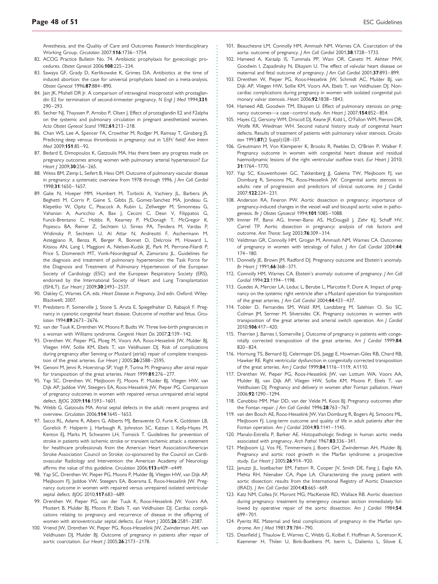Anesthesia, and the Quality of Care and Outcomes Research Interdisciplinary Working Group. Circulation 2007;116:1736–1754.

- 82. ACOG Practice Bulletin No. 74. Antibiotic prophylaxis for gynecologic procedures. Obstet Gynecol 2006;108:225–234.
- 83. Sawaya GF, Grady D, Kerlikowske K, Grimes DA. Antibiotics at the time of induced abortion: the case for universal prophylaxis based on a meta-analysis. Obstet Gynecol 1996;87:884–890.
- 84. Jain JK, Mishell DR Jr. A comparison of intravaginal misoprostol with prostaglandin E2 for termination of second-trimester pregnancy. N Engl J Med 1994;331: 290–293.
- 85. Secher NJ, Thayssen P, Arnsbo P, Olsen J. Effect of prostaglandin E2 and F2alpha on the systemic and pulmonary circulation in pregnant anesthetized women. Acta Obstet Gynecol Scand 1982;61:213–218.
- 86. Chan WS, Lee A, Spencer FA, Crowther M, Rodger M, Ramsay T, Ginsberg JS. Predicting deep venous thrombosis in pregnancy: out in 'LEFt' field? Ann Intern Med 2009:151:85-92.
- 87. Bedard E, Dimopoulos K, Gatzoulis MA. Has there been any progress made on pregnancy outcomes among women with pulmonary arterial hypertension? Eur Heart J 2009;30:256–265.
- 88. Weiss BM, Zemp L, Seifert B, Hess OM. Outcome of pulmonary vascular disease in pregnancy: a systematic overview from 1978 through 1996. J Am Coll Cardiol 1998;31:1650–1657.
- 89. Galie N, Hoeper MM, Humbert M, Torbicki A, Vachiery JL, Barbera JA, Beghetti M, Corris P, Gaine S, Gibbs JS, Gomez-Sanchez MA, Jondeau G, Klepetko W, Opitz C, Peacock A, Rubin L, Zellweger M, Simonneau G, Vahanian A, Auricchio A, Bax J, Ceconi C, Dean V, Filippatos G, Funck-Brentano C, Hobbs R, Kearney P, McDonagh T, McGregor K, Popescu BA, Reiner Z, Sechtem U, Sirnes PA, Tendera M, Vardas P, Widimsky P, Sechtem U, Al Attar N, Andreotti F, Aschermann M, Asteggiano R, Benza R, Berger R, Bonnet D, Delcroix M, Howard L, Kitsiou AN, Lang I, Maggioni A, Nielsen-Kudsk JE, Park M, Perrone-Filardi P, Price S, Domenech MT, Vonk-Noordegraaf A, Zamorano JL. Guidelines for the diagnosis and treatment of pulmonary hypertension: the Task Force for the Diagnosis and Treatment of Pulmonary Hypertension of the European Society of Cardiology (ESC) and the European Respiratory Society (ERS), endorsed by the International Society of Heart and Lung Transplantation (ISHLT). Eur Heart J 2009;30:2493–2537.
- 90. Oakley C, Warnes CA, eds. Heart Disease in Pregnancy, 2nd edn. Oxford: Wiley-Blackwell; 2007.
- 91. Presbitero P, Somerville J, Stone S, Aruta E, Spiegelhalter D, Rabajoli F. Pregnancy in cyanotic congenital heart disease. Outcome of mother and fetus. Circulation 1994;89:2673–2676.
- 92. van der Tuuk K, Drenthen W, Moons P, Budts W. Three live-birth pregnancies in a woman with Williams syndrome. Congenit Heart Dis 2007;2:139-142.
- 93. Drenthen W, Pieper PG, Ploeg M, Voors AA, Roos-Hesselink JW, Mulder BJ, Vliegen HW, Sollie KM, Ebels T, van Veldhuisen DJ. Risk of complications during pregnancy after Senning or Mustard (atrial) repair of complete transposition of the great arteries. Eur Heart J 2005;26:2588–2595.
- 94. Genoni M, Jenni R, Hoerstrup SP, Vogt P, Turina M. Pregnancy after atrial repair for transposition of the great arteries. Heart 1999;81:276–277.
- 95. Yap SC, Drenthen W, Meijboom FJ, Moons P, Mulder BJ, Vliegen HW, van Dijk AP, Jaddoe VW, Steegers EA, Roos-Hesselink JW, Pieper PG. Comparison of pregnancy outcomes in women with repaired versus unrepaired atrial septal defect. BJOG 2009;116:1593–1601.
- 96. Webb G, Gatzoulis MA. Atrial septal defects in the adult: recent progress and overview. Circulation 2006;114:1645–1653.
- 97. Sacco RL, Adams R, Albers G, Alberts MJ, Benavente O, Furie K, Goldstein LB, Gorelick P, Halperin J, Harbaugh R, Johnston SC, Katzan I, Kelly-Hayes M, Kenton El, Marks M, Schwamm LH, Tomsick T, Guidelines for prevention of stroke in patients with ischemic stroke or transient ischemic attack: a statement for healthcare professionals from the American Heart Association/American Stroke Association Council on Stroke: co-sponsored by the Council on Cardiovascular Radiology and Intervention: the American Academy of Neurology affirms the value of this guideline. Circulation 2006;113:e409–e449.
- 98. Yap SC, Drenthen W, Pieper PG, Moons P, Mulder BJ, Vliegen HW, van Dijk AP, Meijboom FJ, Jaddoe VW, Steegers EA, Boersma E, Roos-Hesselink JW. Pregnancy outcome in women with repaired versus unrepaired isolated ventricular septal defect. BJOG 2010;117:683-689.
- 99. Drenthen W, Pieper PG, van der Tuuk K, Roos-Hesselink JW, Voors AA, Mostert B, Mulder BJ, Moons P, Ebels T, van Veldhuisen DJ. Cardiac complications relating to pregnancy and recurrence of disease in the offspring of women with atrioventricular septal defects. Eur Heart J 2005;26:2581-2587.
- 100. Vriend JW, Drenthen W, Pieper PG, Roos-Hesselink JW, Zwinderman AH, van Veldhuisen DJ, Mulder BJ. Outcome of pregnancy in patients after repair of aortic coarctation. Eur Heart | 2005;26:2173-2178.
- 101. Beauchesne LM, Connolly HM, Ammash NM, Warnes CA. Coarctation of the aorta: outcome of pregnancy. J Am Coll Cardiol 2001;38:1728–1733.
- 102. Hameed A, Karaalp IS, Tummala PP, Wani OR, Canetti M, Akhter MW, Goodwin I, Zapadinsky N, Elkayam U. The effect of valvular heart disease on maternal and fetal outcome of pregnancy. J Am Coll Cardiol 2001;37:893–899.
- 103. Drenthen W, Pieper PG, Roos-Hesselink JW, Schmidt AC, Mulder BJ, van Dijk AP, Vliegen HW, Sollie KM, Voors AA, Ebels T, van Veldhuisen DJ. Noncardiac complications during pregnancy in women with isolated congenital pulmonary valvar stenosis. Heart 2006;92:1838–1843.
- 104. Hameed AB, Goodwin TM, Elkayam U. Effect of pulmonary stenosis on pregnancy outcomes-a case-control study. Am Heart J 2007;154:852-854.
- 105. Hayes CJ, Gersony WM, Driscoll DJ, Keane JF, Kidd L, O'Fallon WM, Pieroni DR, Wolfe RR, Weidman WH. Second natural history study of congenital heart defects. Results of treatment of patients with pulmonary valvar stenosis. Circulation 1993;87(2 Suppl):128-137.
- 106. Greutmann M, Von Klemperer K, Brooks R, Peebles D, O'Brien P, Walker F. Pregnancy outcome in women with congenital heart disease and residual haemodynamic lesions of the right ventricular outflow tract. Eur Heart | 2010; 31:1764–1770.
- 107. Yap SC, Kouwenhoven GC, Takkenberg JJ, Galema TW, Meijboom FJ, van Domburg R, Simoons ML, Roos-Hesselink JW. Congenital aortic stenosis in adults: rate of progression and predictors of clinical outcome. Int J Cardiol 2007;122:224–231.
- 108. Anderson RA, Fineron PW. Aortic dissection in pregnancy: importance of pregnancy-induced changes in the vessel wall and bicuspid aortic valve in pathogenesis. Br J Obstet Gynaecol 1994;101:1085-1088.
- 109. Immer FF, Bansi AG, Immer-Bansi AS, McDougall J, Zehr KJ, Schaff HV, Carrel TP. Aortic dissection in pregnancy: analysis of risk factors and outcome. Ann Thorac Surg 2003;76:309–314.
- 110. Veldtman GR, Connolly HM, Grogan M, Ammash NM, Warnes CA. Outcomes of pregnancy in women with tetralogy of Fallot. J Am Coll Cardiol 2004;44: 174–180.
- 111. Donnelly JE, Brown JM, Radford DJ. Pregnancy outcome and Ebstein's anomaly. Br Heart | 1991;66:368-371.
- 112. Connolly HM, Warnes CA. Ebstein's anomaly: outcome of pregnancy. J Am Coll Cardiol 1994:23:1194-1198
- 113. Guedes A, Mercier LA, Leduc L, Berube L, Marcotte F, Dore A. Impact of pregnancy on the systemic right ventricle after a Mustard operation for transposition of the great arteries. J Am Coll Cardiol 2004;44:433-437.
- 114. Tobler D, Fernandes SM, Wald RM, Landzberg M, Salehian O, Siu SC, Colman JM, Sermer M, Silversides CK. Pregnancy outcomes in women with transposition of the great arteries and arterial switch operation. Am J Cardiol 2010;106:417–420.
- 115. Therrien J, Barnes I, Somerville J. Outcome of pregnancy in patients with congenitally corrected transposition of the great arteries. Am J Cardiol 1999;84: 820–824.
- 116. Hornung TS, Bernard EJ, Celermajer DS, Jaeggi E, Howman-Giles RB, Chard RB, Hawker RE. Right ventricular dysfunction in congenitally corrected transposition of the great arteries. Am J Cardiol 1999; 84:1116-1119, A1110.
- 117. Drenthen W, Pieper PG, Roos-Hesselink JW, van Lottum WA, Voors AA, Mulder BJ, van Dijk AP, Vliegen HW, Sollie KM, Moons P, Ebels T, van Veldhuisen DJ. Pregnancy and delivery in women after Fontan palliation. Heart 2006;92:1290–1294.
- 118. Canobbio MM, Mair DD, van der Velde M, Koos BJ. Pregnancy outcomes after the Fontan repair. J Am Coll Cardiol 1996:28:763-767.
- 119. van den Bosch AE, Roos-Hesselink JW, Van Domburg R, Bogers AJ, Simoons ML, Meijboom FJ. Long-term outcome and quality of life in adult patients after the Fontan operation. Am J Cardiol 2004;93:1141-1145.
- 120. Manalo-Estrella P, Barker AE. Histopathologic findings in human aortic media associated with pregnancy. Arch Pathol 1967;83:336–341.
- 121. Meijboom LJ, Vos FE, Timmermans J, Boers GH, Zwinderman AH, Mulder BJ. Pregnancy and aortic root growth in the Marfan syndrome: a prospective study. Eur Heart J 2005;26:914-920.
- 122. Januzzi JL, Isselbacher EM, Fattori R, Cooper JV, Smith DE, Fang J, Eagle KA, Mehta RH, Nienaber CA, Pape LA. Characterizing the young patient with aortic dissection: results from the International Registry of Aortic Dissection (IRAD). J Am Coll Cardiol 2004;43:665–669.
- 123. Katz NM, Collea JV, Moront MG, MacKenzie RD, Wallace RB. Aortic dissection during pregnancy: treatment by emergency cesarean section immediately followed by operative repair of the aortic dissection. Am J Cardiol 1984;54: 699–701.
- 124. Pyeritz RE. Maternal and fetal complications of pregnancy in the Marfan syndrome. Am J Med 1981;71:784–790.
- 125. Deanfield J, Thaulow E, Warnes C, Webb G, Kolbel F, Hoffman A, Sorenson K, Kaemmer H, Thilen U, Bink-Boelkens M, Iserin L, Daliento L, Silove E,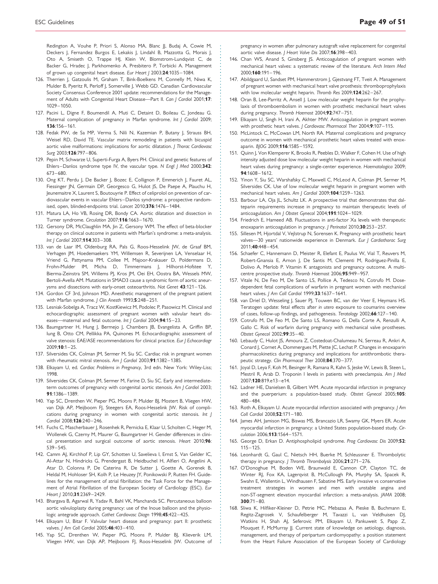Redington A, Vouhe P, Priori S, Alonso MA, Blanc JJ, Budaj A, Cowie M, Deckers J, Fernandez Burgos E, Lekakis J, Lindahl B, Mazzotta G, Morais J, Oto A, Smiseth O, Trappe HJ, Klein W, Blomstrom-Lundqvist C, de Backer G, Hradec J, Parkhomenko A, Presbitero P, Torbicki A. Management of grown up congenital heart disease. Eur Heart J 2003;24:1035–1084.

- 126. Therrien J, Gatzoulis M, Graham T, Bink-Boelkens M, Connelly M, Niwa K, Mulder B, Pyeritz R, Perloff J, Somerville J, Webb GD, Canadian Cardiovascular Society Consensus Conference 2001 update: recommendations for the Management of Adults with Congenital Heart Disease—Part II. Can | Cardiol 2001;17: 1029–1050.
- 127. Pacini L, Digne F, Boumendil A, Muti C, Detaint D, Boileau C, Jondeau G. Maternal complication of pregnancy in Marfan syndrome. Int J Cardiol 2009; 136:156–161.
- 128. Fedak PW, de Sa MP, Verma S, Nili N, Kazemian P, Butany J, Strauss BH, Weisel RD, David TE. Vascular matrix remodeling in patients with bicuspid aortic valve malformations: implications for aortic dilatation. | Thorac Cardiovasc Surg 2003;126:797–806.
- 129. Pepin M, Schwarze U, Superti-Furga A, Byers PH. Clinical and genetic features of Ehlers–Danlos syndrome type IV, the vascular type. N Engl J Med 2000;342: 673–680.
- 130. Ong KT, Perdu J, De Backer J, Bozec E, Collignon P, Emmerich J, Fauret AL, Fiessinger JN, Germain DP, Georgesco G, Hulot JS, De Paepe A, Plauchu H, Jeunemaitre X, Laurent S, Boutouyrie P. Effect of celiprolol on prevention of cardiovascular events in vascular Ehlers–Danlos syndrome: a prospective randomised, open, blinded-endpoints trial. Lancet 2010;376:1476–1484.
- 131. Matura LA, Ho VB, Rosing DR, Bondy CA. Aortic dilatation and dissection in Turner syndrome. Circulation 2007;116:1663–1670.
- 132. Gersony DR, McClaughlin MA, Jin Z, Gersony WM. The effect of beta-blocker therapy on clinical outcome in patients with Marfan's syndrome: a meta-analysis. Int I Cardiol 2007:114:303-308.
- 133. van de Laar IM, Oldenburg RA, Pals G, Roos-Hesselink JW, de Graaf BM, Verhagen JM, Hoedemaekers YM, Willemsen R, Severijnen LA, Venselaar H, Vriend G, Pattynama PM, Collee M, Majoor-Krakauer D, Poldermans D, Frohn-Mulder IM, Micha D, Timmermans J, Hilhorst-Hofstee Y, Bierma-Zeinstra SM, Willems PJ, Kros JM, Oei EH, Oostra BA, Wessels MW, Bertoli-Avella AM. Mutations in SMAD3 cause a syndromic form of aortic aneurysms and dissections with early-onset osteoarthritis. Nat Genet 43:121–126.
- 134. Gordon CF 3rd, Johnson MD. Anesthetic management of the pregnant patient with Marfan syndrome. J Clin Anesth 1993;5:248-251.
- 135. Lesniak-Sobelga A, Tracz W, KostKiewicz M, Podolec P, Pasowicz M. Clinical and echocardiographic assessment of pregnant women with valvular heart diseases—maternal and fetal outcome. Int J Cardiol 2004;94:15-23.
- 136. Baumgartner H, Hung J, Bermejo J, Chambers JB, Evangelista A, Griffin BP, Iung B, Otto CM, Pellikka PA, Quinones M. Echocardiographic assessment of valve stenosis: EAE/ASE recommendations for clinical practice. Eur J Echocardiogr  $2009.10.1 - 25$
- 137. Silversides CK, Colman JM, Sermer M, Siu SC. Cardiac risk in pregnant women with rheumatic mitral stenosis. Am I Cardiol 2003:91:1382-1385.
- 138. Elkayam U, ed. Cardiac Problems in Pregnancy, 3rd edn. New York: Wiley-Liss; 1998.
- 139. Silversides CK, Colman JM, Sermer M, Farine D, Siu SC. Early and intermediateterm outcomes of pregnancy with congenital aortic stenosis. Am J Cardiol 2003; 91:1386–1389.
- 140. Yap SC, Drenthen W, Pieper PG, Moons P, Mulder BJ, Mostert B, Vliegen HW, van Dijk AP, Meijboom FJ, Steegers EA, Roos-Hesselink JW. Risk of complications during pregnancy in women with congenital aortic stenosis. Int J Cardiol 2008;126:240-246.
- 141. Fuchs C, Mascherbauer J, Rosenhek R, Pernicka E, Klaar U, Scholten C, Heger M, Wollenek G, Czerny M, Maurer G, Baumgartner H. Gender differences in clinical presentation and surgical outcome of aortic stenosis. Heart 2010;96: 539–545.
- 142. Camm AJ, Kirchhof P, Lip GY, Schotten U, Savelieva I, Ernst S, Van Gelder IC, Al-Attar N, Hindricks G, Prendergast B, Heidbuchel H, Alfieri O, Angelini A, Atar D, Colonna P, De Caterina R, De Sutter J, Goette A, Gorenek B, Heldal M, Hohloser SH, Kolh P, Le Heuzey JY, Ponikowski P, Rutten FH. Guidelines for the management of atrial fibrillation: the Task Force for the Management of Atrial Fibrillation of the European Society of Cardiology (ESC). Eur Heart | 2010;31:2369-2429.
- 143. Bhargava B, Agarwal R, Yadav R, Bahl VK, Manchanda SC. Percutaneous balloon aortic valvuloplasty during pregnancy: use of the Inoue balloon and the physiologic antegrade approach. Cathet Cardiovasc Diagn 1998;45:422–425.
- 144. Elkayam U, Bitar F. Valvular heart disease and pregnancy: part II: prosthetic valves. J Am Coll Cardiol 2005;46:403-410.
- 145. Yap SC, Drenthen W, Pieper PG, Moons P, Mulder BJ, Klieverik LM, Vliegen HW, van Dijk AP, Meijboom FJ, Roos-Hesselink JW. Outcome of

pregnancy in women after pulmonary autograft valve replacement for congenital aortic valve disease. *J Heart Valve Dis* 2007;16:398-403.

- 146. Chan WS, Anand S, Ginsberg JS. Anticoagulation of pregnant women with mechanical heart valves: a systematic review of the literature. Arch Intern Med 2000;160:191–196.
- 147. Abildgaard U, Sandset PM, Hammerstrom J, Gjestvang FT, Tveit A. Management of pregnant women with mechanical heart valve prosthesis: thromboprophylaxis with low molecular weight heparin. Thromb Res 2009;124:262–267.
- 148. Oran B, Lee-Parritz A, Ansell J. Low molecular weight heparin for the prophylaxis of thromboembolism in women with prosthetic mechanical heart valves during pregnancy. Thromb Haemost 2004;92:747-751.
- 149. Elkayam U, Singh H, Irani A, Akhter MW. Anticoagulation in pregnant women with prosthetic heart valves. J Cardiovasc Pharmacol Ther 2004;9:107-115.
- 150. McLintock C, McCowan LM, North RA. Maternal complications and pregnancy outcome in women with mechanical prosthetic heart valves treated with enoxaparin. BJOG 2009;116:1585–1592.
- 151. Quinn J, Von Klemperer K, Brooks R, Peebles D, Walker F, Cohen H. Use of high intensity adjusted dose low molecular weight heparin in women with mechanical heart valves during pregnancy: a single-center experience. Haematologica 2009; 94:1608–1612.
- 152. Yinon Y, Siu SC, Warshafsky C, Maxwell C, McLeod A, Colman JM, Sermer M, Silversides CK. Use of low molecular weight heparin in pregnant women with mechanical heart valves. Am J Cardiol 2009;104:1259–1263.
- 153. Barbour LA, Oja JL, Schultz LK. A prospective trial that demonstrates that dalteparin requirements increase in pregnancy to maintain therapeutic levels of anticoagulation. Am J Obstet Gynecol 2004;191:1024–1029.
- 154. Friedrich E, Hameed AB. Fluctuations in anti-factor Xa levels with therapeutic enoxaparin anticoagulation in pregnancy. J Perinatol 2010;30:253-257.
- 155. Sillesen M, Hjortdal V, Vejlstrup N, Sorensen K. Pregnancy with prosthetic heart valves-30 years' nationwide experience in Denmark. Eur J Cardiothorac Surg 2011;40:448–454.
- 156. Schaefer C, Hannemann D, Meister R, Elefant E, Paulus W, Vial T, Reuvers M, Robert-Gnansia E, Arnon J, De Santis M, Clementi M, Rodriguez-Pinilla E, Dolivo A, Merlob P. Vitamin K antagonists and pregnancy outcome. A multicentre prospective study. Thromb Haemost 2006;95:949–957.
- 157. Vitale N, De Feo M, De Santo LS, Pollice A, Tedesco N, Cotrufo M. Dosedependent fetal complications of warfarin in pregnant women with mechanical heart valves. J Am Coll Cardiol 1999;33:1637-1641.
- 158. van Driel D, Wesseling J, Sauer PJ, Touwen BC, van der Veer E, Heymans HS. Teratogen update: fetal effects after in utero exposure to coumarins overview of cases, follow-up findings, and pathogenesis. Teratology 2002;66:127–140.
- 159. Cotrufo M, De Feo M, De Santo LS, Romano G, Della Corte A, Renzulli A, Gallo C. Risk of warfarin during pregnancy with mechanical valve prostheses. Obstet Gynecol 2002;99:35–40.
- 160. Lebaudy C, Hulot JS, Amoura Z, Costedoat-Chalumeau N, Serreau R, Ankri A, Conard J, Cornet A, Dommergues M, Piette JC, Lechat P. Changes in enoxaparin pharmacokinetics during pregnancy and implications for antithrombotic therapeutic strategy. Clin Pharmacol Ther 2008;84:370–377.
- 161. Joyal D, Leya F, Koh M, Besinger R, Ramana R, Kahn S, Jeske W, Lewis B, Steen L, Mestril R, Arab D. Troponin I levels in patients with preeclampsia. Am J Med 2007;120:819.e13–e14.
- 162. Ladner HE, Danielsen B, Gilbert WM. Acute myocardial infarction in pregnancy and the puerperium: a population-based study. Obstet Gynecol 2005;105: 480–484.
- 163. Roth A, Elkayam U. Acute myocardial infarction associated with pregnancy. J Am Coll Cardiol 2008;52:171–180.
- 164. James AH, Jamison MG, Biswas MS, Brancazio LR, Swamy GK, Myers ER. Acute myocardial infarction in pregnancy: a United States population-based study. Circulation 2006;113:1564–1571.
- 165. George D, Erkan D. Antiphospholipid syndrome. Prog Cardiovasc Dis 2009;52: 115–125.
- 166. Leonhardt G, Gaul C, Nietsch HH, Buerke M, Schleussner E. Thrombolytic therapy in pregnancy. J Thromb Thrombolysis 2006;21:271-276.
- 167. O'Donoghue M, Boden WE, Braunwald E, Cannon CP, Clayton TC, de Winter RJ, Fox KA, Lagerqvist B, McCullough PA, Murphy SA, Spacek R, Swahn E, Wallentin L, Windhausen F, Sabatine MS. Early invasive vs conservative treatment strategies in women and men with unstable angina and non-ST-segment elevation myocardial infarction: a meta-analysis. JAMA 2008; 300:71–80.
- 168. Sliwa K, Hilfiker-Kleiner D, Petrie MC, Mebazaa A, Pieske B, Buchmann E, Regitz-Zagrosek V, Schaufelberger M, Tavazzi L, van Veldhuisen DJ, Watkins H, Shah AJ, Seferovic PM, Elkayam U, Pankuweit S, Papp Z, Mouquet F, McMurray JJ. Current state of knowledge on aetiology, diagnosis, management, and therapy of peripartum cardiomyopathy: a position statement from the Heart Failure Association of the European Society of Cardiology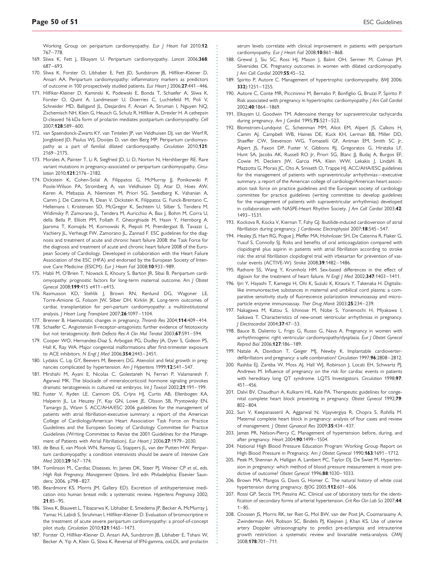Working Group on peripartum cardiomyopathy. Eur J Heart Fail 2010;12: 767–778.

- 169. Sliwa K, Fett J, Elkayam U. Peripartum cardiomyopathy. Lancet 2006;368: 687–693.
- 170. Sliwa K, Forster O, Libhaber E, Fett JD, Sundstrom JB, Hilfiker-Kleiner D, Ansari AA. Peripartum cardiomyopathy: inflammatory markers as predictors of outcome in 100 prospectively studied patients. Eur Heart J 2006;27:441–446.
- 171. Hilfiker-Kleiner D, Kaminski K, Podewski E, Bonda T, Schaefer A, Sliwa K, Forster O, Quint A, Landmesser U, Doerries C, Luchtefeld M, Poli V, Schneider MD, Balligand JL, Desjardins F, Ansari A, Struman I, Nguyen NQ, Zschemisch NH, Klein G, Heusch G, Schulz R, Hilfiker A, Drexler H. A cathepsin D-cleaved 16 kDa form of prolactin mediates postpartum cardiomyopathy. Cell 2007;128:589–600.
- 172. van Spaendonck-Zwarts KY, van Tintelen JP, van Veldhuisen DJ, van der Werf R, Jongbloed JD, Paulus WJ, Dooijes D, van den Berg MP. Peripartum cardiomyopathy as a part of familial dilated cardiomyopathy. Circulation 2010;121: 2169–2175.
- 173. Morales A, Painter T, Li R, Siegfried JD, Li D, Norton N, Hershberger RE. Rare variant mutations in pregnancy-associated or peripartum cardiomyopathy. Circulation 2010;121:2176–2182.
- 174. Dickstein K, Cohen-Solal A, Filippatos G, McMurray JJ, Ponikowski P, Poole-Wilson PA, Stromberg A, van Veldhuisen DJ, Atar D, Hoes AW, Keren A, Mebazaa A, Nieminen M, Priori SG, Swedberg K, Vahanian A, Camm J, De Caterina R, Dean V, Dickstein K, Filippatos G, Funck-Brentano C, Hellemans I, Kristensen SD, McGregor K, Sechtem U, Silber S, Tendera M, Widimsky P, Zamorano JL, Tendera M, Auricchio A, Bax J, Bohm M, Corra U, della Bella P, Elliott PM, Follath F, Gheorghiade M, Hasin Y, Hernborg A, Jaarsma T, Komajda M, Kornowski R, Piepoli M, Prendergast B, Tavazzi L, Vachiery JL, Verheugt FW, Zamorano JL, Zannad F. ESC guidelines for the diagnosis and treatment of acute and chronic heart failure 2008: the Task Force for the diagnosis and treatment of acute and chronic heart failure 2008 of the European Society of Cardiology. Developed in collaboration with the Heart Failure Association of the ESC (HFA) and endorsed by the European Society of Intensive Care Medicine (ESICM). Eur J Heart Fail 2008;10:933-989.
- 175. Habli M, O'Brien T, Nowack E, Khoury S, Barton JR, Sibai B. Peripartum cardiomyopathy: prognostic factors for long-term maternal outcome. Am J Obstet Gynecol 2008;199:415 e411–e415.
- 176. Rasmusson KD, Stehlik J, Brown RN, Renlund DG, Wagoner LE, Torre-Amione G, Folsom JW, Silber DH, Kirklin JK. Long-term outcomes of cardiac transplantation for peri-partum cardiomyopathy: a multiinstitutional analysis. J Heart Lung Transplant 2007;26:1097-1104.
- 177. Brenner B. Haemostatic changes in pregnancy. Thromb Res 2004;114:409–414.
- 178. Schaefer C. Angiotensin II-receptor-antagonists: further evidence of fetotoxicity but not teratogenicity. Birth Defects Res A Clin Mol Teratol 2003;67:591-594.
- 179. Cooper WO, Hernandez-Diaz S, Arbogast PG, Dudley JA, Dyer S, Gideon PS, Hall K, Ray WA. Major congenital malformations after first-trimester exposure to ACE inhibitors. N Engl J Med 2006;354:2443–2451.
- 180. Lydakis C, Lip GY, Beevers M, Beevers DG. Atenolol and fetal growth in pregnancies complicated by hypertension. Am J Hypertens 1999;12:541–547.
- 181. Mirshahi M, Ayani E, Nicolas C, Golestaneh N, Ferrari P, Valamanesh F, Agarwal MK. The blockade of mineralocorticoid hormone signaling provokes dramatic teratogenesis in cultured rat embryos. Int J Toxicol 2002;21:191–199.
- 182. Fuster V, Ryden LE, Cannom DS, Crijns HJ, Curtis AB, Ellenbogen KA, Halperin JL, Le Heuzey JY, Kay GN, Lowe JE, Olsson SB, Prystowsky EN, Tamargo JL, Wann S. ACC/AHA/ESC 2006 guidelines for the management of patients with atrial fibrillation-executive summary: a report of the American College of Cardiology/American Heart Association Task Force on Practice Guidelines and the European Society of Cardiology Committee for Practice Guidelines (Writing Committee to Revise the 2001 Guidelines for the Management of Patients with Atrial Fibrillation). Eur Heart J 2006;27:1979-2030.
- 183. de Beus E, van Mook WN, Ramsay G, Stappers JL, van der Putten HW. Peripartum cardiomyopathy: a condition intensivists should be aware of. Intensive Care Med 2003;29:167–174.
- 184. Tomlinson M., Cardiac Diseases. In: James DK, Steer PJ, Weiner CP et al., eds. High Risk Pregnancy. Management Options. 3rd edn. Philadelphia: Elsevier Saunders; 2006. p798–827.
- 185. Beardmore KS, Morris JM, Gallery ED). Excretion of antihypertensive medication into human breast milk: a systematic review. Hypertens Pregnancy 2002; 21:85–95.
- 186. Sliwa K, Blauwet L, Tibazarwa K, Libhaber E, Smedema JP, Becker A, McMurray J, Yamac H, Labidi S, Struhman I, Hilfiker-Kleiner D. Evaluation of bromocriptine in the treatment of acute severe peripartum cardiomyopathy: a proof-of-concept pilot study. Circulation 2010;121:1465–1473.
- 187. Forster O, Hilfiker-Kleiner D, Ansari AA, Sundstrom JB, Libhaber E, Tshani W, Becker A, Yip A, Klein G, Sliwa K. Reversal of IFN-gamma, oxLDL and prolactin

serum levels correlate with clinical improvement in patients with peripartum cardiomyopathy. Eur | Heart Fail 2008;10:861-868.

- 188. Grewal J, Siu SC, Ross HJ, Mason J, Balint OH, Sermer M, Colman JM, Silversides CK. Pregnancy outcomes in women with dilated cardiomyopathy. J Am Coll Cardiol 2009;55:45–52.
- 189. Spirito P, Autore C. Management of hypertrophic cardiomyopathy. BMJ 2006; 332):1251–1255.
- 190. Autore C, Conte MR, Piccininno M, Bernabo P, Bonfiglio G, Bruzzi P, Spirito P. Risk associated with pregnancy in hypertrophic cardiomyopathy. J Am Coll Cardiol 2002;40:1864–1869.
- 191. Elkayam U, Goodwin TM. Adenosine therapy for supraventricular tachycardia during pregnancy. Am J Cardiol 1995;75:521-523.
- 192. Blomstrom-Lundqvist C, Scheinman MM, Aliot EM, Alpert JS, Calkins H, Camm AJ, Campbell WB, Haines DE, Kuck KH, Lerman BB, Miller DD, Shaeffer CW, Stevenson WG, Tomaselli GF, Antman EM, Smith SC |r Alpert JS, Faxon DP, Fuster V, Gibbons RJ, Gregoratos G, Hiratzka LF, Hunt SA, Jacobs AK, Russell RO Jr, Priori SG, Blanc JJ, Budaj A, Burgos EF, Cowie M, Deckers JW, Garcia MA, Klein WW, Lekakis J, Lindahl B, Mazzotta G, Morais JC, Oto A, Smiseth O, Trappe HJ. ACC/AHA/ESC guidelines for the management of patients with supraventricular arrhythmias—executive summary. a report of the American college of cardiology/American heart association task force on practice guidelines and the European society of cardiology committee for practice guidelines (writing committee to develop guidelines for the management of patients with supraventricular arrhythmias) developed in collaboration with NASPE-Heart Rhythm Society. J Am Coll Cardiol 2003;42: 1493–1531.
- 193. Kockova R, Kocka V, Kiernan T, Fahy GJ. Ibutilide-induced cardioversion of atrial fibrillation during pregnancy. J Cardiovasc Electrophysiol 2007;18:545-547.
- 194. Healey JS, Hart RG, Pogue J, Pfeffer MA, Hohnloser SH, De Caterina R, Flaker G, Yusuf S, Connolly SJ. Risks and benefits of oral anticoagulation compared with clopidogrel plus aspirin in patients with atrial fibrillation according to stroke risk: the atrial fibrillation clopidogrel trial with irbesartan for prevention of vascular events (ACTIVE-W). Stroke 2008;39:1482–1486.
- 195. Rathore SS, Wang Y, Krumholz HM. Sex-based differences in the effect of digoxin for the treatment of heart failure. N Engl | Med 2002;347:1403-1411.
- 196. Ijiri Y, Hayashi T, Kamegai H, Ohi K, Suzuki K, Kitaura Y, Takenaka H. Digitalislike immunoreactive substances in maternal and umbilical cord plasma: a comparative sensitivity study of fluorescence polarization immunoassay and microparticle enzyme immunoassay. Ther Drug Monit 2003;25:234-239.
- 197. Nakagawa M, Katou S, Ichinose M, Nobe S, Yonemochi H, Miyakawa I, Saikawa T. Characteristics of new-onset ventricular arrhythmias in pregnancy. J Electrocardiol 2004;37:47–53.
- 198. Bauce B, Daliento L, Frigo G, Russo G, Nava A. Pregnancy in women with arrhythmogenic right ventricular cardiomyopathy/dysplasia. Eur J Obstet Gynecol Reprod Biol 2006;127:186–189.
- 199. Natale A, Davidson T, Geiger MJ, Newby K. Implantable cardioverterdefibrillators and pregnancy: a safe combination? Circulation 1997;96:2808-2812.
- 200. Rashba EJ, Zareba W, Moss AJ, Hall WJ, Robinson J, Locati EH, Schwartz PJ, Andrews M. Influence of pregnancy on the risk for cardiac events in patients with hereditary long QT syndrome. LQTS Investigators. Circulation 1998;97: 451–456.
- 201. Dalvi BV, Chaudhuri A, Kulkarni HL, Kale PA. Therapeutic guidelines for congenital complete heart block presenting in pregnancy. Obstet Gynecol 1992;79: 802–804.
- 202. Suri V, Keepanasseril A, Aggarwal N, Vijayvergiya R, Chopra S, Rohilla M. Maternal complete heart block in pregnancy: analysis of four cases and review of management. J Obstet Gynaecol Res 2009;35:434–437.
- 203. James PR, Nelson-Piercy C. Management of hypertension before, during, and after pregnancy. Heart 2004;90:1499–1504.
- 204. National High Blood Pressure Education Program Working Group Report on High Blood Pressure in Pregnancy. Am J Obstet Gynecol 1990;163:1691-1712.
- 205. Peek M, Shennan A, Halligan A, Lambert PC, Taylor DJ, De Swiet M. Hypertension in pregnancy: which method of blood pressure measurement is most predictive of outcome? Obstet Gynecol 1996;88:1030–1033.
- 206. Brown MA, Mangos G, Davis G, Homer C. The natural history of white coat hypertension during pregnancy. BJOG 2005;112:601-606.
- 207. Rossi GP, Seccia TM, Pessina AC. Clinical use of laboratory tests for the identification of secondary forms of arterial hypertension. Crit Rev Clin Lab Sci 2007;44: 1–85.
- 208. Cnossen JS, Morris RK, ter Riet G, Mol BW, van der Post JA, Coomarasamy A, Zwinderman AH, Robson SC, Bindels PJ, Kleijnen J, Khan KS. Use of uterine artery Doppler ultrasonography to predict pre-eclampsia and intrauterine growth restriction: a systematic review and bivariable meta-analysis. CMAJ 2008;178:701–711.